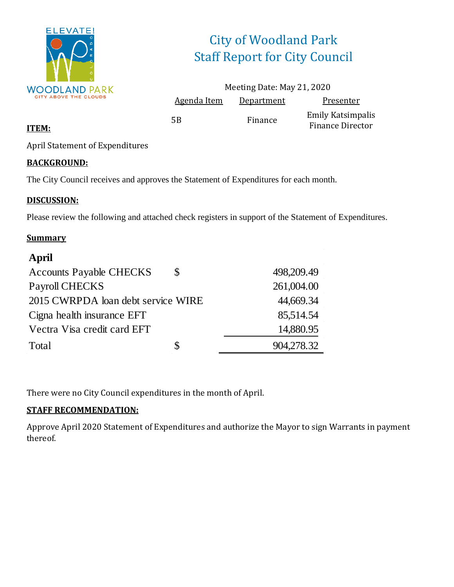

# City of Woodland Park Staff Report for City Council

|                    | Meeting Date: May 21, 2020 |                                                     |
|--------------------|----------------------------|-----------------------------------------------------|
| <b>Agenda Item</b> | Department                 | Presenter                                           |
| 5B                 | Finance                    | <b>Emily Katsimpalis</b><br><b>Finance Director</b> |

#### **ITEM:**

April Statement of Expenditures

#### **BACKGROUND:**

The City Council receives and approves the Statement of Expenditures for each month.

#### **DISCUSSION:**

Please review the following and attached check registers in support of the Statement of Expenditures.

#### **Summary**

#### **April**

| <b>Accounts Payable CHECKS</b>     | S  | 498,209.49 |
|------------------------------------|----|------------|
| Payroll CHECKS                     |    | 261,004.00 |
| 2015 CWRPDA loan debt service WIRE |    | 44,669.34  |
| Cigna health insurance EFT         |    | 85,514.54  |
| Vectra Visa credit card EFT        |    | 14,880.95  |
| Total                              | \$ | 904,278.32 |
|                                    |    |            |

There were no City Council expenditures in the month of April.

#### **STAFF RECOMMENDATION:**

Approve April 2020 Statement of Expenditures and authorize the Mayor to sign Warrants in payment thereof.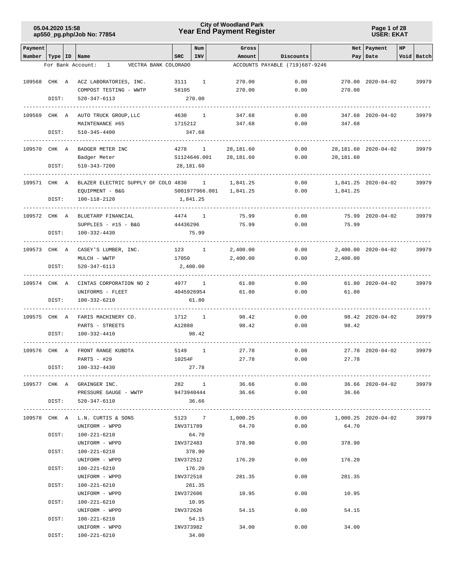### **Year End Payment Register City of Woodland Park 05.04.2020 15:58**

**Page 1 of 28 USER: EKAT**

| Payment                   |       |                                                     |            | Num                   | Gross           |                                |                            | Net Payment          | HP |            |
|---------------------------|-------|-----------------------------------------------------|------------|-----------------------|-----------------|--------------------------------|----------------------------|----------------------|----|------------|
| Number   Type   ID   Name |       |                                                     | <b>SRC</b> | INV                   | Amount          | Discounts                      |                            | Pay   Date           |    | Void Batch |
|                           |       | VECTRA BANK COLORADO<br>For Bank Account:<br>$1 -$  |            |                       |                 | ACCOUNTS PAYABLE (719)687-9246 |                            |                      |    |            |
|                           |       | 109568 CHK A ACZ LABORATORIES, INC.                 | 3111       | $\overline{1}$        | 270.00          | 0.00                           |                            | 270.00 2020-04-02    |    | 39979      |
|                           |       | COMPOST TESTING - WWTP                              | 58105      |                       | 270.00          | 0.00                           | 270.00                     |                      |    |            |
|                           | DIST: | 520-347-6113                                        |            | 270.00                |                 |                                |                            |                      |    |            |
|                           |       |                                                     |            |                       |                 |                                |                            |                      |    |            |
| 109569 CHK A              |       | AUTO TRUCK GROUP, LLC                               |            | 4630 1                | 347.68          | 0.00                           |                            | 347.68 2020-04-02    |    | 39979      |
|                           |       | MAINTENANCE #65                                     | 1715212    |                       | 347.68          | 0.00                           | 347.68                     |                      |    |            |
|                           | DIST: | 510-345-4400                                        |            | 347.68                |                 |                                |                            |                      |    |            |
|                           |       |                                                     |            |                       |                 |                                |                            |                      |    |            |
| 109570 CHK A              |       | BADGER METER INC                                    |            | 4278 1                | 28,181.60       | 0.00                           |                            | 28,181.60 2020-04-02 |    | 39979      |
|                           |       | Badger Meter                                        |            | S1124646.001          | 28,181.60       | 0.00                           | 28,181.60                  |                      |    |            |
|                           | DIST: | 510-343-7200                                        |            | 28,181.60             |                 |                                |                            |                      |    |            |
|                           |       |                                                     |            |                       |                 |                                |                            |                      |    |            |
| 109571 CHK A              |       | BLAZER ELECTRIC SUPPLY OF COLO 4830 1               |            |                       | 1,841.25        | 0.00                           |                            | 1,841.25 2020-04-02  |    | 39979      |
|                           |       | EQUIPMENT - B&G                                     |            | S001977966.001        | 1,841.25        | 0.00                           | 1,841.25                   |                      |    |            |
|                           | DIST: | 100-118-2120                                        |            | 1,841.25              |                 |                                |                            |                      |    |            |
|                           |       |                                                     |            |                       |                 |                                |                            |                      |    |            |
| 109572 CHK A              |       | BLUETARP FINANCIAL                                  |            | 4474 1                | 75.99           | 0.00                           |                            | 75.99 2020-04-02     |    | 39979      |
|                           |       | SUPPLIES $-$ #15 $-$ B&G                            | 44436296   |                       | 75.99           | 0.00                           | 75.99                      |                      |    |            |
|                           | DIST: | 100-332-4430                                        |            | 75.99                 |                 |                                |                            |                      |    |            |
|                           |       |                                                     |            |                       |                 |                                |                            |                      |    |            |
| 109573 CHK A              |       | CASEY'S LUMBER, INC.                                |            | 123 1                 | 2,400.00        | 0.00                           |                            | 2,400.00 2020-04-02  |    | 39979      |
|                           |       | MULCH - WWTP                                        | 17050      |                       | 2,400.00        | 0.00                           | 2,400.00                   |                      |    |            |
|                           | DIST: | 520-347-6113                                        |            | 2,400.00              |                 |                                |                            |                      |    |            |
|                           |       |                                                     |            |                       |                 |                                |                            |                      |    |            |
| 109574 CHK A              |       | CINTAS CORPORATION NO 2<br>UNIFORMS - FLEET         |            | 4977 1<br>4045926954  | 61.80<br>61.80  | 0.00<br>0.00                   | 61.80                      | 61.80 2020-04-02     |    | 39979      |
|                           | DIST: | 100-332-6210                                        |            | 61.80                 |                 |                                |                            |                      |    |            |
|                           |       |                                                     |            |                       |                 |                                |                            |                      |    |            |
| 109575 CHK A              |       | FARIS MACHINERY CO.                                 |            | 1712 1                | 98.42           | 0.00                           |                            | 98.42 2020-04-02     |    | 39979      |
|                           |       | PARTS - STREETS                                     | A12888     |                       | 98.42           | 0.00                           | 98.42                      |                      |    |            |
|                           | DIST: | 100-332-4410                                        |            | 98.42                 |                 |                                |                            |                      |    |            |
|                           |       |                                                     |            |                       |                 |                                |                            |                      |    |            |
| 109576 CHK A              |       | FRONT RANGE KUBOTA                                  |            | 5149 1                | 27.78           | 0.00                           |                            | 27.78 2020-04-02     |    | 39979      |
|                           |       | PARTS $-$ #29                                       | 10254F     |                       | 27.78           | 0.00                           | 27.78                      |                      |    |            |
|                           | DIST: | $100 - 332 - 4430$                                  |            | 27.78                 |                 |                                |                            |                      |    |            |
|                           |       |                                                     |            |                       |                 |                                |                            |                      |    |            |
|                           |       | 109577 CHK A GRAINGER INC.                          |            | $282 \qquad \qquad 1$ |                 | 36.66 30                       | $0.00$ 36.66 2020-04-02    |                      |    | 39979      |
|                           |       | PRESSURE GAUGE - WWTP $9473940444$ 36.66 0.00 36.66 |            |                       |                 |                                |                            |                      |    |            |
|                           |       | DIST: 520-347-6110                                  |            | 36.66                 |                 |                                |                            |                      |    |            |
|                           |       |                                                     |            |                       |                 |                                |                            |                      |    |            |
|                           |       | 109578 CHK A L.N. CURTIS & SONS                     |            |                       | 5123 7 1,000.25 |                                | $0.00$ 1,000.25 2020-04-02 |                      |    | 39979      |
|                           |       | UNIFORM - WPPD                                      |            | INV371789             | 64.70           | 0.00                           | 64.70                      |                      |    |            |
|                           | DIST: | 100-221-6210                                        |            | 64.70                 |                 |                                |                            |                      |    |            |
|                           | DIST: | UNIFORM - WPPD                                      |            | INV372483             | 378.90          | 0.00                           | 378.90                     |                      |    |            |
|                           |       | 100-221-6210<br>UNIFORM - WPPD                      |            | 378.90<br>INV372512   | 176.20          | 0.00                           | 176.20                     |                      |    |            |
|                           | DIST: |                                                     |            |                       |                 |                                |                            |                      |    |            |
|                           |       | 100-221-6210<br>UNIFORM - WPPD                      | INV372518  | 176.20                | 281.35          | 0.00                           | 281.35                     |                      |    |            |
|                           | DIST: | 100-221-6210                                        |            | 281.35                |                 |                                |                            |                      |    |            |
|                           |       | UNIFORM - WPPD                                      | INV372606  |                       | 10.95           | 0.00                           | 10.95                      |                      |    |            |
|                           | DIST: | 100-221-6210                                        |            | 10.95                 |                 |                                |                            |                      |    |            |
|                           |       | UNIFORM - WPPD                                      |            | INV372626             | 54.15           | 0.00                           | 54.15                      |                      |    |            |
|                           | DIST: | 100-221-6210                                        |            | 54.15                 |                 |                                |                            |                      |    |            |
|                           |       | UNIFORM - WPPD                                      |            | INV373982             | 34.00           | 0.00                           | 34.00                      |                      |    |            |
|                           | DIST: | 100-221-6210                                        |            | 34.00                 |                 |                                |                            |                      |    |            |
|                           |       |                                                     |            |                       |                 |                                |                            |                      |    |            |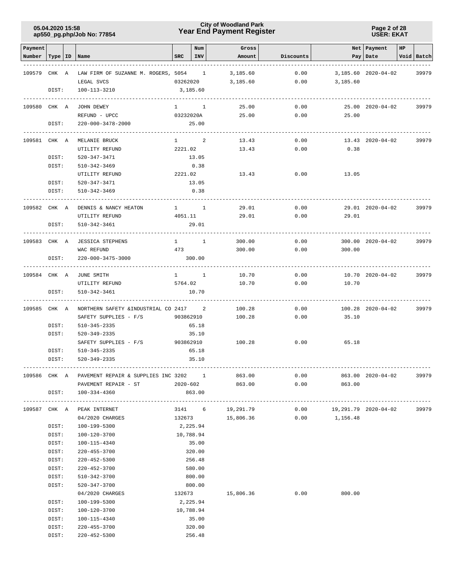### **Year End Payment Register City of Woodland Park 05.04.2020 15:58**

#### **Page 2 of 28 USER: EKAT**

| Payment<br>Number | Type   ID | Name                                               | SRC       | Num<br>INV          | Gross<br>Amount  | Discounts |                             | Net   Payment<br>Pay   Date | HP | Void Batch |
|-------------------|-----------|----------------------------------------------------|-----------|---------------------|------------------|-----------|-----------------------------|-----------------------------|----|------------|
| 109579            | CHK A     | LAW FIRM OF SUZANNE M. ROGERS, 5054 1              |           |                     | 3,185.60         | 0.00      |                             | 3,185.60 2020-04-02         |    | 39979      |
|                   |           | LEGAL SVCS                                         | 03262020  |                     | 3,185.60         | 0.00      | 3,185.60                    |                             |    |            |
|                   | DIST:     | 100-113-3210                                       |           | 3,185.60            |                  |           |                             |                             |    |            |
| 109580 CHK A      |           | JOHN DEWEY                                         |           | $1 \qquad \qquad 1$ | 25.00            | 0.00      |                             | 25.00 2020-04-02            |    | 39979      |
|                   |           | REFUND - UPCC                                      | 03232020A |                     | 25.00            | 0.00      | 25.00                       |                             |    |            |
|                   | DIST:     | 220-000-3478-2000                                  |           | 25.00               |                  |           |                             |                             |    |            |
| 109581 CHK A      |           | MELANIE BRUCK                                      |           | $1 \qquad \qquad 2$ | 13.43            | 0.00      |                             | 13.43 2020-04-02            |    | 39979      |
|                   |           | UTILITY REFUND                                     | 2221.02   |                     | 13.43            | 0.00      | 0.38                        |                             |    |            |
|                   | DIST:     | 520-347-3471                                       |           | 13.05               |                  |           |                             |                             |    |            |
|                   | DIST:     | 510-342-3469                                       |           | 0.38                |                  |           |                             |                             |    |            |
|                   |           | UTILITY REFUND                                     |           | 2221.02             | 13.43            | 0.00      | 13.05                       |                             |    |            |
|                   | DIST:     | 520-347-3471                                       |           | 13.05               |                  |           |                             |                             |    |            |
|                   | DIST:     | 510-342-3469                                       |           | 0.38                |                  |           |                             |                             |    |            |
| 109582 CHK A      |           | DENNIS & NANCY HEATON                              |           | $1 \quad 1$         | 29.01            | 0.00      |                             | 29.01 2020-04-02            |    | 39979      |
|                   |           | UTILITY REFUND                                     | 4051.11   |                     | 29.01            | 0.00      | 29.01                       |                             |    |            |
|                   | DIST:     | 510-342-3461<br>.                                  |           | 29.01               |                  |           |                             |                             |    |            |
| 109583 CHK A      |           | <b>JESSICA STEPHENS</b>                            |           | $1 \quad 1$         | 300.00           | 0.00      |                             | 300.00 2020-04-02           |    | 39979      |
|                   |           | WAC REFUND                                         | 473       |                     | 300.00           | 0.00      | 300.00                      |                             |    |            |
|                   | DIST:     | 220-000-3475-3000                                  |           | 300.00              |                  |           |                             |                             |    |            |
| 109584 CHK A      |           | JUNE SMITH                                         |           | $1 \quad 1$         | 10.70            | 0.00      |                             | 10.70 2020-04-02            |    | 39979      |
|                   |           | UTILITY REFUND                                     | 5764.02   |                     | 10.70            | 0.00      | 10.70                       |                             |    |            |
|                   | DIST:     | 510-342-3461                                       |           | 10.70               |                  |           |                             |                             |    |            |
| 109585 CHK A      |           | NORTHERN SAFETY & INDUSTRIAL CO 2417 2             |           |                     | 100.28           | 0.00      |                             | 100.28 2020-04-02           |    | 39979      |
|                   |           | SAFETY SUPPLIES - F/S                              | 903862910 |                     | 100.28           | 0.00      | 35.10                       |                             |    |            |
|                   | DIST:     | 510-345-2335                                       |           | 65.18               |                  |           |                             |                             |    |            |
|                   | DIST:     | 520-349-2335                                       |           | 35.10               |                  |           |                             |                             |    |            |
|                   |           | SAFETY SUPPLIES - F/S                              |           | 903862910           | 100.28           | 0.00      | 65.18                       |                             |    |            |
|                   | DIST:     | 510-345-2335                                       |           | 65.18               |                  |           |                             |                             |    |            |
|                   | DIST:     | 520-349-2335                                       |           | 35.10               |                  |           |                             |                             |    |            |
|                   |           | 109586 CHK A PAVEMENT REPAIR & SUPPLIES INC 3202 1 |           |                     | 863.00           | 0.00      |                             | 863.00 2020-04-02           |    | 39979      |
|                   |           | PAVEMENT REPAIR - ST<br>$2020 - 602$               |           |                     | 863.00           | 0.00      | 863.00                      |                             |    |            |
|                   | DIST:     | 100-334-4360                                       |           | 863.00              |                  |           |                             |                             |    |            |
|                   |           | 109587 CHK A PEAK INTERNET                         |           |                     | 3141 6 19,291.79 |           | $0.00$ 19,291.79 2020-04-02 |                             |    | 39979      |
|                   |           | 04/2020 CHARGES                                    |           |                     | 132673 15,806.36 |           | $0.00$ 1,156.48             |                             |    |            |
|                   | DIST:     | 100-199-5300                                       | 2,225.94  |                     |                  |           |                             |                             |    |            |
|                   | DIST:     | 100-120-3700                                       | 10,788.94 |                     |                  |           |                             |                             |    |            |
|                   | DIST:     | 100-115-4340                                       |           | 35.00               |                  |           |                             |                             |    |            |
|                   | DIST:     | 220-455-3700                                       |           | 320.00              |                  |           |                             |                             |    |            |
|                   | DIST:     | 220-452-5300                                       |           | 256.48              |                  |           |                             |                             |    |            |
|                   | DIST:     | 220-452-3700                                       |           | 580.00              |                  |           |                             |                             |    |            |
|                   | DIST:     | 510-342-3700                                       |           | 800.00              |                  |           |                             |                             |    |            |
|                   | DIST:     | 520-347-3700                                       |           | 800.00              |                  |           |                             |                             |    |            |
|                   |           | 04/2020 CHARGES                                    | 132673    |                     | 15,806.36        | 0.00      | 800.00                      |                             |    |            |
|                   | DIST:     | 100-199-5300                                       |           | 2,225.94            |                  |           |                             |                             |    |            |
|                   | DIST:     | 100-120-3700                                       |           | 10,788.94           |                  |           |                             |                             |    |            |
|                   | DIST:     | 100-115-4340                                       |           | 35.00               |                  |           |                             |                             |    |            |
|                   | DIST:     | 220-455-3700                                       |           | 320.00              |                  |           |                             |                             |    |            |
|                   | DIST:     | 220-452-5300                                       |           | 256.48              |                  |           |                             |                             |    |            |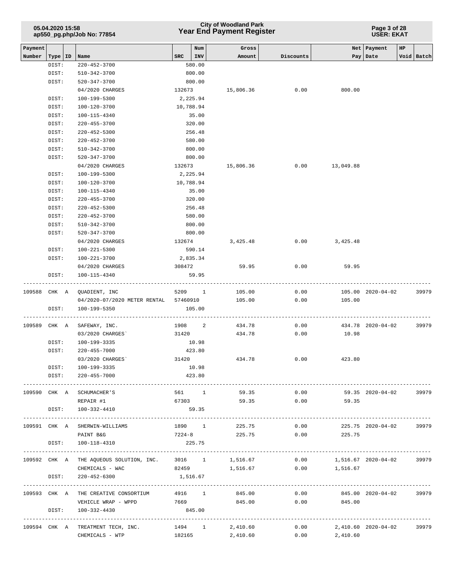### **Year End Payment Register City of Woodland Park 05.04.2020 15:58**

**Page 3 of 28 USER: EKAT**

| Payment |                |                                                         |                                       | Num              | Gross          |           |                            | Net   Payment<br>HP   |            |
|---------|----------------|---------------------------------------------------------|---------------------------------------|------------------|----------------|-----------|----------------------------|-----------------------|------------|
| Number  | Type   ID      | Name                                                    | SRC                                   | $ $ INV          | Amount         | Discounts |                            | Pay   Date            | Void Batch |
|         | DIST:          | 220-452-3700                                            |                                       | 580.00           |                |           |                            |                       |            |
|         | DIST:          | 510-342-3700                                            |                                       | 800.00           |                |           |                            |                       |            |
|         | DIST:          | 520-347-3700                                            |                                       | 800.00           |                |           |                            |                       |            |
|         |                | 04/2020 CHARGES                                         |                                       | 132673           | 15,806.36      | 0.00      | 800.00                     |                       |            |
|         | DIST:          | 100-199-5300                                            |                                       | 2,225.94         |                |           |                            |                       |            |
|         | DIST:          | 100-120-3700                                            |                                       | 10,788.94        |                |           |                            |                       |            |
|         | DIST:          | 100-115-4340                                            |                                       | 35.00            |                |           |                            |                       |            |
|         | DIST:          | $220 - 455 - 3700$                                      |                                       | 320.00           |                |           |                            |                       |            |
|         | DIST:          | 220-452-5300                                            |                                       | 256.48<br>580.00 |                |           |                            |                       |            |
|         | DIST:<br>DIST: | 220-452-3700<br>510-342-3700                            |                                       | 800.00           |                |           |                            |                       |            |
|         | DIST:          | 520-347-3700                                            |                                       | 800.00           |                |           |                            |                       |            |
|         |                | 04/2020 CHARGES                                         |                                       | 132673           | 15,806.36      | 0.00      | 13,049.88                  |                       |            |
|         | DIST:          | 100-199-5300                                            |                                       | 2,225.94         |                |           |                            |                       |            |
|         | DIST:          | 100-120-3700                                            |                                       | 10,788.94        |                |           |                            |                       |            |
|         | DIST:          | 100-115-4340                                            |                                       | 35.00            |                |           |                            |                       |            |
|         | DIST:          | $220 - 455 - 3700$                                      |                                       | 320.00           |                |           |                            |                       |            |
|         | DIST:          | 220-452-5300                                            |                                       | 256.48           |                |           |                            |                       |            |
|         | DIST:          | 220-452-3700                                            |                                       | 580.00           |                |           |                            |                       |            |
|         | DIST:          | 510-342-3700                                            |                                       | 800.00           |                |           |                            |                       |            |
|         | DIST:          | 520-347-3700                                            |                                       | 800.00           |                |           |                            |                       |            |
|         |                | 04/2020 CHARGES                                         |                                       | 132674           | 3,425.48       |           | 0.00<br>3,425.48           |                       |            |
|         | DIST:          | 100-221-5300                                            |                                       | 590.14           |                |           |                            |                       |            |
|         | DIST:          | 100-221-3700                                            |                                       | 2,835.34         |                |           |                            |                       |            |
|         |                | 04/2020 CHARGES                                         |                                       | 308472           | 59.95          | 0.00      | 59.95                      |                       |            |
|         | DIST:          | 100-115-4340                                            |                                       | 59.95            |                |           |                            |                       |            |
|         |                |                                                         |                                       |                  |                |           |                            |                       |            |
|         |                | 109588 CHK A QUADIENT, INC                              |                                       | 5209 1           | 105.00         | 0.00      |                            | 105.00 2020-04-02     | 39979      |
|         | DIST:          | 100-199-5350                                            | 04/2020-07/2020 METER RENTAL 57460910 | 105.00           | 105.00         | 0.00      | 105.00                     |                       |            |
|         |                |                                                         |                                       |                  |                |           |                            |                       |            |
|         | 109589 CHK A   | SAFEWAY, INC.                                           |                                       | 1908 2           | 434.78         | 0.00      |                            | 434.78 2020-04-02     | 39979      |
|         |                | 03/2020 CHARGES                                         | 31420                                 |                  | 434.78         | 0.00      | 10.98                      |                       |            |
|         | DIST:          | 100-199-3335                                            |                                       | 10.98            |                |           |                            |                       |            |
|         | DIST:          | 220-455-7000                                            |                                       | 423.80           |                |           |                            |                       |            |
|         |                | 03/2020 CHARGES                                         | 31420                                 |                  | 434.78         | 0.00      | 423.80                     |                       |            |
|         | DIST:          | 100-199-3335                                            |                                       | 10.98            |                |           |                            |                       |            |
|         | DIST:          | 220-455-7000                                            |                                       | 423.80           |                |           |                            |                       |            |
|         |                |                                                         |                                       |                  |                |           |                            |                       |            |
|         |                | 109590 CHK A SCHUMACHER'S                               |                                       | 561 1            | 59.35          | 0.00      |                            | 59.35 2020-04-02      | 39979      |
|         |                | REPAIR #1                                               |                                       | 67303            | 59.35          | 0.00      | 59.35                      |                       |            |
|         |                | DIST: 100-332-4410                                      |                                       | 59.35            |                |           |                            |                       |            |
|         |                |                                                         |                                       |                  |                |           |                            |                       |            |
|         | 109591 CHK A   | SHERWIN-WILLIAMS                                        |                                       | 1890 1           | 225.75         | 0.00      |                            | 225.75 2020-04-02     | 39979      |
|         |                | PAINT B&G                                               | $7224 - 8$                            |                  | 225.75         | 0.00      | 225.75                     |                       |            |
|         | DIST:          | 100-118-4310                                            |                                       | 225.75           |                |           |                            |                       |            |
|         |                | 109592 CHK A THE AQUEOUS SOLUTION, INC. 3016 1 1,516.67 |                                       |                  |                |           | $0.00$ 1,516.67 2020-04-02 |                       | 39979      |
|         |                | CHEMICALS - WAC                                         |                                       |                  | 82459 1,516.67 |           | $0.00$ 1,516.67            |                       |            |
|         | DIST:          | 220-452-6300                                            |                                       | 1,516.67         |                |           |                            |                       |            |
|         |                |                                                         |                                       |                  |                |           |                            | --------------------- |            |
|         |                | 109593 CHK A THE CREATIVE CONSORTIUM                    |                                       | 4916 1           | 845.00         | 0.00      |                            | 845.00 2020-04-02     | 39979      |
|         |                | VEHICLE WRAP - WPPD                                     | 7669                                  |                  | 845.00         | 0.00      | 845.00                     |                       |            |
|         | DIST:          | 100-332-4430                                            |                                       | 845.00           |                |           |                            |                       |            |
|         |                |                                                         |                                       |                  |                |           |                            |                       |            |
|         |                | 109594 CHK A TREATMENT TECH, INC. 1494 1                |                                       |                  | 2,410.60       |           | 0.00                       | 2,410.60 2020-04-02   | 39979      |
|         |                | CHEMICALS - WTP                                         |                                       | 182165           | 2,410.60       |           | $0.00$ 2,410.60            |                       |            |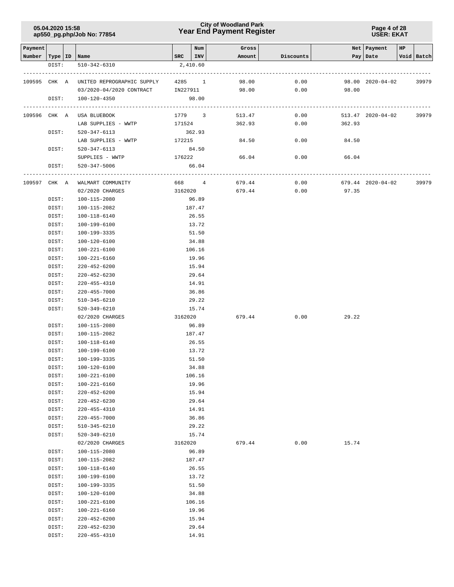### **Year End Payment Register City of Woodland Park 05.04.2020 15:58**

**Page 4 of 28 USER: EKAT**

| Payment                   |       |                            |           | Num      | Gross  |           |        | Net   Payment     | HP |            |
|---------------------------|-------|----------------------------|-----------|----------|--------|-----------|--------|-------------------|----|------------|
| Number   Type   ID   Name |       |                            | SRC   INV |          | Amount | Discounts |        | Pay Date          |    | Void Batch |
|                           | DIST: | 510-342-6310               |           | 2,410.60 |        |           |        |                   |    |            |
|                           |       |                            |           |          |        |           |        |                   |    |            |
| 109595 CHK A              |       | UNITED REPROGRAPHIC SUPPLY | 4285 1    |          | 98.00  | 0.00      |        | 98.00 2020-04-02  |    | 39979      |
|                           |       | 03/2020-04/2020 CONTRACT   | IN227911  |          | 98.00  | 0.00      | 98.00  |                   |    |            |
|                           | DIST: | 100-120-4350               |           | 98.00    |        |           |        |                   |    |            |
| 109596 CHK A              |       | USA BLUEBOOK               | 1779 3    |          | 513.47 | 0.00      |        | 513.47 2020-04-02 |    | 39979      |
|                           |       | LAB SUPPLIES - WWTP        | 171524    |          | 362.93 | 0.00      | 362.93 |                   |    |            |
|                           | DIST: | 520-347-6113               | 362.93    |          |        |           |        |                   |    |            |
|                           |       | LAB SUPPLIES - WWTP        | 172215    |          | 84.50  | 0.00      | 84.50  |                   |    |            |
|                           |       | DIST: 520-347-6113         | 84.50     |          |        |           |        |                   |    |            |
|                           |       | SUPPLIES - WWTP            | 176222    |          | 66.04  | 0.00      | 66.04  |                   |    |            |
|                           | DIST: | 520-347-5006               |           | 66.04    |        |           |        |                   |    |            |
| 109597 CHK A              |       | WALMART COMMUNITY          | 668 4     |          | 679.44 | 0.00      |        | 679.44 2020-04-02 |    | 39979      |
|                           |       | 02/2020 CHARGES            | 3162020   |          | 679.44 | 0.00      | 97.35  |                   |    |            |
|                           | DIST: | 100-115-2080               |           | 96.89    |        |           |        |                   |    |            |
|                           | DIST: | 100-115-2082               |           | 187.47   |        |           |        |                   |    |            |
|                           | DIST: | 100-118-6140               |           | 26.55    |        |           |        |                   |    |            |
|                           | DIST: | 100-199-6100               |           | 13.72    |        |           |        |                   |    |            |
|                           | DIST: | 100-199-3335               |           | 51.50    |        |           |        |                   |    |            |
|                           | DIST: | 100-120-6100               |           | 34.88    |        |           |        |                   |    |            |
|                           | DIST: | 100-221-6100               |           | 106.16   |        |           |        |                   |    |            |
|                           | DIST: | 100-221-6160               |           | 19.96    |        |           |        |                   |    |            |
|                           | DIST: | $220 - 452 - 6200$         |           | 15.94    |        |           |        |                   |    |            |
|                           | DIST: | $220 - 452 - 6230$         |           | 29.64    |        |           |        |                   |    |            |
|                           | DIST: | 220-455-4310               |           | 14.91    |        |           |        |                   |    |            |
|                           | DIST: | 220-455-7000               |           | 36.86    |        |           |        |                   |    |            |
|                           | DIST: | 510-345-6210               |           | 29.22    |        |           |        |                   |    |            |
|                           | DIST: | 520-349-6210               |           | 15.74    |        |           |        |                   |    |            |
|                           |       | 02/2020 CHARGES            | 3162020   |          | 679.44 | 0.00      | 29.22  |                   |    |            |
|                           | DIST: | 100-115-2080               |           | 96.89    |        |           |        |                   |    |            |
|                           | DIST: | 100-115-2082               |           | 187.47   |        |           |        |                   |    |            |
|                           | DIST: | 100-118-6140               |           | 26.55    |        |           |        |                   |    |            |
|                           | DIST: | 100-199-6100               |           | 13.72    |        |           |        |                   |    |            |
|                           | DIST: | 100-199-3335               |           | 51.50    |        |           |        |                   |    |            |
|                           | DIST: | 100-120-6100               |           | 34.88    |        |           |        |                   |    |            |
|                           | DIST: | 100-221-6100               |           | 106.16   |        |           |        |                   |    |            |
|                           | DIST: | 100-221-6160               |           | 19.96    |        |           |        |                   |    |            |
|                           | DIST: | $220 - 452 - 6200$         |           | 15.94    |        |           |        |                   |    |            |
|                           | DIST: | $220 - 452 - 6230$         |           | 29.64    |        |           |        |                   |    |            |
|                           | DIST: | 220-455-4310               |           | 14.91    |        |           |        |                   |    |            |
|                           | DIST: | $220 - 455 - 7000$         |           | 36.86    |        |           |        |                   |    |            |
|                           | DIST: | 510-345-6210               |           | 29.22    |        |           |        |                   |    |            |
|                           | DIST: | 520-349-6210               |           | 15.74    |        |           |        |                   |    |            |
|                           |       | 02/2020 CHARGES            | 3162020   |          | 679.44 | 0.00      | 15.74  |                   |    |            |
|                           | DIST: | 100-115-2080               |           | 96.89    |        |           |        |                   |    |            |
|                           | DIST: | 100-115-2082               |           | 187.47   |        |           |        |                   |    |            |
|                           | DIST: | 100-118-6140               |           | 26.55    |        |           |        |                   |    |            |
|                           | DIST: | 100-199-6100               |           | 13.72    |        |           |        |                   |    |            |
|                           | DIST: | 100-199-3335               |           | 51.50    |        |           |        |                   |    |            |
|                           |       | 100-120-6100               |           | 34.88    |        |           |        |                   |    |            |
|                           | DIST: |                            |           |          |        |           |        |                   |    |            |
|                           | DIST: | 100-221-6100               |           | 106.16   |        |           |        |                   |    |            |
|                           | DIST: | 100-221-6160               |           | 19.96    |        |           |        |                   |    |            |
|                           | DIST: | $220 - 452 - 6200$         |           | 15.94    |        |           |        |                   |    |            |
|                           | DIST: | $220 - 452 - 6230$         |           | 29.64    |        |           |        |                   |    |            |
|                           | DIST: | 220-455-4310               |           | 14.91    |        |           |        |                   |    |            |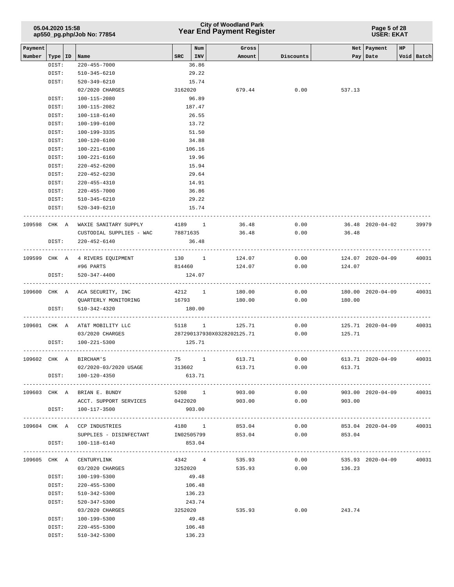| 05.04.2020 15:58           |  |
|----------------------------|--|
| ap550_pg.php/Job No: 77854 |  |

### **Year End Payment Register City of Woodland Park 05.04.2020 15:58**

| Payment      |           |                                       |            | Num         |                            |           |                | Net Payment       | HP. |            |
|--------------|-----------|---------------------------------------|------------|-------------|----------------------------|-----------|----------------|-------------------|-----|------------|
| Number       | Type   ID | Name                                  |            | $SRC$   INV | Gross<br>Amount            | Discounts |                | Pay   Date        |     | Void Batch |
|              | DIST:     | $220 - 455 - 7000$                    |            | 36.86       |                            |           |                |                   |     |            |
|              | DIST:     | 510-345-6210                          |            | 29.22       |                            |           |                |                   |     |            |
|              | DIST:     | 520-349-6210                          |            | 15.74       |                            |           |                |                   |     |            |
|              |           | 02/2020 CHARGES                       |            | 3162020     | 679.44                     | 0.00      | 537.13         |                   |     |            |
|              | DIST:     | 100-115-2080                          |            | 96.89       |                            |           |                |                   |     |            |
|              | DIST:     | 100-115-2082                          |            | 187.47      |                            |           |                |                   |     |            |
|              | DIST:     | 100-118-6140                          |            | 26.55       |                            |           |                |                   |     |            |
|              | DIST:     | 100-199-6100                          |            | 13.72       |                            |           |                |                   |     |            |
|              | DIST:     | 100-199-3335                          |            | 51.50       |                            |           |                |                   |     |            |
|              | DIST:     | 100-120-6100                          |            | 34.88       |                            |           |                |                   |     |            |
|              | DIST:     | 100-221-6100                          |            | 106.16      |                            |           |                |                   |     |            |
|              | DIST:     | 100-221-6160                          |            | 19.96       |                            |           |                |                   |     |            |
|              | DIST:     | 220-452-6200                          |            | 15.94       |                            |           |                |                   |     |            |
|              | DIST:     | 220-452-6230                          |            | 29.64       |                            |           |                |                   |     |            |
|              | DIST:     | 220-455-4310                          |            | 14.91       |                            |           |                |                   |     |            |
|              | DIST:     | 220-455-7000                          |            | 36.86       |                            |           |                |                   |     |            |
|              | DIST:     | 510-345-6210                          |            | 29.22       |                            |           |                |                   |     |            |
|              | DIST:     | 520-349-6210                          |            | 15.74       |                            |           |                |                   |     |            |
|              |           |                                       |            |             |                            |           |                |                   |     |            |
| 109598 CHK A |           | WAXIE SANITARY SUPPLY                 |            | 4189 1      | 36.48                      | 0.00      |                | 36.48 2020-04-02  |     | 39979      |
|              |           | CUSTODIAL SUPPLIES - WAC              | 78871635   |             | 36.48                      | 0.00      | 36.48          |                   |     |            |
|              | DIST:     | 220-452-6140                          |            | 36.48       |                            |           |                |                   |     |            |
|              |           | 109599 CHK A 4 RIVERS EQUIPMENT       |            |             |                            | 0.00      |                | 124.07 2020-04-09 |     | 40031      |
|              |           | #96 PARTS                             |            | 814460      | 130 1 124.07<br>124.07     | 0.00      | 124.07         |                   |     |            |
|              | DIST:     | 520-347-4400                          |            | 124.07      |                            |           |                |                   |     |            |
|              |           |                                       |            |             |                            |           |                |                   |     |            |
|              |           | 109600 CHK A ACA SECURITY, INC        |            | 4212 1      | 180.00                     | 0.00      |                | 180.00 2020-04-09 |     | 40031      |
|              |           | QUARTERLY MONITORING                  | 16793      |             | 180.00                     | 0.00      | 180.00         |                   |     |            |
|              | DIST:     | 510-342-4320                          |            | 180.00      |                            |           |                |                   |     |            |
|              |           |                                       |            |             |                            |           |                |                   |     |            |
|              |           | 109601 CHK A AT&T MOBILITY LLC        |            |             | 5118 1<br>125.71           | 0.00      |                | 125.71 2020-04-09 |     | 40031      |
|              |           | 03/2020 CHARGES                       |            |             | 287290137930X0328202125.71 |           | 0.00<br>125.71 |                   |     |            |
|              | DIST:     | 100-221-5300                          |            | 125.71      |                            |           |                |                   |     |            |
|              |           | 109602 CHK A BIRCHAM'S                |            | 75 1        | 613.71                     | 0.00      |                | 613.71 2020-04-09 |     | 40031      |
|              |           | 02/2020-03/2020 USAGE                 | 313602     |             | 613.71                     | 0.00      | 613.71         |                   |     |            |
|              |           | DIST: 100-120-4350                    |            | 613.71      |                            |           |                |                   |     |            |
|              |           |                                       |            |             |                            |           |                |                   |     |            |
|              |           | 109603 CHK A BRIAN E. BUNDY           |            |             | 5208 1<br>903.00           |           | 0.00           | 903.00 2020-04-09 |     | 40031      |
|              |           | ACCT. SUPPORT SERVICES 0422020 903.00 |            |             |                            |           | 0.00<br>903.00 |                   |     |            |
|              |           | DIST: 100-117-3500                    |            | 903.00      |                            |           |                |                   |     |            |
|              |           |                                       |            |             |                            |           |                |                   |     |            |
|              |           | 109604 CHK A CCP INDUSTRIES           |            | 4180 1      | 853.04                     | 0.00      |                | 853.04 2020-04-09 |     | 40031      |
|              |           | SUPPLIES - DISINFECTANT               | IN02505799 |             | 853.04                     | 0.00      | 853.04         |                   |     |            |
|              | DIST:     | 100-118-6140                          |            | 853.04      |                            |           |                |                   |     |            |
|              |           | 109605 CHK A CENTURYLINK              |            | 4342 4      | 535.93                     | 0.00      |                | 535.93 2020-04-09 |     | 40031      |
|              |           | 03/2020 CHARGES                       |            | 3252020     | 535.93                     | 0.00      | 136.23         |                   |     |            |
|              | DIST:     | 100-199-5300                          |            | 49.48       |                            |           |                |                   |     |            |
|              | DIST:     | 220-455-5300                          |            | 106.48      |                            |           |                |                   |     |            |
|              | DIST:     | 510-342-5300                          |            | 136.23      |                            |           |                |                   |     |            |
|              | DIST:     | 520-347-5300                          |            | 243.74      |                            |           |                |                   |     |            |
|              |           | 03/2020 CHARGES                       |            | 3252020     | 535.93                     | 0.00      | 243.74         |                   |     |            |
|              | DIST:     | 100-199-5300                          |            | 49.48       |                            |           |                |                   |     |            |
|              | DIST:     | 220-455-5300                          |            | 106.48      |                            |           |                |                   |     |            |
|              | DIST:     | 510-342-5300                          |            | 136.23      |                            |           |                |                   |     |            |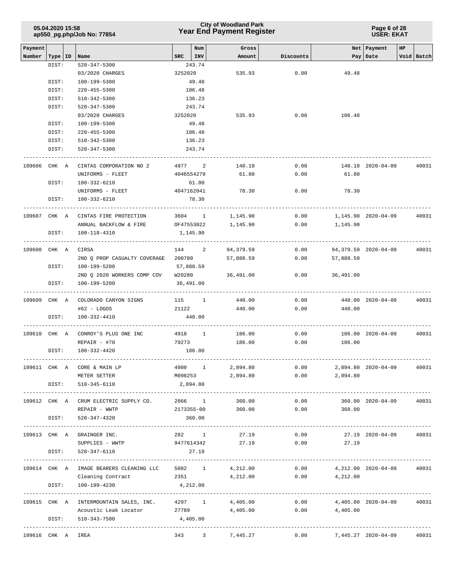|                   | 05.04.2020 15:58   | ap550_pg.php/Job No: 77854                                                             |            |                | <b>City of Woodland Park</b><br><b>Year End Payment Register</b> |           | Page 6 of 28<br><b>USER: EKAT</b> |                             |                  |  |  |
|-------------------|--------------------|----------------------------------------------------------------------------------------|------------|----------------|------------------------------------------------------------------|-----------|-----------------------------------|-----------------------------|------------------|--|--|
| Payment<br>Number |                    | Name                                                                                   | <b>SRC</b> | Num<br>INV     | Gross<br>Amount                                                  | Discounts |                                   | Net   Payment<br>Pay   Date | HP<br>Void Batch |  |  |
|                   | Type   ID<br>DIST: | $520 - 347 - 5300$                                                                     |            | 243.74         |                                                                  |           |                                   |                             |                  |  |  |
|                   |                    | 03/2020 CHARGES                                                                        | 3252020    |                | 535.93                                                           | 0.00      | 49.48                             |                             |                  |  |  |
|                   | DIST:              | 100-199-5300                                                                           |            | 49.48          |                                                                  |           |                                   |                             |                  |  |  |
|                   | DIST:              | $220 - 455 - 5300$                                                                     |            | 106.48         |                                                                  |           |                                   |                             |                  |  |  |
|                   | DIST:              | 510-342-5300                                                                           |            | 136.23         |                                                                  |           |                                   |                             |                  |  |  |
|                   | DIST:              | 520-347-5300                                                                           |            | 243.74         |                                                                  |           |                                   |                             |                  |  |  |
|                   |                    | 03/2020 CHARGES                                                                        | 3252020    |                | 535.93                                                           | 0.00      | 106.48                            |                             |                  |  |  |
|                   | DIST:              | 100-199-5300                                                                           |            | 49.48          |                                                                  |           |                                   |                             |                  |  |  |
|                   | DIST:              | $220 - 455 - 5300$                                                                     |            | 106.48         |                                                                  |           |                                   |                             |                  |  |  |
|                   | DIST:              | 510-342-5300                                                                           |            | 136.23         |                                                                  |           |                                   |                             |                  |  |  |
|                   | DIST:              | 520-347-5300                                                                           |            | 243.74         |                                                                  |           |                                   |                             |                  |  |  |
| 109606 CHK A      |                    | CINTAS CORPORATION NO 2                                                                | 4977 2     |                | 140.10                                                           | 0.00      |                                   | 140.10 2020-04-09           | 40031            |  |  |
|                   |                    | UNIFORMS - FLEET                                                                       |            | 4046554279     | 61.80                                                            | 0.00      | 61.80                             |                             |                  |  |  |
|                   | DIST:              | 100-332-6210                                                                           |            | 61.80          |                                                                  |           |                                   |                             |                  |  |  |
|                   |                    | UNIFORMS - FLEET                                                                       |            | 4047162041     | 78.30                                                            | 0.00      | 78.30                             |                             |                  |  |  |
|                   | DIST:              | 100-332-6210                                                                           |            | 78.30          |                                                                  |           |                                   |                             |                  |  |  |
| 109607 CHK A      |                    | CINTAS FIRE PROTECTION                                                                 | 3604 1     |                | 1,145.90                                                         | 0.00      |                                   | 1,145.90 2020-04-09         | 40031            |  |  |
|                   |                    | ANNUAL BACKFLOW & FIRE                                                                 | OF47553022 |                | 1,145.90                                                         | 0.00      | 1,145.90                          |                             |                  |  |  |
|                   | DIST:              | 100-118-4310                                                                           | 1,145.90   |                |                                                                  |           |                                   |                             |                  |  |  |
| 109608 CHK A      |                    | CIRSA                                                                                  | 144        | $\overline{2}$ | 94,379.59                                                        | 0.00      |                                   | 94,379.59 2020-04-09        | 40031            |  |  |
|                   |                    | 2ND Q PROP CASUALTY COVERAGE                                                           | 200780     |                | 57,888.59                                                        | 0.00      | 57,888.59                         |                             |                  |  |  |
|                   | DIST:              | 100-199-5200                                                                           | 57,888.59  |                |                                                                  |           |                                   |                             |                  |  |  |
|                   |                    | 2ND Q 2020 WORKERS COMP COV                                                            | W20280     |                | 36,491.00                                                        | 0.00      | 36,491.00                         |                             |                  |  |  |
|                   | DIST:              | 100-199-5200                                                                           |            | 36,491.00      | -----------------------                                          |           |                                   |                             |                  |  |  |
| 109609 CHK A      |                    | COLORADO CANYON SIGNS                                                                  | $115$ 1    |                | 440.00                                                           | 0.00      |                                   | 440.00 2020-04-09           | 40031            |  |  |
|                   |                    | $#62 - LOGOS$                                                                          | 21122      |                | 440.00                                                           | 0.00      | 440.00                            |                             |                  |  |  |
|                   | DIST:              | 100-332-4410                                                                           |            | 440.00         |                                                                  |           |                                   |                             |                  |  |  |
| 109610 CHK A      |                    | CONROY'S PLUS ONE INC                                                                  | 4918 1     |                | 186.00                                                           | 0.00      |                                   | 186.00 2020-04-09           | 40031            |  |  |
|                   |                    | $REPAIR - #70$                                                                         | 79273      |                | 186.00                                                           | 0.00      | 186.00                            |                             |                  |  |  |
|                   | DIST:              | 100-332-4420                                                                           |            | 186.00         |                                                                  |           |                                   |                             |                  |  |  |
|                   |                    | 109611 CHK A CORE & MAIN LP                                                            |            | 4980 1         | 2,894.80                                                         |           | $0.00$ 2,894.80 2020-04-09 40031  |                             |                  |  |  |
|                   |                    | METER SETTER                                                                           |            |                | M098253 2,894.80 0.00 2,894.80                                   |           |                                   |                             |                  |  |  |
|                   | DIST:              | 510-345-6110                                                                           | 2,894.80   |                |                                                                  |           |                                   |                             |                  |  |  |
|                   |                    | 109612 CHK A CRUM ELECTRIC SUPPLY CO. 2866 1 360.00                                    |            |                |                                                                  | 0.00      |                                   | 360.00 2020-04-09 40031     |                  |  |  |
|                   |                    | REPAIR - WWTP                                                                          |            |                | $2173355 - 00$ $360.00$ $0.00$ $360.00$                          |           |                                   |                             |                  |  |  |
|                   | DIST:              | 520-347-4320                                                                           |            | 360.00         |                                                                  |           |                                   |                             |                  |  |  |
|                   |                    | 109613 CHK A GRAINGER INC.                                                             |            | 282 1          | 27.19                                                            | 0.00      |                                   | 27.19 2020-04-09 40031      |                  |  |  |
|                   |                    | SUPPLIES - WWTP                                                                        |            | 9477614342     | 27.19                                                            | 0.00      | 27.19                             |                             |                  |  |  |
|                   |                    | DIST: 520-347-6110                                                                     |            | 27.19          |                                                                  |           |                                   |                             |                  |  |  |
|                   |                    | 109614 CHK A IMAGE BEARERS CLEANING LLC 5082 1 4,212.00 0.00 4,212.00 2020-04-09 40031 |            |                |                                                                  |           |                                   |                             |                  |  |  |
|                   |                    | Cleaning Contract 2351 4, 212.00 0.00 4, 212.00                                        |            |                |                                                                  |           |                                   |                             |                  |  |  |
|                   | DIST:              | 100-199-4230                                                                           | 4,212.00   |                |                                                                  |           |                                   |                             |                  |  |  |
|                   |                    | 109615 CHK A INTERMOUNTAIN SALES, INC.                                                 |            | 4297 1         | 4,405.00                                                         | 0.00      |                                   | 4,405.00  2020-04-09  40031 |                  |  |  |
|                   |                    | Acoustic Leak Locator 27789                                                            |            |                | 4,405.00                                                         | 0.00      | 4,405.00                          |                             |                  |  |  |
|                   |                    | DIST: 510-343-7500                                                                     | 4,405.00   |                |                                                                  |           |                                   |                             |                  |  |  |
| 109616 CHK A IREA |                    |                                                                                        |            |                | $343$ $3$ $7,445.27$ $0.00$ $7,445.27$ $2020-04-09$ $40031$      |           |                                   |                             |                  |  |  |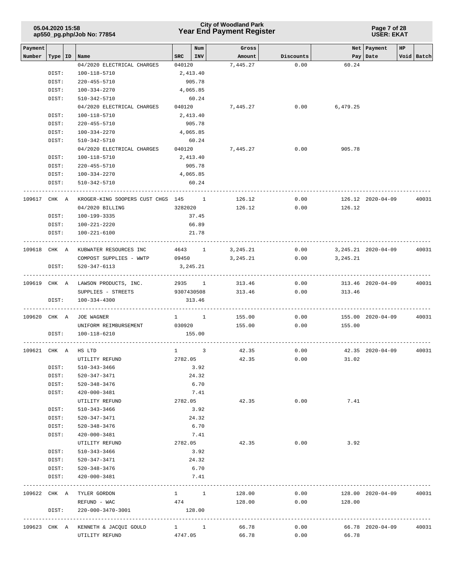|              | 05.04.2020 15:58 | ap550_pg.php/Job No: 77854          |                      |                                   | <b>City of Woodland Park</b><br><b>Year End Payment Register</b> |                                 | Page 7 of 28<br><b>USER: EKAT</b> |                       |    |            |  |  |  |
|--------------|------------------|-------------------------------------|----------------------|-----------------------------------|------------------------------------------------------------------|---------------------------------|-----------------------------------|-----------------------|----|------------|--|--|--|
| Payment      |                  |                                     |                      | Num                               | Gross                                                            |                                 |                                   | Net Payment           | HP |            |  |  |  |
| Number       | Type   ID        | Name<br>04/2020 ELECTRICAL CHARGES  | <b>SRC</b><br>040120 | INV                               | Amount<br>7,445.27                                               | Discounts<br>0.00               | 60.24                             | Pay Date              |    | Void Batch |  |  |  |
|              | DIST:            | 100-118-5710                        |                      | 2,413.40                          |                                                                  |                                 |                                   |                       |    |            |  |  |  |
|              | DIST:            | 220-455-5710                        |                      | 905.78                            |                                                                  |                                 |                                   |                       |    |            |  |  |  |
|              | DIST:            | 100-334-2270                        |                      | 4,065.85                          |                                                                  |                                 |                                   |                       |    |            |  |  |  |
|              | DIST:            | 510-342-5710                        |                      | 60.24                             |                                                                  |                                 |                                   |                       |    |            |  |  |  |
|              |                  | 04/2020 ELECTRICAL CHARGES          | 040120               |                                   | 7,445.27                                                         | 0.00                            | 6,479.25                          |                       |    |            |  |  |  |
|              | DIST:            | 100-118-5710                        |                      | 2,413.40                          |                                                                  |                                 |                                   |                       |    |            |  |  |  |
|              | DIST:            | 220-455-5710                        |                      | 905.78                            |                                                                  |                                 |                                   |                       |    |            |  |  |  |
|              | DIST:            | 100-334-2270                        |                      | 4,065.85                          |                                                                  |                                 |                                   |                       |    |            |  |  |  |
|              | DIST:            | 510-342-5710                        |                      | 60.24                             |                                                                  |                                 |                                   |                       |    |            |  |  |  |
|              |                  | 04/2020 ELECTRICAL CHARGES          | 040120               |                                   | 7,445.27                                                         | 0.00                            | 905.78                            |                       |    |            |  |  |  |
|              |                  |                                     |                      |                                   |                                                                  |                                 |                                   |                       |    |            |  |  |  |
|              | DIST:            | 100-118-5710                        |                      | 2,413.40                          |                                                                  |                                 |                                   |                       |    |            |  |  |  |
|              | DIST:            | 220-455-5710                        |                      | 905.78                            |                                                                  |                                 |                                   |                       |    |            |  |  |  |
|              | DIST:            | 100-334-2270                        |                      | 4,065.85                          |                                                                  |                                 |                                   |                       |    |            |  |  |  |
|              | DIST:            | 510-342-5710                        |                      | 60.24                             |                                                                  |                                 |                                   |                       |    |            |  |  |  |
| 109617       | CHK A            | KROGER-KING SOOPERS CUST CHGS 145 1 |                      |                                   | 126.12                                                           | 0.00                            |                                   | 126.12 2020-04-09     |    | 40031      |  |  |  |
|              |                  | 04/2020 BILLING                     | 3282020              |                                   | 126.12                                                           | 0.00                            | 126.12                            |                       |    |            |  |  |  |
|              | DIST:            | 100-199-3335                        |                      | 37.45                             |                                                                  |                                 |                                   |                       |    |            |  |  |  |
|              | DIST:            | 100-221-2220                        |                      | 66.89                             |                                                                  |                                 |                                   |                       |    |            |  |  |  |
|              | DIST:            | $100 - 221 - 6100$                  |                      | 21.78                             |                                                                  |                                 |                                   |                       |    |            |  |  |  |
|              |                  |                                     |                      |                                   |                                                                  |                                 |                                   |                       |    |            |  |  |  |
| 109618 CHK A |                  | KUBWATER RESOURCES INC              |                      | 4643 1                            | 3,245.21                                                         | 0.00                            |                                   | 3, 245. 21 2020-04-09 |    | 40031      |  |  |  |
|              |                  | COMPOST SUPPLIES - WWTP             | 09450                |                                   | 3,245.21                                                         | 0.00                            | 3,245.21                          |                       |    |            |  |  |  |
|              | DIST:            | 520-347-6113                        |                      | 3,245.21                          |                                                                  |                                 |                                   |                       |    |            |  |  |  |
| 109619 CHK A |                  | LAWSON PRODUCTS, INC.               |                      | 2935 1                            | 313.46                                                           | 0.00                            |                                   | 313.46 2020-04-09     |    | 40031      |  |  |  |
|              |                  | SUPPLIES - STREETS                  | 9307430508           |                                   | 313.46                                                           | 0.00                            | 313.46                            |                       |    |            |  |  |  |
|              | DIST:            | 100-334-4300                        |                      | 313.46                            |                                                                  |                                 |                                   |                       |    |            |  |  |  |
| 109620 CHK A |                  | JOE WAGNER                          |                      | $1 \quad 1$                       | 155.00                                                           | 0.00                            |                                   | 155.00 2020-04-09     |    | 40031      |  |  |  |
|              |                  | UNIFORM REIMBURSEMENT               | 030920               |                                   | 155.00                                                           | 0.00                            | 155.00                            |                       |    |            |  |  |  |
|              | DIST:            | 100-118-6210                        |                      | 155.00                            |                                                                  |                                 |                                   |                       |    |            |  |  |  |
|              |                  | 109621 CHK A HS LTD                 | $\mathbf{1}$         | 3                                 | 42.35                                                            | 0.00                            |                                   | 42.35 2020-04-09      |    | 40031      |  |  |  |
|              |                  | UTILITY REFUND                      | 2782.05              |                                   | 42.35                                                            | 0.00                            | 31.02                             |                       |    |            |  |  |  |
|              | DIST:            | 510-343-3466                        |                      | 3.92                              |                                                                  |                                 |                                   |                       |    |            |  |  |  |
|              | DIST:            | 520-347-3471                        |                      | 24.32                             |                                                                  |                                 |                                   |                       |    |            |  |  |  |
|              | DIST:            | 520-348-3476                        |                      | 6.70                              |                                                                  |                                 |                                   |                       |    |            |  |  |  |
|              | DIST:            | 420-000-3481                        |                      | 7.41                              |                                                                  |                                 |                                   |                       |    |            |  |  |  |
|              |                  | UTILITY REFUND                      |                      | 2782.05                           | 42.35                                                            | 0.00                            | 7.41                              |                       |    |            |  |  |  |
|              | DIST:            | 510-343-3466                        |                      | 3.92                              |                                                                  |                                 |                                   |                       |    |            |  |  |  |
|              | DIST:            | 520-347-3471                        |                      | 24.32                             |                                                                  |                                 |                                   |                       |    |            |  |  |  |
|              | DIST:            | 520-348-3476                        |                      | 6.70                              |                                                                  |                                 |                                   |                       |    |            |  |  |  |
|              | DIST:            | 420-000-3481                        |                      | 7.41                              |                                                                  |                                 |                                   |                       |    |            |  |  |  |
|              |                  | UTILITY REFUND                      | 2782.05              |                                   | 42.35                                                            | 0.00                            | 3.92                              |                       |    |            |  |  |  |
|              | DIST:            | 510-343-3466                        |                      | 3.92                              |                                                                  |                                 |                                   |                       |    |            |  |  |  |
|              | DIST:            | 520-347-3471                        |                      | 24.32                             |                                                                  |                                 |                                   |                       |    |            |  |  |  |
|              | DIST:            | 520-348-3476                        |                      | 6.70                              |                                                                  |                                 |                                   |                       |    |            |  |  |  |
|              | DIST:            | 420-000-3481                        |                      | 7.41                              |                                                                  |                                 |                                   |                       |    |            |  |  |  |
|              |                  |                                     |                      |                                   |                                                                  | ------------------------------- |                                   |                       |    |            |  |  |  |
|              |                  | 109622 CHK A TYLER GORDON           |                      | $1 \qquad \qquad 1 \qquad \qquad$ | 128.00                                                           | 0.00                            |                                   | 128.00 2020-04-09     |    | 40031      |  |  |  |
|              |                  | REFUND - WAC                        | 474                  |                                   | 128.00                                                           | 0.00                            | 128.00                            |                       |    |            |  |  |  |
|              | DIST:            | 220-000-3470-3001                   |                      | 128.00                            |                                                                  |                                 |                                   |                       |    |            |  |  |  |
|              |                  | 109623 CHK A KENNETH & JACQUI GOULD |                      | $1 \quad 1$                       | 66.78                                                            | 0.00                            |                                   | 66.78 2020-04-09      |    | 40031      |  |  |  |
|              |                  | UTILITY REFUND                      | 4747.05              |                                   | 66.78                                                            | 0.00                            | 66.78                             |                       |    |            |  |  |  |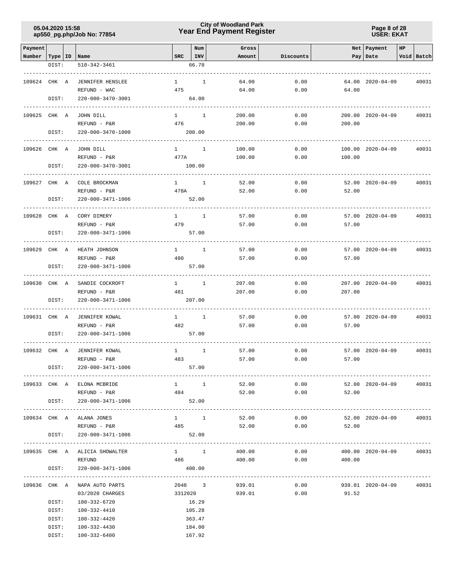### **Year End Payment Register City of Woodland Park 05.04.2020 15:58**

**Page 8 of 28 USER: EKAT**

|                   |       |                                         |                        |                          |                 |                                                                                               |                         | Net Payment              |    |            |
|-------------------|-------|-----------------------------------------|------------------------|--------------------------|-----------------|-----------------------------------------------------------------------------------------------|-------------------------|--------------------------|----|------------|
| Payment<br>Number |       | Type   ID   Name                        | SRC                    | Num<br>INV               | Gross<br>Amount | Discounts                                                                                     |                         | Pay Date                 | HP | Void Batch |
|                   | DIST: | 510-342-3461                            |                        | 66.78                    |                 |                                                                                               |                         |                          |    |            |
|                   |       |                                         |                        |                          |                 |                                                                                               |                         |                          |    |            |
| 109624 CHK A      |       | <b>JENNIFER HENSLEE</b>                 | $\mathbf{1}$           | 1                        | 64.00           | 0.00                                                                                          |                         | 64.00 2020-04-09         |    | 40031      |
|                   |       | REFUND - WAC                            | 475                    |                          | 64.00           | 0.00                                                                                          | 64.00                   |                          |    |            |
|                   | DIST: | 220-000-3470-3001                       |                        | 64.00                    |                 |                                                                                               |                         |                          |    |            |
|                   |       |                                         |                        |                          |                 |                                                                                               |                         |                          |    |            |
| 109625 CHK A      |       | JOHN DILL                               | $1 \qquad \qquad$      | $\mathbf{1}$             | 200.00          | 0.00                                                                                          |                         | 200.00 2020-04-09        |    | 40031      |
|                   |       | REFUND - P&R                            | 476                    |                          | 200.00          | 0.00                                                                                          | 200.00                  |                          |    |            |
|                   | DIST: | 220-000-3470-1000                       |                        | 200.00                   |                 |                                                                                               |                         |                          |    |            |
| 109626 CHK A      |       | JOHN DILL                               | $1 \quad \cdots$       | $\mathbf{1}$             | 100.00          | 0.00                                                                                          |                         | 100.00 2020-04-09        |    | 40031      |
|                   |       | REFUND - P&R                            | 477A                   |                          | 100.00          | 0.00                                                                                          | 100.00                  |                          |    |            |
|                   | DIST: | 220-000-3470-3001                       |                        | 100.00                   |                 |                                                                                               |                         |                          |    |            |
|                   |       |                                         |                        |                          |                 |                                                                                               |                         |                          |    |            |
| 109627 CHK A      |       | COLE BROCKMAN                           | $\mathbf{1}$           | <sup>1</sup>             | 52.00           | 0.00                                                                                          |                         | 52.00 2020-04-09         |    | 40031      |
|                   |       | REFUND - P&R                            | 478A                   |                          | 52.00           | 0.00                                                                                          | 52.00                   |                          |    |            |
|                   | DIST: | 220-000-3471-1006                       |                        | 52.00                    |                 |                                                                                               |                         |                          |    |            |
| 109628 CHK A      |       | CORY DIMERY                             | $\mathbf{1}$           | <sup>1</sup>             | 57.00           | 0.00                                                                                          |                         | 57.00 2020-04-09         |    | 40031      |
|                   |       | REFUND - P&R                            | 479                    |                          | 57.00           | 0.00                                                                                          | 57.00                   |                          |    |            |
|                   | DIST: | 220-000-3471-1006                       |                        | 57.00                    |                 |                                                                                               |                         |                          |    |            |
|                   |       |                                         |                        |                          |                 |                                                                                               |                         |                          |    |            |
| 109629 CHK A      |       | HEATH JOHNSON                           | $1 \quad$              | $\mathbf{1}$             | 57.00           | 0.00                                                                                          |                         | $57.00$ $2020 - 04 - 09$ |    | 40031      |
|                   |       | REFUND - P&R                            | 480                    |                          | 57.00           | 0.00                                                                                          | 57.00                   |                          |    |            |
|                   | DIST: | 220-000-3471-1006                       |                        | 57.00                    |                 |                                                                                               |                         |                          |    |            |
| 109630 CHK A      |       | SANDIE COCKROFT                         |                        | $1 \quad 1$              | 207.00          | 0.00                                                                                          |                         | 207.00 2020-04-09        |    | 40031      |
|                   |       | REFUND - P&R                            | 481                    |                          | 207.00          | 0.00                                                                                          | 207.00                  |                          |    |            |
|                   | DIST: | 220-000-3471-1006                       |                        | 207.00                   |                 |                                                                                               |                         |                          |    |            |
|                   |       |                                         |                        |                          |                 |                                                                                               |                         |                          |    |            |
| 109631 CHK A      |       | <b>JENNIFER KOWAL</b>                   | $1 \quad \blacksquare$ | $\overline{\phantom{a}}$ | 57.00           | 0.00                                                                                          |                         | 57.00 2020-04-09         |    | 40031      |
|                   |       | REFUND - P&R                            | 482                    |                          | 57.00           | 0.00                                                                                          | 57.00                   |                          |    |            |
|                   | DIST: | 220-000-3471-1006                       |                        | 57.00                    |                 |                                                                                               |                         |                          |    |            |
| 109632 CHK A      |       | <b>JENNIFER KOWAL</b>                   | $\mathbf{1}$           | $\mathbf{1}$             | 57.00           | 0.00                                                                                          |                         | 57.00 2020-04-09         |    | 40031      |
|                   |       | REFUND - P&R                            | 483                    |                          | 57.00           | 0.00                                                                                          | 57.00                   |                          |    |            |
|                   | DIST: | 220-000-3471-1006                       |                        | 57.00                    |                 |                                                                                               |                         |                          |    |            |
|                   |       |                                         |                        |                          |                 |                                                                                               |                         |                          |    |            |
|                   |       | 109633 CHK A ELONA MCBRIDE              |                        | $1 \quad 1 \quad 1$      | 52.00           |                                                                                               | $0.00$ 52.00 2020-04-09 |                          |    | 40031      |
|                   |       | REFUND - P&R                            | 484                    |                          | 52.00           |                                                                                               | $0.00$ 52.00            |                          |    |            |
|                   |       | DIST: 220-000-3471-1006                 |                        | 52.00                    |                 |                                                                                               |                         |                          |    |            |
|                   |       | 109634 CHK A ALANA JONES                |                        | $1 \quad 1$              | 52.00           | 0.00                                                                                          |                         | 52.00 2020-04-09         |    | 40031      |
|                   |       | REFUND - P&R                            | 485                    |                          | 52.00           | 0.00                                                                                          | 52.00                   |                          |    |            |
|                   |       | DIST: 220-000-3471-1006                 |                        | 52.00                    |                 |                                                                                               |                         |                          |    |            |
|                   |       |                                         |                        |                          |                 |                                                                                               |                         |                          |    |            |
|                   |       | 109635 CHK A ALICIA SHOWALTER<br>REFUND |                        |                          |                 | $1 \qquad \qquad 1 \qquad \qquad 400.00 \qquad \qquad 0.00$<br>$486$ $400.00$ $0.00$ $400.00$ |                         | 400.00 2020-04-09        |    | 40031      |
|                   | DIST: | 220-000-3471-1006                       |                        | 400.00                   |                 |                                                                                               |                         |                          |    |            |
|                   |       |                                         |                        |                          |                 |                                                                                               |                         |                          |    |            |
|                   |       | 109636 CHK A NAPA AUTO PARTS            |                        | 2048 3                   | 939.01          | 0.00                                                                                          |                         | 939.01 2020-04-09        |    | 40031      |
|                   |       | 03/2020 CHARGES                         |                        | 3312020                  |                 | 939.01 0.00                                                                                   | 91.52                   |                          |    |            |
|                   | DIST: | 100-332-6720                            |                        | 16.29                    |                 |                                                                                               |                         |                          |    |            |
|                   | DIST: | 100-332-4410                            |                        | 105.28                   |                 |                                                                                               |                         |                          |    |            |
|                   | DIST: | 100-332-4420                            |                        | 363.47                   |                 |                                                                                               |                         |                          |    |            |
|                   | DIST: | 100-332-4430                            |                        | 184.00                   |                 |                                                                                               |                         |                          |    |            |
|                   | DIST: | 100-332-6400                            |                        | 167.92                   |                 |                                                                                               |                         |                          |    |            |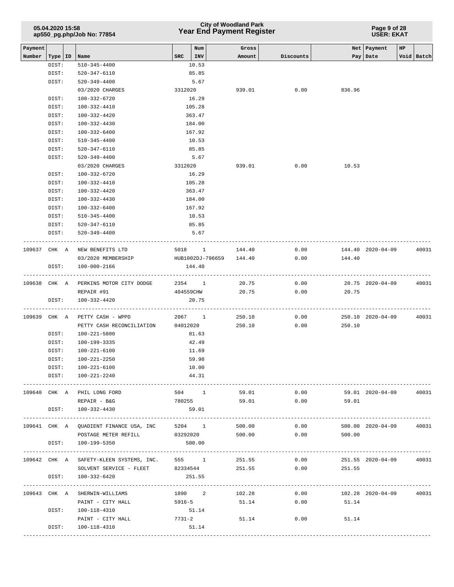|         | 05.04.2020 15:58   | ap550_pg.php/Job No: 77854                           |            | <b>Year End Payment Register</b> | <b>City of Woodland Park</b> | Page 9 of 28<br><b>USER: EKAT</b> |                          |                         |    |                 |
|---------|--------------------|------------------------------------------------------|------------|----------------------------------|------------------------------|-----------------------------------|--------------------------|-------------------------|----|-----------------|
| Payment |                    |                                                      | <b>SRC</b> | Num<br>INV                       | Gross                        |                                   |                          | Net Payment             | HP | Void Batch      |
| Number  | Type   ID<br>DIST: | Name<br>$510 - 345 - 4400$                           |            | 10.53                            | Amount                       | Discounts                         |                          | Pay   Date              |    |                 |
|         | DIST:              | 520-347-6110                                         |            | 85.85                            |                              |                                   |                          |                         |    |                 |
|         | DIST:              | $520 - 349 - 4400$                                   |            | 5.67                             |                              |                                   |                          |                         |    |                 |
|         |                    | 03/2020 CHARGES                                      | 3312020    |                                  | 939.01                       | 0.00                              | 836.96                   |                         |    |                 |
|         | DIST:              | 100-332-6720                                         |            | 16.29                            |                              |                                   |                          |                         |    |                 |
|         | DIST:              | 100-332-4410                                         |            | 105.28                           |                              |                                   |                          |                         |    |                 |
|         | DIST:              | 100-332-4420                                         |            | 363.47                           |                              |                                   |                          |                         |    |                 |
|         | DIST:              | 100-332-4430                                         |            | 184.00                           |                              |                                   |                          |                         |    |                 |
|         | DIST:              | 100-332-6400                                         |            | 167.92                           |                              |                                   |                          |                         |    |                 |
|         | DIST:              | $510 - 345 - 4400$                                   |            | 10.53                            |                              |                                   |                          |                         |    |                 |
|         | DIST:              | 520-347-6110                                         |            | 85.85                            |                              |                                   |                          |                         |    |                 |
|         | DIST:              | $520 - 349 - 4400$                                   |            | 5.67                             |                              |                                   |                          |                         |    |                 |
|         |                    | 03/2020 CHARGES                                      |            | 3312020                          | 939.01                       | 0.00                              | 10.53                    |                         |    |                 |
|         | DIST:              | 100-332-6720                                         |            | 16.29                            |                              |                                   |                          |                         |    |                 |
|         | DIST:              | 100-332-4410                                         |            | 105.28                           |                              |                                   |                          |                         |    |                 |
|         | DIST:              | 100-332-4420                                         |            | 363.47                           |                              |                                   |                          |                         |    |                 |
|         | DIST:              | 100-332-4430                                         |            | 184.00                           |                              |                                   |                          |                         |    |                 |
|         | DIST:              | 100-332-6400                                         |            | 167.92                           |                              |                                   |                          |                         |    |                 |
|         | DIST:              | 510-345-4400                                         |            | 10.53                            |                              |                                   |                          |                         |    |                 |
|         | DIST:              | 520-347-6110                                         |            | 85.85                            |                              |                                   |                          |                         |    |                 |
|         | DIST:              | $520 - 349 - 4400$                                   |            | 5.67                             |                              |                                   |                          |                         |    |                 |
|         | 109637 CHK A       | NEW BENEFITS LTD                                     |            | 5018 1 144.40                    |                              | 0.00                              |                          | 144.40 2020-04-09       |    | 40031           |
|         |                    | 03/2020 MEMBERSHIP                                   |            | HUB1002DJ-796659 144.40          |                              | 0.00                              | 144.40                   |                         |    |                 |
|         | DIST:              | 100-000-2166                                         |            | 144.40                           |                              |                                   |                          |                         |    |                 |
|         |                    | 109638 CHK A PERKINS MOTOR CITY DODGE                |            | 2354 1                           | 20.75                        | 0.00                              |                          | 20.75 2020-04-09        |    | 40031           |
|         |                    | REPAIR #91                                           |            | 404559CHW                        | 20.75                        | 0.00                              | 20.75                    |                         |    |                 |
|         | DIST:              | 100-332-4420                                         |            | 20.75                            |                              |                                   |                          |                         |    |                 |
|         | 109639 CHK A       | PETTY CASH - WPPD                                    |            | 2067 1                           | 250.10                       | 0.00                              |                          | 250.10 2020-04-09       |    | 40031           |
|         |                    | PETTY CASH RECONCILIATION 04012020                   |            |                                  | 250.10                       | 0.00                              | 250.10                   |                         |    |                 |
|         | DIST:              | 100-221-5800                                         |            | 81.63                            |                              |                                   |                          |                         |    |                 |
|         | DIST:              | 100-199-3335                                         |            | 42.49                            |                              |                                   |                          |                         |    |                 |
|         | DIST:              | 100-221-6100                                         |            | 11.69                            |                              |                                   |                          |                         |    |                 |
|         | DIST:              | 100-221-2250                                         |            | 59.98                            |                              |                                   |                          |                         |    |                 |
|         |                    | DIST: 100-221-6100                                   |            | 10.00                            |                              |                                   |                          |                         |    |                 |
|         |                    | DIST: 100-221-2240                                   |            | 44.31                            |                              |                                   |                          |                         |    |                 |
|         |                    | 109640 CHK A PHIL LONG FORD                          |            | 504 1                            | 59.01                        | 0.00                              |                          | 59.01 2020-04-09 40031  |    |                 |
|         |                    | REPAIR - B&G                                         |            |                                  |                              | 780255 59.01 0.00 59.01           |                          |                         |    |                 |
|         |                    | DIST: 100-332-4430                                   |            | 59.01                            |                              |                                   |                          |                         |    |                 |
|         |                    | 109641 CHK A QUADIENT FINANCE USA, INC               |            | 5204 1                           | 500.00                       | 0.00                              |                          | 500.00 2020-04-09 40031 |    |                 |
|         |                    | POSTAGE METER REFILL                                 | 03292020   |                                  | 500.00                       | 0.00                              | 500.00                   |                         |    |                 |
|         |                    | DIST: 100-199-5350                                   |            | 500.00                           |                              |                                   |                          |                         |    |                 |
|         |                    | 109642 CHK A SAFETY-KLEEN SYSTEMS, INC. 555 1 251.55 |            |                                  |                              |                                   | $0.00$ 251.55 2020-04-09 |                         |    | 40031           |
|         |                    | SOLVENT SERVICE - FLEET 82334544                     |            |                                  | 251.55                       |                                   | $0.00$ 251.55            |                         |    |                 |
|         |                    | DIST: 100-332-6420                                   |            | 251.55                           |                              |                                   |                          |                         |    | --------------- |
|         |                    | 109643 CHK A SHERWIN-WILLIAMS                        |            | 1890 2                           | 102.28                       | 0.00                              |                          | 102.28 2020-04-09 40031 |    |                 |
|         |                    | PAINT - CITY HALL                                    | 5916-5     |                                  | 51.14                        | 0.00                              | 51.14                    |                         |    |                 |
|         | DIST:              | 100-118-4310                                         |            | 51.14                            |                              |                                   |                          |                         |    |                 |
|         |                    | PAINT - CITY HALL                                    | 7731-2     |                                  | 51.14                        | 0.00                              | 51.14                    |                         |    |                 |
|         | DIST:              | 100-118-4310                                         |            | 51.14                            |                              |                                   |                          |                         |    |                 |

-----------------------------------------------------------------------------------------------------------------------------------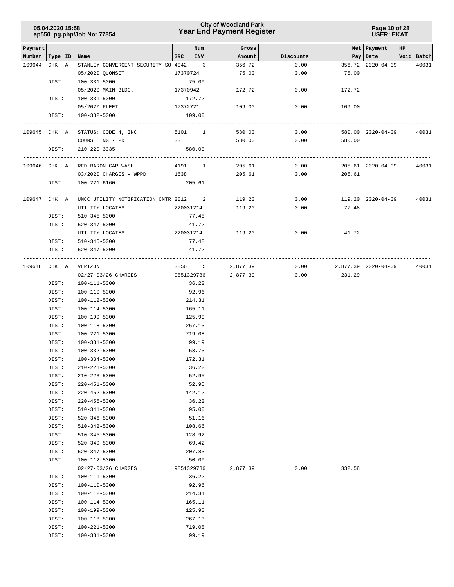### **Year End Payment Register City of Woodland Park 05.04.2020 15:58**

**Page 10 of 28 USER: EKAT**

| Payment      |                |                                          |          | Num             | Gross    |           |                     | Net   Payment     | HP |            |
|--------------|----------------|------------------------------------------|----------|-----------------|----------|-----------|---------------------|-------------------|----|------------|
| Number       |                | Type ID Name                             |          | $SRC$   INV     | Amount   | Discounts |                     | Pay   Date        |    | Void Batch |
| 109644       | CHK A          | STANLEY CONVERGENT SECURITY SO 4042 3    |          |                 | 356.72   | 0.00      |                     | 356.72 2020-04-09 |    | 40031      |
|              |                | 05/2020 QUONSET                          | 17370724 |                 | 75.00    | 0.00      | 75.00               |                   |    |            |
|              | DIST:          | 100-331-5000                             |          | 75.00           |          |           |                     |                   |    |            |
|              |                | 05/2020 MAIN BLDG.                       | 17370942 |                 | 172.72   | 0.00      | 172.72              |                   |    |            |
|              | DIST:          | 100-331-5000                             |          | 172.72          |          |           |                     |                   |    |            |
|              |                | 05/2020 FLEET                            | 17372721 |                 | 109.00   | 0.00      | 109.00              |                   |    |            |
|              | DIST:          | 100-332-5000                             |          | 109.00          |          |           |                     |                   |    |            |
|              |                | 109645 CHK A STATUS: CODE 4, INC         |          | 5101 1          | 580.00   | 0.00      |                     | 580.00 2020-04-09 |    | 40031      |
|              |                | COUNSELING - PD                          |          | 33              | 580.00   | 0.00      | 580.00              |                   |    |            |
|              | DIST:          | 210-220-3335                             |          | 580.00          |          |           |                     |                   |    |            |
|              |                |                                          |          |                 |          |           |                     |                   |    |            |
|              |                | 109646 CHK A RED BARON CAR WASH          |          | 4191 1          | 205.61   | 0.00      |                     | 205.61 2020-04-09 |    | 40031      |
|              |                | 03/2020 CHARGES - WPPD 1638              |          |                 | 205.61   |           | 0.00<br>205.61      |                   |    |            |
|              | DIST:          | 100-221-6160                             |          | 205.61          |          |           |                     |                   |    |            |
|              |                |                                          |          |                 |          |           |                     |                   |    |            |
| 109647 CHK A |                | UNCC UTILITY NOTIFICATION CNTR 2012 2    |          |                 | 119.20   | 0.00      |                     | 119.20 2020-04-09 |    | 40031      |
|              |                | UTILITY LOCATES                          |          | 220031214       | 119.20   | 0.00      | 77.48               |                   |    |            |
|              | DIST:          | 510-345-5000                             |          | 77.48           |          |           |                     |                   |    |            |
|              | DIST:          | 520-347-5000                             |          | 41.72           |          |           |                     |                   |    |            |
|              |                | UTILITY LOCATES                          |          | 220031214       | 119.20   | 0.00      | 41.72               |                   |    |            |
|              | DIST:          | 510-345-5000                             |          | 77.48           |          |           |                     |                   |    |            |
|              | DIST:          | 520-347-5000                             |          | 41.72           |          |           |                     |                   |    |            |
|              |                |                                          |          |                 |          |           |                     |                   |    |            |
| 109648 CHK A |                | VERIZON                                  |          | 3856 5          | 2,877.39 | 0.00      | 2,877.39 2020-04-09 |                   |    | 40031      |
|              |                | 02/27-03/26 CHARGES                      |          | 9851329786      | 2,877.39 | 0.00      | 231.29              |                   |    |            |
|              | DIST:          | 100-111-5300                             |          | 36.22           |          |           |                     |                   |    |            |
|              | DIST:          | 100-110-5300                             |          | 92.96           |          |           |                     |                   |    |            |
|              | DIST:          | 100-112-5300                             |          | 214.31          |          |           |                     |                   |    |            |
|              | DIST:          | 100-114-5300                             |          | 165.11          |          |           |                     |                   |    |            |
|              | DIST:          | 100-199-5300                             |          | 125.90          |          |           |                     |                   |    |            |
|              | DIST:          | 100-118-5300                             |          | 267.13          |          |           |                     |                   |    |            |
|              | DIST:          | 100-221-5300                             |          | 719.08          |          |           |                     |                   |    |            |
|              | DIST:          | 100-331-5300                             |          | 99.19           |          |           |                     |                   |    |            |
|              | DIST:          | 100-332-5300                             |          | 53.73           |          |           |                     |                   |    |            |
|              | DIST:          | $100 - 334 - 5300$                       |          | 172.31          |          |           |                     |                   |    |            |
|              | DIST:          | 210-221-5300                             |          | 36.22           |          |           |                     |                   |    |            |
|              | DIST:          | $210 - 223 - 5300$                       |          | 52.95           |          |           |                     |                   |    |            |
|              | DIST:<br>DIST: | $220 - 451 - 5300$<br>$220 - 452 - 5300$ |          | 52.95<br>142.12 |          |           |                     |                   |    |            |
|              | DIST:          | $220 - 455 - 5300$                       |          | 36.22           |          |           |                     |                   |    |            |
|              |                | 510-341-5300                             |          | 95.00           |          |           |                     |                   |    |            |
|              | DIST:<br>DIST: | $520 - 346 - 5300$                       |          | 51.16           |          |           |                     |                   |    |            |
|              | DIST:          | 510-342-5300                             |          | 108.66          |          |           |                     |                   |    |            |
|              | DIST:          | 510-345-5300                             |          | 128.92          |          |           |                     |                   |    |            |
|              | DIST:          | 520-349-5300                             |          | 69.42           |          |           |                     |                   |    |            |
|              | DIST:          | 520-347-5300                             |          | 207.83          |          |           |                     |                   |    |            |
|              | DIST:          | 100-112-5300                             |          | $50.00 -$       |          |           |                     |                   |    |            |
|              |                | 02/27-03/26 CHARGES                      |          | 9851329786      | 2,877.39 | 0.00      | 332.58              |                   |    |            |
|              | DIST:          | 100-111-5300                             |          | 36.22           |          |           |                     |                   |    |            |
|              | DIST:          | 100-110-5300                             |          | 92.96           |          |           |                     |                   |    |            |
|              | DIST:          | 100-112-5300                             |          | 214.31          |          |           |                     |                   |    |            |
|              | DIST:          | 100-114-5300                             |          | 165.11          |          |           |                     |                   |    |            |
|              | DIST:          | 100-199-5300                             |          | 125.90          |          |           |                     |                   |    |            |
|              | DIST:          | 100-118-5300                             |          | 267.13          |          |           |                     |                   |    |            |
|              | DIST:          | $100 - 221 - 5300$                       |          | 719.08          |          |           |                     |                   |    |            |
|              | DIST:          | 100-331-5300                             |          | 99.19           |          |           |                     |                   |    |            |
|              |                |                                          |          |                 |          |           |                     |                   |    |            |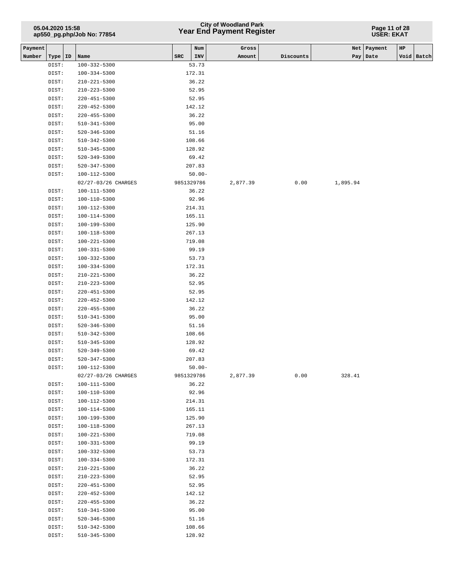# **Year End Payment Register City of Woodland Park 05.04.2020 15:58**

#### **Page 11 of 28 USER: EKAT**

| Payment |                |                              |            | Num            | Gross    |           | Net      | Payment    | $_{\rm HP}$ |            |
|---------|----------------|------------------------------|------------|----------------|----------|-----------|----------|------------|-------------|------------|
| Number  | Type   ID      | Name                         | SRC        | INV            | Amount   | Discounts |          | Pay   Date |             | Void Batch |
|         | DIST:          | $100 - 332 - 5300$           |            | 53.73          |          |           |          |            |             |            |
|         | DIST:          | 100-334-5300                 |            | 172.31         |          |           |          |            |             |            |
|         | DIST:          | 210-221-5300                 |            | 36.22          |          |           |          |            |             |            |
|         | DIST:          | $210 - 223 - 5300$           |            | 52.95          |          |           |          |            |             |            |
|         | DIST:          | 220-451-5300                 |            | 52.95          |          |           |          |            |             |            |
|         | DIST:          | 220-452-5300                 |            | 142.12         |          |           |          |            |             |            |
|         | DIST:          | 220-455-5300                 |            | 36.22          |          |           |          |            |             |            |
|         | DIST:          | 510-341-5300                 |            | 95.00          |          |           |          |            |             |            |
|         | DIST:          | $520 - 346 - 5300$           |            | 51.16          |          |           |          |            |             |            |
|         | DIST:          | 510-342-5300                 |            | 108.66         |          |           |          |            |             |            |
|         | DIST:          | 510-345-5300                 |            | 128.92         |          |           |          |            |             |            |
|         | DIST:          | 520-349-5300                 |            | 69.42          |          |           |          |            |             |            |
|         | DIST:          | 520-347-5300                 |            | 207.83         |          |           |          |            |             |            |
|         | DIST:          | 100-112-5300                 |            | $50.00 -$      |          |           |          |            |             |            |
|         |                | 02/27-03/26 CHARGES          | 9851329786 |                | 2,877.39 | 0.00      | 1,895.94 |            |             |            |
|         | DIST:          | 100-111-5300                 |            | 36.22          |          |           |          |            |             |            |
|         | DIST:          | 100-110-5300                 |            | 92.96          |          |           |          |            |             |            |
|         | DIST:          | 100-112-5300                 |            | 214.31         |          |           |          |            |             |            |
|         | DIST:          | 100-114-5300                 |            | 165.11         |          |           |          |            |             |            |
|         | DIST:          | 100-199-5300                 |            | 125.90         |          |           |          |            |             |            |
|         | DIST:          | 100-118-5300                 |            | 267.13         |          |           |          |            |             |            |
|         | DIST:          | 100-221-5300                 |            | 719.08         |          |           |          |            |             |            |
|         | DIST:          | 100-331-5300                 |            | 99.19          |          |           |          |            |             |            |
|         | DIST:          | 100-332-5300                 |            | 53.73          |          |           |          |            |             |            |
|         | DIST:          | 100-334-5300                 |            | 172.31         |          |           |          |            |             |            |
|         | DIST:          | 210-221-5300                 |            | 36.22          |          |           |          |            |             |            |
|         | DIST:          | 210-223-5300                 |            | 52.95          |          |           |          |            |             |            |
|         | DIST:          | 220-451-5300                 |            | 52.95          |          |           |          |            |             |            |
|         | DIST:          | 220-452-5300                 |            | 142.12         |          |           |          |            |             |            |
|         | DIST:          | 220-455-5300                 |            | 36.22          |          |           |          |            |             |            |
|         | DIST:<br>DIST: | 510-341-5300<br>520-346-5300 |            | 95.00<br>51.16 |          |           |          |            |             |            |
|         | DIST:          | 510-342-5300                 |            | 108.66         |          |           |          |            |             |            |
|         | DIST:          | 510-345-5300                 |            | 128.92         |          |           |          |            |             |            |
|         | DIST:          | 520-349-5300                 |            | 69.42          |          |           |          |            |             |            |
|         | DIST:          | $520 - 347 - 5300$           |            | 207.83         |          |           |          |            |             |            |
|         | DIST:          | 100-112-5300                 |            | $50.00 -$      |          |           |          |            |             |            |
|         |                | 02/27-03/26 CHARGES          | 9851329786 |                | 2,877.39 | 0.00      | 328.41   |            |             |            |
|         | DIST:          | 100-111-5300                 |            | 36.22          |          |           |          |            |             |            |
|         | DIST:          | 100-110-5300                 |            | 92.96          |          |           |          |            |             |            |
|         | DIST:          | 100-112-5300                 |            | 214.31         |          |           |          |            |             |            |
|         | DIST:          | 100-114-5300                 |            | 165.11         |          |           |          |            |             |            |
|         | DIST:          | 100-199-5300                 |            | 125.90         |          |           |          |            |             |            |
|         | DIST:          | $100 - 118 - 5300$           |            | 267.13         |          |           |          |            |             |            |
|         | DIST:          | 100-221-5300                 |            | 719.08         |          |           |          |            |             |            |
|         | DIST:          | 100-331-5300                 |            | 99.19          |          |           |          |            |             |            |
|         | DIST:          | 100-332-5300                 |            | 53.73          |          |           |          |            |             |            |
|         | DIST:          | 100-334-5300                 |            | 172.31         |          |           |          |            |             |            |
|         | DIST:          | $210 - 221 - 5300$           |            | 36.22          |          |           |          |            |             |            |
|         | DIST:          | 210-223-5300                 |            | 52.95          |          |           |          |            |             |            |
|         | DIST:          | $220 - 451 - 5300$           |            | 52.95          |          |           |          |            |             |            |
|         | DIST:          | $220 - 452 - 5300$           |            | 142.12         |          |           |          |            |             |            |
|         | DIST:          | $220 - 455 - 5300$           |            | 36.22          |          |           |          |            |             |            |
|         | DIST:          | 510-341-5300                 |            | 95.00          |          |           |          |            |             |            |
|         | DIST:          | 520-346-5300                 |            | 51.16          |          |           |          |            |             |            |
|         | DIST:          | 510-342-5300                 |            | 108.66         |          |           |          |            |             |            |
|         | DIST:          | 510-345-5300                 |            | 128.92         |          |           |          |            |             |            |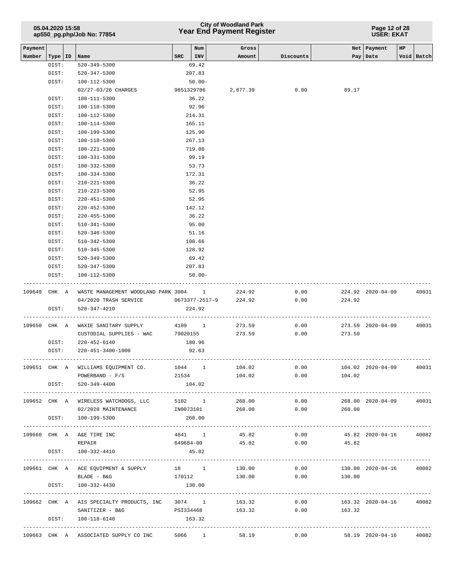## **Year End Payment Register City of Woodland Park 05.04.2020 15:58**

**Page 12 of 28 USER: EKAT**

| Payment      |       |                                                        |             | Num       | Gross                    |           |                             | Net   Payment         | HP |            |
|--------------|-------|--------------------------------------------------------|-------------|-----------|--------------------------|-----------|-----------------------------|-----------------------|----|------------|
| Number       |       | Type   ID   Name                                       | $SRC$   INV |           | Amount                   | Discounts |                             | Pay   Date            |    | Void Batch |
|              | DIST: | 520-349-5300                                           |             | 69.42     |                          |           |                             |                       |    |            |
|              | DIST: | 520-347-5300                                           |             | 207.83    |                          |           |                             |                       |    |            |
|              | DIST: | 100-112-5300                                           |             | $50.00 -$ |                          |           |                             |                       |    |            |
|              |       | 02/27-03/26 CHARGES                                    | 9851329786  |           | 2,877.39                 | 0.00      | 89.17                       |                       |    |            |
|              | DIST: | 100-111-5300                                           |             | 36.22     |                          |           |                             |                       |    |            |
|              | DIST: | 100-110-5300                                           |             | 92.96     |                          |           |                             |                       |    |            |
|              | DIST: | 100-112-5300                                           |             | 214.31    |                          |           |                             |                       |    |            |
|              | DIST: | 100-114-5300                                           |             | 165.11    |                          |           |                             |                       |    |            |
|              | DIST: | 100-199-5300                                           |             | 125.90    |                          |           |                             |                       |    |            |
|              | DIST: | 100-118-5300                                           |             | 267.13    |                          |           |                             |                       |    |            |
|              | DIST: | 100-221-5300                                           |             | 719.08    |                          |           |                             |                       |    |            |
|              | DIST: | 100-331-5300                                           |             | 99.19     |                          |           |                             |                       |    |            |
|              | DIST: | 100-332-5300                                           |             | 53.73     |                          |           |                             |                       |    |            |
|              | DIST: | $100 - 334 - 5300$                                     |             | 172.31    |                          |           |                             |                       |    |            |
|              | DIST: | $210 - 221 - 5300$                                     |             | 36.22     |                          |           |                             |                       |    |            |
|              | DIST: | $210 - 223 - 5300$                                     |             | 52.95     |                          |           |                             |                       |    |            |
|              | DIST: | $220 - 451 - 5300$                                     |             | 52.95     |                          |           |                             |                       |    |            |
|              | DIST: | $220 - 452 - 5300$                                     |             | 142.12    |                          |           |                             |                       |    |            |
|              | DIST: | $220 - 455 - 5300$                                     |             | 36.22     |                          |           |                             |                       |    |            |
|              | DIST: | 510-341-5300                                           |             | 95.00     |                          |           |                             |                       |    |            |
|              | DIST: | 520-346-5300                                           |             | 51.16     |                          |           |                             |                       |    |            |
|              | DIST: | 510-342-5300                                           |             | 108.66    |                          |           |                             |                       |    |            |
|              | DIST: | $510 - 345 - 5300$                                     |             | 128.92    |                          |           |                             |                       |    |            |
|              | DIST: | 520-349-5300                                           |             | 69.42     |                          |           |                             |                       |    |            |
|              | DIST: | 520-347-5300                                           |             | 207.83    |                          |           |                             |                       |    |            |
|              | DIST: | 100-112-5300                                           |             | $50.00 -$ |                          |           |                             |                       |    |            |
|              |       | 109649 CHK A WASTE MANAGEMENT WOODLAND PARK 3004 1     |             |           | 224.92                   | 0.00      |                             | 224.92 2020-04-09     |    | 40031      |
|              |       | 04/2020 TRASH SERVICE                                  |             |           | 0673377-2517-9<br>224.92 | 0.00      | 224.92                      |                       |    |            |
|              | DIST: | 520-347-4210                                           |             | 224.92    |                          |           |                             |                       |    |            |
|              |       |                                                        |             |           |                          |           |                             |                       |    |            |
| 109650 CHK A |       | WAXIE SANITARY SUPPLY                                  | 4189 1      |           | 273.59                   | 0.00      |                             | 273.59 2020-04-09     |    | 40031      |
|              |       | CUSTODIAL SUPPLIES - WAC                               | 79020155    |           | 273.59                   | 0.00      | 273.59                      |                       |    |            |
|              | DIST: | 220-452-6140                                           |             | 180.96    |                          |           |                             |                       |    |            |
|              | DIST: | 220-451-3400-1000                                      |             | 92.63     |                          |           |                             |                       |    |            |
|              |       |                                                        |             |           |                          |           |                             |                       |    |            |
|              |       | 109651 CHK A WILLIAMS EQUIPMENT CO.                    |             |           | 1044 1 104.02            | 0.00      |                             | 104.02 2020-04-09     |    | 40031      |
|              |       | $POWERBAND - F/S$                                      |             |           | 21534<br>104.02          | 0.00      | 104.02                      |                       |    |            |
|              |       | DIST: 520-349-4400                                     |             | 104.02    |                          |           |                             |                       |    |            |
|              |       |                                                        |             |           |                          |           |                             |                       |    |            |
|              |       | 109652 CHK A WIRELESS WATCHDOGS, LLC                   | 5102 1      |           | 268.00                   | 0.00      |                             | 268.00 2020-04-09     |    | 40031      |
|              |       | 02/2020 MAINTENANCE                                    | IN0073101   |           | 268.00                   | 0.00      | 268.00                      |                       |    |            |
|              |       | DIST: 100-199-5300                                     |             | 268.00    |                          |           |                             |                       |    |            |
|              |       |                                                        |             |           |                          |           |                             |                       |    |            |
|              |       | 109660 CHK A A&E TIRE INC                              |             |           | 45.82<br>4841 1          |           | $0.00$ $45.82$ $2020-04-16$ |                       |    | 40082      |
|              |       | REPAIR                                                 |             |           | 649684-00<br>45.82       |           | $0.00$ 45.82                |                       |    |            |
|              | DIST: | 100-332-4410                                           |             | 45.82     |                          |           |                             | --------------------- |    |            |
|              |       | 109661 CHK A ACE EQUIPMENT & SUPPLY                    | 18 1        |           | 130.00                   | 0.00      |                             | 130.00 2020-04-16     |    | 40082      |
|              |       | BLADE - B&G                                            | 170112      |           | 130.00                   | 0.00      | 130.00                      |                       |    |            |
|              | DIST: | 100-332-4430                                           |             | 130.00    |                          |           |                             |                       |    |            |
|              |       |                                                        |             |           |                          |           |                             |                       |    |            |
|              |       | 109662 CHK A AIS SPECIALTY PRODUCTS, INC 3074 1 163.32 |             |           |                          | 0.00      |                             | 163.32 2020-04-16     |    | 40082      |
|              |       | SANITIZER - B&G                                        |             |           | PSI334468 163.32         |           | 0.00<br>163.32              |                       |    |            |
|              | DIST: | 100-118-6140                                           | 163.32      |           |                          |           |                             |                       |    |            |
|              |       |                                                        |             |           |                          |           |                             |                       |    |            |
|              |       | 109663 CHK A ASSOCIATED SUPPLY CO INC                  |             |           | 5066 1<br>58.19          | 0.00      |                             | 58.19 2020-04-16      |    | 40082      |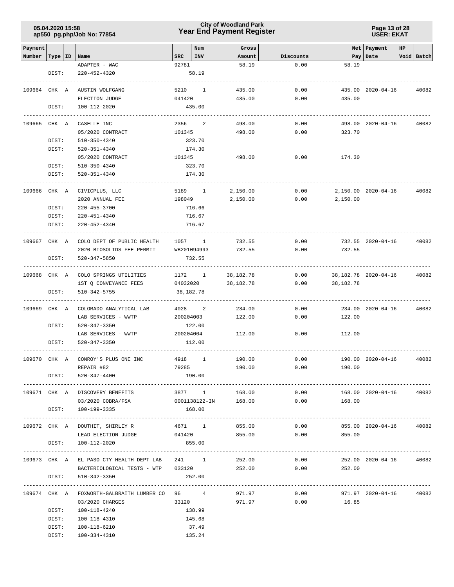### **Year End Payment Register City of Woodland Park 05.04.2020 15:58**

**Page 13 of 28 USER: EKAT**

| Payment      |                |                                                       |           | Num             | Gross                |           |                | Net   Payment        | HP |            |
|--------------|----------------|-------------------------------------------------------|-----------|-----------------|----------------------|-----------|----------------|----------------------|----|------------|
| Number       | Type   ID      | Name                                                  | SRC       | INV             | Amount               | Discounts |                | Pay   Date           |    | Void Batch |
|              | DIST:          | ADAPTER - WAC<br>$220 - 452 - 4320$                   | 92781     | 58.19           | 58.19                | 0.00      | 58.19          |                      |    |            |
|              |                |                                                       |           |                 |                      |           |                |                      |    |            |
| 109664 CHK A |                | AUSTIN WOLFGANG                                       |           | 5210 1          | 435.00               | 0.00      |                | 435.00 2020-04-16    |    | 40082      |
|              |                | ELECTION JUDGE                                        | 041420    |                 | 435.00               | 0.00      | 435.00         |                      |    |            |
|              | DIST:          | 100-112-2020                                          |           | 435.00          |                      |           |                |                      |    |            |
|              |                |                                                       |           |                 |                      |           |                |                      |    |            |
| 109665 CHK A |                | CASELLE INC                                           | 2356 2    |                 | 498.00               | 0.00      |                | 498.00 2020-04-16    |    | 40082      |
|              |                | 05/2020 CONTRACT                                      | 101345    |                 | 498.00               | 0.00      | 323.70         |                      |    |            |
|              | DIST:          | 510-350-4340                                          |           | 323.70          |                      |           |                |                      |    |            |
|              | DIST:          | 520-351-4340                                          |           | 174.30          |                      |           |                |                      |    |            |
|              |                | 05/2020 CONTRACT                                      | 101345    |                 | 498.00               | 0.00      | 174.30         |                      |    |            |
|              | DIST:          | 510-350-4340                                          |           | 323.70          |                      |           |                |                      |    |            |
|              | DIST:          | 520-351-4340                                          |           | 174.30          |                      |           |                |                      |    |            |
| 109666 CHK A |                | CIVICPLUS, LLC                                        |           | 5189 1          | 2,150.00             | 0.00      |                | 2,150.00 2020-04-16  |    | 40082      |
|              |                | 2020 ANNUAL FEE                                       | 198049    |                 | 2,150.00             | 0.00      | 2,150.00       |                      |    |            |
|              | DIST:          | 220-455-3700                                          |           | 716.66          |                      |           |                |                      |    |            |
|              | DIST:          | 220-451-4340                                          |           | 716.67          |                      |           |                |                      |    |            |
|              | DIST:          | 220-452-4340                                          |           | 716.67          |                      |           |                |                      |    |            |
|              |                |                                                       |           |                 |                      |           |                |                      |    |            |
| 109667 CHK A |                | COLO DEPT OF PUBLIC HEALTH                            | 1057 1    |                 | 732.55               | 0.00      |                | 732.55 2020-04-16    |    | 40082      |
|              |                | 2020 BIOSOLIDS FEE PERMIT                             |           | WB201094993     | 732.55               | 0.00      | 732.55         |                      |    |            |
|              | DIST:          | 520-347-5850                                          |           | 732.55          |                      |           |                |                      |    |            |
|              |                |                                                       |           |                 |                      |           |                |                      |    |            |
| 109668 CHK A |                | COLO SPRINGS UTILITIES                                | 1172 1    |                 | 38,182.78            | 0.00      |                | 38,182.78 2020-04-16 |    | 40082      |
|              |                | 1ST Q CONVEYANCE FEES                                 | 04032020  |                 | 38,182.78            | 0.00      | 38,182.78      |                      |    |            |
|              | DIST:          | 510-342-5755                                          | 38,182.78 |                 |                      |           |                |                      |    |            |
| 109669 CHK A |                | COLORADO ANALYTICAL LAB                               | 4028      | $\overline{a}$  | 234.00               | 0.00      |                | 234.00 2020-04-16    |    | 40082      |
|              |                | LAB SERVICES - WWTP                                   | 200204003 |                 | 122.00               | 0.00      | 122.00         |                      |    |            |
|              | DIST:          | 520-347-3350                                          |           | 122.00          |                      |           |                |                      |    |            |
|              |                | LAB SERVICES - WWTP                                   | 200204004 |                 | 112.00               | 0.00      | 112.00         |                      |    |            |
|              | DIST:          | 520-347-3350                                          |           | 112.00          |                      |           |                |                      |    |            |
|              |                |                                                       |           |                 |                      |           |                |                      |    |            |
| 109670       | CHK A          | CONROY'S PLUS ONE INC                                 | 4918      | $\mathbf{1}$    | 190.00               | 0.00      |                | 190.00 2020-04-16    |    | 40082      |
|              |                | REPAIR #82                                            | 79285     |                 | 190.00               | 0.00      | 190.00         |                      |    |            |
|              | DIST:          | 520-347-4400                                          |           | 190.00          |                      |           |                |                      |    |            |
|              |                |                                                       |           |                 |                      |           |                |                      |    |            |
|              |                | 109671 CHK A DISCOVERY BENEFITS                       |           | 3877 1          | 168.00               | 0.00      |                | 168.00 2020-04-16    |    | 40082      |
|              |                | 03/2020 COBRA/FSA                                     |           |                 | 0001138122-IN 168.00 | 0.00      | 168.00         |                      |    |            |
|              |                | DIST: 100-199-3335                                    |           | 168.00          |                      |           |                |                      |    |            |
|              |                | 109672 CHK A DOUTHIT, SHIRLEY R                       |           | 4671 1          | 855.00               | 0.00      |                | 855.00 2020-04-16    |    | 40082      |
|              |                | LEAD ELECTION JUDGE                                   | 041420    |                 | 855.00               | 0.00      | 855.00         |                      |    |            |
|              |                | DIST: 100-112-2020                                    |           | 855.00          |                      |           |                |                      |    |            |
|              |                |                                                       |           |                 |                      |           |                |                      |    |            |
|              |                | 109673 CHK A EL PASO CTY HEALTH DEPT LAB 241 1 252.00 |           |                 |                      | 0.00      |                | 252.00 2020-04-16    |    | 40082      |
|              |                | BACTERIOLOGICAL TESTS - WTP 033120                    |           |                 |                      | 252.00    | 0.00<br>252.00 |                      |    |            |
|              | DIST:          | 510-342-3350                                          |           | 252.00          |                      |           |                |                      |    |            |
|              |                |                                                       |           |                 |                      |           |                |                      |    |            |
|              |                | 109674 CHK A FOXWORTH-GALBRAITH LUMBER CO 96 4        |           |                 | 971.97               | 0.00      |                | 971.97 2020-04-16    |    | 40082      |
|              |                | 03/2020 CHARGES                                       | 33120     |                 | 971.97               | 0.00      | 16.85          |                      |    |            |
|              | DIST:          | 100-118-4240                                          |           | 138.99          |                      |           |                |                      |    |            |
|              | DIST:<br>DIST: | 100-118-4310<br>100-118-6210                          |           | 145.68<br>37.49 |                      |           |                |                      |    |            |
|              | DIST:          | 100-334-4310                                          |           | 135.24          |                      |           |                |                      |    |            |
|              |                |                                                       |           |                 |                      |           |                |                      |    |            |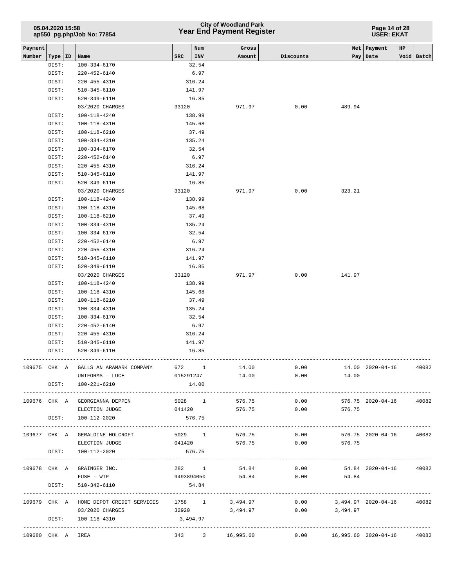|                   | 05.04.2020 15:58<br>ap550_pg.php/Job No: 77854 |  |                                                |            |            | City of Woodland Park<br>Year End Payment Register |                |                               | Page 14 of 28<br><b>USER: EKAT</b> |    |                 |
|-------------------|------------------------------------------------|--|------------------------------------------------|------------|------------|----------------------------------------------------|----------------|-------------------------------|------------------------------------|----|-----------------|
| Payment<br>Number | Type   ID                                      |  | Name                                           | <b>SRC</b> | Num<br>INV | Gross<br>Amount                                    | Discounts      | <b>Net</b>                    | Payment<br>Pay Date                | HP | Void Batch      |
|                   | DIST:                                          |  | $100 - 334 - 6170$                             |            | 32.54      |                                                    |                |                               |                                    |    |                 |
|                   | DIST:                                          |  | $220 - 452 - 6140$                             |            | 6.97       |                                                    |                |                               |                                    |    |                 |
|                   | DIST:                                          |  | $220 - 455 - 4310$                             |            | 316.24     |                                                    |                |                               |                                    |    |                 |
|                   | DIST:                                          |  | $510 - 345 - 6110$                             |            | 141.97     |                                                    |                |                               |                                    |    |                 |
|                   | DIST:                                          |  | 520-349-6110                                   |            | 16.85      |                                                    |                |                               |                                    |    |                 |
|                   |                                                |  | 03/2020 CHARGES                                | 33120      |            | 971.97                                             | 0.00           | 489.94                        |                                    |    |                 |
|                   | DIST:                                          |  | $100 - 118 - 4240$                             |            | 138.99     |                                                    |                |                               |                                    |    |                 |
|                   | DIST:                                          |  | 100-118-4310                                   |            | 145.68     |                                                    |                |                               |                                    |    |                 |
|                   | DIST:                                          |  | 100-118-6210                                   |            | 37.49      |                                                    |                |                               |                                    |    |                 |
|                   | DIST:                                          |  | 100-334-4310                                   |            | 135.24     |                                                    |                |                               |                                    |    |                 |
|                   | DIST:                                          |  | 100-334-6170                                   |            | 32.54      |                                                    |                |                               |                                    |    |                 |
|                   | DIST:                                          |  | $220 - 452 - 6140$                             |            | 6.97       |                                                    |                |                               |                                    |    |                 |
|                   | DIST:                                          |  | $220 - 455 - 4310$                             |            | 316.24     |                                                    |                |                               |                                    |    |                 |
|                   | DIST:                                          |  | 510-345-6110                                   |            | 141.97     |                                                    |                |                               |                                    |    |                 |
|                   | DIST:                                          |  | 520-349-6110                                   |            | 16.85      |                                                    |                |                               |                                    |    |                 |
|                   |                                                |  | 03/2020 CHARGES                                | 33120      |            | 971.97                                             | 0.00           | 323.21                        |                                    |    |                 |
|                   | DIST:                                          |  | 100-118-4240                                   |            | 138.99     |                                                    |                |                               |                                    |    |                 |
|                   | DIST:                                          |  | 100-118-4310                                   |            | 145.68     |                                                    |                |                               |                                    |    |                 |
|                   | DIST:                                          |  | 100-118-6210                                   |            | 37.49      |                                                    |                |                               |                                    |    |                 |
|                   | DIST:                                          |  | $100 - 334 - 4310$                             |            | 135.24     |                                                    |                |                               |                                    |    |                 |
|                   | DIST:                                          |  | $100 - 334 - 6170$                             |            | 32.54      |                                                    |                |                               |                                    |    |                 |
|                   | DIST:                                          |  | $220 - 452 - 6140$                             |            | 6.97       |                                                    |                |                               |                                    |    |                 |
|                   | DIST:                                          |  | $220 - 455 - 4310$                             |            | 316.24     |                                                    |                |                               |                                    |    |                 |
|                   | DIST:                                          |  | 510-345-6110                                   |            | 141.97     |                                                    |                |                               |                                    |    |                 |
|                   | DIST:                                          |  | 520-349-6110                                   |            | 16.85      |                                                    |                |                               |                                    |    |                 |
|                   |                                                |  | 03/2020 CHARGES                                | 33120      |            | 971.97                                             | 0.00           | 141.97                        |                                    |    |                 |
|                   | DIST:                                          |  | 100-118-4240                                   |            | 138.99     |                                                    |                |                               |                                    |    |                 |
|                   | DIST:                                          |  | 100-118-4310                                   |            | 145.68     |                                                    |                |                               |                                    |    |                 |
|                   | DIST:                                          |  | 100-118-6210                                   |            | 37.49      |                                                    |                |                               |                                    |    |                 |
|                   | DIST:                                          |  | 100-334-4310                                   |            | 135.24     |                                                    |                |                               |                                    |    |                 |
|                   | DIST:                                          |  | $100 - 334 - 6170$                             |            | 32.54      |                                                    |                |                               |                                    |    |                 |
|                   | DIST:                                          |  | $220 - 452 - 6140$                             |            | 6.97       |                                                    |                |                               |                                    |    |                 |
|                   | DIST:                                          |  | $220 - 455 - 4310$                             |            | 316.24     |                                                    |                |                               |                                    |    |                 |
|                   | DIST:                                          |  | $510 - 345 - 6110$                             |            | 141.97     |                                                    |                |                               |                                    |    |                 |
|                   | DIST:                                          |  | 520-349-6110                                   |            | 16.85      |                                                    |                |                               |                                    |    |                 |
|                   |                                                |  | 109675 CHK A GALLS AN ARAMARK COMPANY          | 672 1      |            | 14.00                                              | 0.00           |                               | 14.00  2020-04-16  40082           |    |                 |
|                   |                                                |  | UNIFORMS - LUCE                                | 015291247  |            | 14.00                                              | 0.00           | 14.00                         |                                    |    |                 |
|                   |                                                |  | DIST: 100-221-6210                             |            | 14.00      |                                                    |                |                               |                                    |    |                 |
|                   |                                                |  | 109676 CHK A GEORGIANNA DEPPEN                 |            |            | 5028 1 576.75                                      | 0.00           |                               | 576.75 2020-04-16 40082            |    |                 |
|                   |                                                |  | ELECTION JUDGE                                 |            | 041420     |                                                    | 576.75<br>0.00 | 576.75                        |                                    |    |                 |
|                   | DIST:                                          |  | 100-112-2020                                   |            | 576.75     |                                                    |                | ----------------------        |                                    |    | --------------- |
|                   |                                                |  | 109677 CHK A GERALDINE HOLCROFT                |            | 5029 1     | 576.75                                             | 0.00           |                               | 576.75 2020-04-16 40082            |    |                 |
|                   |                                                |  | ELECTION JUDGE                                 |            | 041420     | 576.75                                             | 0.00           | 576.75                        |                                    |    |                 |
|                   | DIST:                                          |  | 100-112-2020                                   |            | 576.75     |                                                    |                |                               |                                    |    |                 |
|                   |                                                |  | 109678 CHK A GRAINGER INC.                     |            | 282 1      | 54.84                                              |                | $0.00$ 54.84 2020-04-16 40082 |                                    |    |                 |
|                   |                                                |  | FUSE - WTP                                     |            |            | 9493894050 54.84                                   |                | $0.00$ 54.84                  |                                    |    |                 |
|                   | DIST:                                          |  | 510-342-6110                                   |            | 54.84      |                                                    |                |                               |                                    |    |                 |
|                   |                                                |  | 109679 CHK A HOME DEPOT CREDIT SERVICES 1758 1 |            |            | 3,494.97                                           | 0.00           |                               |                                    |    |                 |
|                   |                                                |  | 03/2020 CHARGES                                |            | 32920      | 3,494.97                                           |                | $0.00$ 3,494.97               |                                    |    |                 |
|                   |                                                |  | DIST: 100-118-4310                             |            | 3,494.97   |                                                    |                |                               |                                    |    |                 |
| 109680 CHK A IREA |                                                |  | --------------------------------------         |            |            | 343 3 16,995.60                                    | 0.00           | 16,995.60 2020-04-16          |                                    |    | 40082           |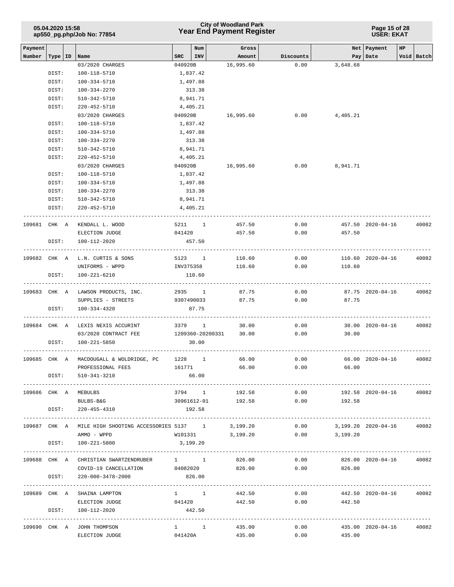|         | 05.04.2020 15:58 | ap550_pg.php/Job No: 77854                         |              |                                    | <b>City of Woodland Park</b><br><b>Year End Payment Register</b> | Page 15 of 28<br><b>USER: EKAT</b> |                                |                   |                           |  |
|---------|------------------|----------------------------------------------------|--------------|------------------------------------|------------------------------------------------------------------|------------------------------------|--------------------------------|-------------------|---------------------------|--|
| Payment |                  |                                                    |              | Num                                | Gross                                                            |                                    |                                | Net   Payment     | $_{\rm HP}$               |  |
| Number  | Type   ID        | Name                                               | $_{\rm SRC}$ | <b>INV</b>                         | Amount                                                           | Discounts                          |                                | Pay   Date        | Void Batch                |  |
|         |                  | 03/2020 CHARGES                                    | 040920B      |                                    | 16,995.60                                                        | 0.00                               | 3,648.68                       |                   |                           |  |
|         | DIST:            | 100-118-5710                                       |              | 1,837.42                           |                                                                  |                                    |                                |                   |                           |  |
|         | DIST:            | 100-334-5710                                       |              | 1,497.88                           |                                                                  |                                    |                                |                   |                           |  |
|         | DIST:<br>DIST:   | 100-334-2270                                       |              | 313.38<br>8,941.71                 |                                                                  |                                    |                                |                   |                           |  |
|         | DIST:            | 510-342-5710                                       |              |                                    |                                                                  |                                    |                                |                   |                           |  |
|         |                  | 220-452-5710                                       | 040920B      | 4,405.21                           | 16,995.60                                                        | 0.00                               |                                |                   |                           |  |
|         | DIST:            | 03/2020 CHARGES                                    |              |                                    |                                                                  |                                    | 4,405.21                       |                   |                           |  |
|         | DIST:            | 100-118-5710<br>$100 - 334 - 5710$                 |              | 1,837.42                           |                                                                  |                                    |                                |                   |                           |  |
|         | DIST:            | 100-334-2270                                       |              | 1,497.88<br>313.38                 |                                                                  |                                    |                                |                   |                           |  |
|         | DIST:            | 510-342-5710                                       |              | 8,941.71                           |                                                                  |                                    |                                |                   |                           |  |
|         |                  |                                                    |              |                                    |                                                                  |                                    |                                |                   |                           |  |
|         | DIST:            | $220 - 452 - 5710$                                 |              | 4,405.21                           |                                                                  |                                    |                                |                   |                           |  |
|         |                  | 03/2020 CHARGES                                    | 040920B      |                                    | 16,995.60                                                        | 0.00                               | 8,941.71                       |                   |                           |  |
|         | DIST:<br>DIST:   | 100-118-5710<br>100-334-5710                       |              | 1,837.42                           |                                                                  |                                    |                                |                   |                           |  |
|         | DIST:            |                                                    |              | 1,497.88                           |                                                                  |                                    |                                |                   |                           |  |
|         |                  | 100-334-2270                                       |              | 313.38                             |                                                                  |                                    |                                |                   |                           |  |
|         | DIST:            | 510-342-5710                                       |              | 8,941.71                           |                                                                  |                                    |                                |                   |                           |  |
|         | DIST:            | 220-452-5710                                       |              | 4,405.21<br>---------------------- |                                                                  |                                    |                                |                   |                           |  |
|         | 109681 CHK A     | KENDALL L. WOOD                                    |              | 5211 1                             | 457.50                                                           | 0.00                               |                                | 457.50 2020-04-16 | 40082                     |  |
|         |                  | ELECTION JUDGE                                     | 041420       |                                    | 457.50                                                           | 0.00                               | 457.50                         |                   |                           |  |
|         | DIST:            | 100-112-2020                                       |              | 457.50                             |                                                                  |                                    |                                |                   |                           |  |
|         |                  |                                                    |              |                                    |                                                                  |                                    |                                |                   |                           |  |
|         |                  | 109682 CHK A L.N. CURTIS & SONS                    |              | 5123 1                             | 110.60                                                           | 0.00                               |                                | 110.60 2020-04-16 | 40082                     |  |
|         |                  | UNIFORMS - WPPD                                    | INV375358    |                                    | 110.60                                                           | 0.00                               | 110.60                         |                   |                           |  |
|         | DIST:            | 100-221-6210                                       |              | 110.60                             |                                                                  |                                    |                                |                   |                           |  |
|         |                  |                                                    |              |                                    |                                                                  |                                    |                                |                   |                           |  |
|         |                  | 109683 CHK A LAWSON PRODUCTS, INC. 2935 1          |              |                                    | 87.75                                                            | 0.00                               |                                | 87.75 2020-04-16  | 40082                     |  |
|         |                  | SUPPLIES - STREETS                                 | 9307490033   |                                    | 87.75                                                            | 0.00                               | 87.75                          |                   |                           |  |
|         | DIST:            | 100-334-4320                                       |              | 87.75                              |                                                                  |                                    |                                |                   |                           |  |
|         |                  | 109684 CHK A LEXIS NEXIS ACCURINT                  | 3379 1       |                                    | 30.00                                                            | 0.00                               |                                | 30.00 2020-04-16  | 40082                     |  |
|         |                  | 03/2020 CONTRACT FEE                               |              | 1209360-20200331                   | 30.00                                                            | 0.00                               | 30.00                          |                   |                           |  |
|         | DIST:            | 100-221-5850                                       |              | 30.00                              |                                                                  |                                    |                                |                   |                           |  |
|         |                  |                                                    |              |                                    |                                                                  |                                    |                                |                   |                           |  |
|         |                  | 109685 CHK A MACDOUGALL & WOLDRIDGE, PC 1228 1     |              |                                    | 66.00                                                            | 0.00                               |                                |                   | 66.00 2020-04-16 40082    |  |
|         |                  | PROFESSIONAL FEES                                  |              | 161771                             | 66.00                                                            | 0.00                               | 66.00                          |                   |                           |  |
|         |                  | DIST: 510-341-3210                                 |              | 66.00                              |                                                                  |                                    |                                |                   |                           |  |
|         |                  |                                                    |              |                                    |                                                                  |                                    |                                |                   |                           |  |
|         |                  | 109686 CHK A MEBULBS                               |              |                                    | 3794 1 192.58                                                    | 0.00                               |                                |                   | 192.58 2020-04-16 40082   |  |
|         |                  | BULBS-B&G                                          |              |                                    | 30961612-01 192.58                                               |                                    | $0.00$ 192.58                  |                   |                           |  |
|         |                  | DIST: 220-455-4310                                 |              | 192.58                             |                                                                  |                                    |                                |                   |                           |  |
|         |                  |                                                    |              |                                    |                                                                  |                                    |                                |                   |                           |  |
|         |                  | 109687 CHK A MILE HIGH SHOOTING ACCESSORIES 5137 1 |              |                                    | 3,199.20                                                         | 0.00                               | $0.00$ 3,199.20                |                   | 3,199.20 2020-04-16 40082 |  |
|         |                  | AMMO - WPPD<br>DIST: 100-221-5800                  | 3,199.20     | W101331                            | 3,199.20                                                         |                                    |                                |                   |                           |  |
|         |                  |                                                    |              |                                    |                                                                  |                                    |                                |                   |                           |  |
|         |                  | 109688 CHK A CHRISTIAN SWARTZENDRUBER 1 1 326.00   |              |                                    |                                                                  |                                    | $0.00$ 826.00 2020-04-16       |                   | 40082                     |  |
|         |                  | COVID-19 CANCELLATION 04082020 826.00 0.00 826.00  |              |                                    |                                                                  |                                    |                                |                   |                           |  |
|         | DIST:            | 220-000-3478-2000                                  |              | 826.00                             |                                                                  |                                    |                                |                   |                           |  |
|         |                  |                                                    |              |                                    |                                                                  |                                    |                                |                   | --------------------      |  |
|         |                  | 109689 CHK A SHAINA LAMPTON                        |              | $1 \quad 1$                        | 442.50                                                           | 0.00                               |                                |                   | 442.50 2020-04-16 40082   |  |
|         |                  | ELECTION JUDGE                                     | 041420       |                                    | 442.50                                                           | 0.00                               | 442.50                         |                   |                           |  |
|         |                  | DIST: 100-112-2020                                 |              | 442.50                             |                                                                  |                                    |                                |                   |                           |  |
|         |                  |                                                    |              |                                    |                                                                  |                                    |                                |                   |                           |  |
|         |                  | 109690 CHK A JOHN THOMPSON                         |              |                                    | 1 1 435.00                                                       |                                    | $0.00$ 435.00 2020-04-16 40082 |                   |                           |  |
|         |                  | ELECTION JUDGE                                     |              |                                    | 041420A 435.00                                                   |                                    | $0.00$ 435.00                  |                   |                           |  |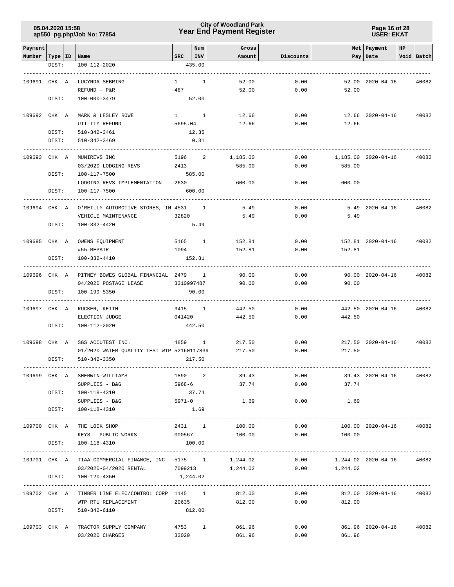### **Year End Payment Register City of Woodland Park 05.04.2020 15:58**

**Page 16 of 28 USER: EKAT**

| Payment                   |       |                                                                 |              | Num                      | Gross           |                 |                           | Net Payment             | HP |                 |
|---------------------------|-------|-----------------------------------------------------------------|--------------|--------------------------|-----------------|-----------------|---------------------------|-------------------------|----|-----------------|
| Number   Type   ID   Name |       |                                                                 | SRC          | INV                      | Amount          | Discounts       |                           | Pay   Date              |    | Void Batch      |
|                           | DIST: | 100-112-2020                                                    |              | 435.00                   |                 |                 |                           |                         |    |                 |
|                           |       |                                                                 |              |                          |                 |                 |                           |                         |    |                 |
| 109691 CHK A              |       | LUCYNDA SEBRING                                                 | $\mathbf{1}$ | <sup>1</sup>             | 52.00           | 0.00            |                           | 52.00 2020-04-16        |    | 40082           |
|                           |       | REFUND - P&R                                                    | 487          |                          | 52.00           | 0.00            | 52.00                     |                         |    |                 |
|                           | DIST: | 100-000-3479                                                    |              | 52.00                    |                 |                 |                           |                         |    |                 |
|                           |       |                                                                 |              |                          |                 |                 |                           |                         |    |                 |
| 109692 CHK A              |       | MARK & LESLEY ROWE                                              | $1 \quad 1$  |                          | 12.66           | 0.00            |                           | 12.66 2020-04-16        |    | 40082           |
|                           |       | UTILITY REFUND                                                  | 5695.04      |                          | 12.66           | 0.00            | 12.66                     |                         |    |                 |
|                           | DIST: | 510-342-3461                                                    |              | 12.35                    |                 |                 |                           |                         |    |                 |
|                           | DIST: | $510 - 342 - 3469$                                              |              | 0.31                     |                 |                 |                           |                         |    |                 |
|                           |       |                                                                 |              |                          |                 |                 |                           |                         |    |                 |
| 109693                    | CHK A | MUNIREVS INC                                                    | 5196         | 2                        | 1,185.00        | 0.00            |                           | 1,185.00 2020-04-16     |    | 40082           |
|                           |       | 03/2020 LODGING REVS                                            | 2413         |                          | 585.00          | 0.00            | 585.00                    |                         |    |                 |
|                           | DIST: | 100-117-7500                                                    |              | 585.00                   |                 |                 |                           |                         |    |                 |
|                           |       | LODGING REVS IMPLEMENTATION                                     | 2630         |                          | 600.00          | 0.00            | 600.00                    |                         |    |                 |
|                           | DIST: | 100-117-7500                                                    |              | 600.00                   |                 |                 |                           |                         |    |                 |
| 109694 CHK A              |       | O'REILLY AUTOMOTIVE STORES, IN 4531                             |              | $\overline{\phantom{1}}$ | 5.49            | 0.00            |                           | $5.49$ $2020 - 04 - 16$ |    | 40082           |
|                           |       | VEHICLE MAINTENANCE                                             | 32820        |                          | 5.49            | 0.00            | 5.49                      |                         |    |                 |
|                           | DIST: | 100-332-4420                                                    |              | 5.49                     |                 |                 |                           |                         |    |                 |
|                           |       |                                                                 |              |                          |                 |                 |                           |                         |    |                 |
| 109695 CHK A              |       | OWENS EQUIPMENT                                                 |              | 5165 1                   | 152.81          | 0.00            |                           | 152.81 2020-04-16       |    | 40082           |
|                           |       | #55 REPAIR                                                      | 1094         |                          | 152.81          | 0.00            | 152.81                    |                         |    |                 |
|                           | DIST: | 100-332-4410                                                    |              | 152.81                   |                 |                 |                           |                         |    |                 |
|                           |       |                                                                 |              |                          |                 |                 |                           |                         |    |                 |
| 109696 CHK A              |       | PITNEY BOWES GLOBAL FINANCIAL 2479 1                            |              |                          | 90.00           | 0.00            |                           | 90.00 2020-04-16        |    | 40082           |
|                           |       | 04/2020 POSTAGE LEASE                                           |              | 3310997487               | 90.00           | 0.00            | 90.00                     |                         |    |                 |
|                           | DIST: | 100-199-5350                                                    |              | 90.00                    |                 |                 |                           |                         |    |                 |
|                           |       |                                                                 |              |                          |                 |                 |                           |                         |    |                 |
| 109697 CHK A              |       | RUCKER, KEITH                                                   |              | 3415 1                   | 442.50          | 0.00            |                           | 442.50 2020-04-16       |    | 40082           |
|                           |       | ELECTION JUDGE                                                  | 041420       |                          | 442.50          | 0.00            | 442.50                    |                         |    |                 |
|                           | DIST: | 100-112-2020                                                    |              | 442.50                   |                 |                 |                           |                         |    |                 |
| 109698 CHK A              |       |                                                                 | 4859         | $\mathbf{1}$             | 217.50          | 0.00            |                           |                         |    | 40082           |
|                           |       | SGS ACCUTEST INC.<br>01/2020 WATER QUALITY TEST WTP 52160117839 |              |                          | 217.50          | 0.00            | 217.50                    | 217.50 2020-04-16       |    |                 |
|                           | DIST: | 510-342-3350                                                    |              | 217.50                   |                 |                 |                           |                         |    |                 |
|                           |       |                                                                 |              |                          |                 |                 |                           |                         |    |                 |
| 109699 CHK A              |       | SHERWIN-WILLIAMS                                                |              |                          | 1890 2<br>39.43 |                 | $0.00$ 39.43 $2020-04-16$ |                         |    | 40082           |
|                           |       | SUPPLIES - B&G                                                  | $5968 - 6$   |                          | 37.74           |                 | 0.00<br>37.74             |                         |    |                 |
|                           |       | DIST: 100-118-4310                                              |              | 37.74                    |                 |                 |                           |                         |    |                 |
|                           |       | SUPPLIES - B&G                                                  | $5971 - 0$   |                          | 1.69            | 0.00            | 1.69                      |                         |    |                 |
|                           |       | DIST: 100-118-4310                                              |              | 1.69                     |                 |                 |                           |                         |    |                 |
|                           |       |                                                                 |              |                          |                 |                 |                           |                         |    |                 |
|                           |       | 109700 CHK A THE LOCK SHOP                                      |              |                          | 2431 1 100.00   |                 | 0.00                      | 100.00 2020-04-16       |    | 40082           |
|                           |       | KEYS - PUBLIC WORKS 000567 100.00 0.00 0.00 100.00              |              |                          |                 |                 |                           |                         |    |                 |
|                           | DIST: | 100-118-4310                                                    | 100.00       |                          |                 |                 |                           |                         |    | --------------- |
|                           |       | 109701 CHK A TIAA COMMERCIAL FINANCE, INC 5175 1                |              |                          | 1,244.02        | 0.00            | 1,244.02 2020-04-16       |                         |    | 40082           |
|                           |       | 03/2020-04/2020 RENTAL 7099213                                  |              |                          |                 | $1,244.02$ 0.00 | 1,244.02                  |                         |    |                 |
|                           | DIST: | 100-120-4350                                                    | 1,244.02     |                          |                 |                 |                           |                         |    |                 |
|                           |       |                                                                 |              |                          |                 |                 |                           |                         |    |                 |
|                           |       | 109702 CHK A TIMBER LINE ELEC/CONTROL CORP 1145 1 1 812.00      |              |                          |                 |                 | $0.00$ 812.00 2020-04-16  |                         |    | 40082           |
|                           |       | WTP RTU REPLACEMENT 20635 812.00                                |              |                          |                 |                 | $0.00$ 812.00             |                         |    |                 |
|                           | DIST: | 510-342-6110                                                    | 812.00       |                          |                 |                 |                           |                         |    |                 |
|                           |       |                                                                 |              |                          |                 |                 |                           |                         |    |                 |
|                           |       | 109703 CHK A TRACTOR SUPPLY COMPANY                             | 4753 1       |                          | 861.96          | 0.00            |                           | 861.96 2020-04-16       |    | 40082           |
|                           |       | 03/2020 CHARGES                                                 | 33020        |                          | 861.96          | 0.00            | 861.96                    |                         |    |                 |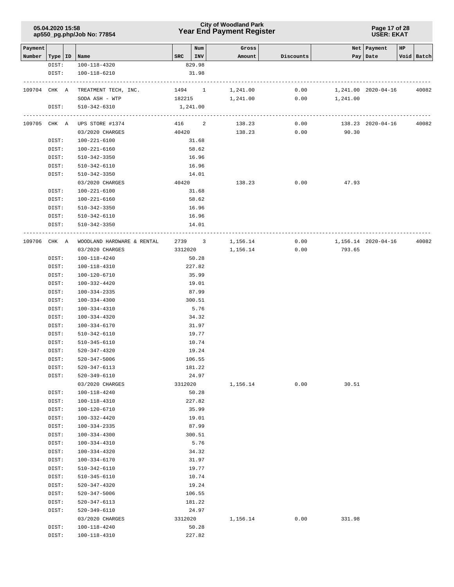### **Year End Payment Register City of Woodland Park 05.04.2020 15:58**

#### **Page 17 of 28 USER: EKAT**

| Payment      |                |                                 |         | Num      | Gross    |           |          | Net   Payment       | HP |            |
|--------------|----------------|---------------------------------|---------|----------|----------|-----------|----------|---------------------|----|------------|
| Number       |                | Type   ID   Name                | SRC     | INV      | Amount   | Discounts |          | Pay   Date          |    | Void Batch |
|              | DIST:          | 100-118-4320                    |         | 829.98   |          |           |          |                     |    |            |
|              | DIST:          | 100-118-6210                    |         | 31.98    |          |           |          |                     |    |            |
| 109704       | CHK A          | TREATMENT TECH, INC.            |         | 1494 1   | 1,241.00 | 0.00      |          | 1,241.00 2020-04-16 |    | 40082      |
|              |                | SODA ASH - WTP                  |         | 182215   | 1,241.00 | 0.00      | 1,241.00 |                     |    |            |
|              | DIST:          | $510 - 342 - 6310$              |         | 1,241.00 |          |           |          |                     |    |            |
|              |                |                                 |         |          |          |           |          |                     |    |            |
| 109705 CHK A |                | UPS STORE #1374                 |         | 416 2    | 138.23   | 0.00      |          | 138.23 2020-04-16   |    | 40082      |
|              |                | 03/2020 CHARGES                 |         | 40420    | 138.23   | 0.00      | 90.30    |                     |    |            |
|              | DIST:          | 100-221-6100                    |         | 31.68    |          |           |          |                     |    |            |
|              | DIST:          | 100-221-6160                    |         | 58.62    |          |           |          |                     |    |            |
|              | DIST:          | 510-342-3350                    |         | 16.96    |          |           |          |                     |    |            |
|              | DIST:          | 510-342-6110                    |         | 16.96    |          |           |          |                     |    |            |
|              | DIST:          | 510-342-3350                    |         | 14.01    |          |           |          |                     |    |            |
|              |                | 03/2020 CHARGES                 |         | 40420    | 138.23   | 0.00      | 47.93    |                     |    |            |
|              | DIST:          | 100-221-6100                    |         | 31.68    |          |           |          |                     |    |            |
|              | DIST:          | 100-221-6160                    |         | 58.62    |          |           |          |                     |    |            |
|              | DIST:          | 510-342-3350                    |         | 16.96    |          |           |          |                     |    |            |
|              | DIST:          | 510-342-6110                    |         | 16.96    |          |           |          |                     |    |            |
|              | DIST:          | 510-342-3350                    |         | 14.01    |          |           |          |                     |    |            |
|              |                |                                 |         |          |          |           |          |                     |    |            |
| 109706       | CHK A          | WOODLAND HARDWARE & RENTAL      |         | 2739 3   | 1,156.14 | 0.00      |          | 1,156.14 2020-04-16 |    | 40082      |
|              |                | 03/2020 CHARGES                 |         | 3312020  | 1,156.14 | 0.00      | 793.65   |                     |    |            |
|              | DIST:          | 100-118-4240                    |         | 50.28    |          |           |          |                     |    |            |
|              | DIST:          | 100-118-4310                    |         | 227.82   |          |           |          |                     |    |            |
|              | DIST:          | 100-120-6710                    |         | 35.99    |          |           |          |                     |    |            |
|              | DIST:          | 100-332-4420                    |         | 19.01    |          |           |          |                     |    |            |
|              | DIST:          | 100-334-2335                    |         | 87.99    |          |           |          |                     |    |            |
|              | DIST:          | 100-334-4300                    |         | 300.51   |          |           |          |                     |    |            |
|              | DIST:          | 100-334-4310                    |         | 5.76     |          |           |          |                     |    |            |
|              | DIST:          | 100-334-4320                    |         | 34.32    |          |           |          |                     |    |            |
|              | DIST:          | 100-334-6170                    |         | 31.97    |          |           |          |                     |    |            |
|              | DIST:          | 510-342-6110                    |         | 19.77    |          |           |          |                     |    |            |
|              | DIST:          | 510-345-6110                    |         | 10.74    |          |           |          |                     |    |            |
|              | DIST:          | 520-347-4320                    |         | 19.24    |          |           |          |                     |    |            |
|              | DIST:<br>DIST: | 520-347-5006                    |         | 106.55   |          |           |          |                     |    |            |
|              |                | 520-347-6113                    |         | 181.22   |          |           |          |                     |    |            |
|              | DIST:          | 520-349-6110<br>03/2020 CHARGES |         | 24.97    |          |           |          |                     |    |            |
|              |                | 100-118-4240                    | 3312020 | 50.28    | 1,156.14 | 0.00      | 30.51    |                     |    |            |
|              | DIST:<br>DIST: | 100-118-4310                    |         | 227.82   |          |           |          |                     |    |            |
|              | DIST:          | 100-120-6710                    |         | 35.99    |          |           |          |                     |    |            |
|              | DIST:          | $100 - 332 - 4420$              |         | 19.01    |          |           |          |                     |    |            |
|              | DIST:          | 100-334-2335                    |         | 87.99    |          |           |          |                     |    |            |
|              | DIST:          | $100 - 334 - 4300$              |         | 300.51   |          |           |          |                     |    |            |
|              | DIST:          | $100 - 334 - 4310$              |         | 5.76     |          |           |          |                     |    |            |
|              | DIST:          | 100-334-4320                    |         | 34.32    |          |           |          |                     |    |            |
|              | DIST:          | 100-334-6170                    |         | 31.97    |          |           |          |                     |    |            |
|              | DIST:          | 510-342-6110                    |         | 19.77    |          |           |          |                     |    |            |
|              | DIST:          | $510 - 345 - 6110$              |         | 10.74    |          |           |          |                     |    |            |
|              | DIST:          | $520 - 347 - 4320$              |         | 19.24    |          |           |          |                     |    |            |
|              | DIST:          | 520-347-5006                    |         | 106.55   |          |           |          |                     |    |            |
|              | DIST:          | 520-347-6113                    |         | 181.22   |          |           |          |                     |    |            |
|              | DIST:          | $520 - 349 - 6110$              |         | 24.97    |          |           |          |                     |    |            |
|              |                | 03/2020 CHARGES                 | 3312020 |          | 1,156.14 | 0.00      | 331.98   |                     |    |            |
|              | DIST:          | 100-118-4240                    |         | 50.28    |          |           |          |                     |    |            |
|              | DIST:          | 100-118-4310                    |         | 227.82   |          |           |          |                     |    |            |
|              |                |                                 |         |          |          |           |          |                     |    |            |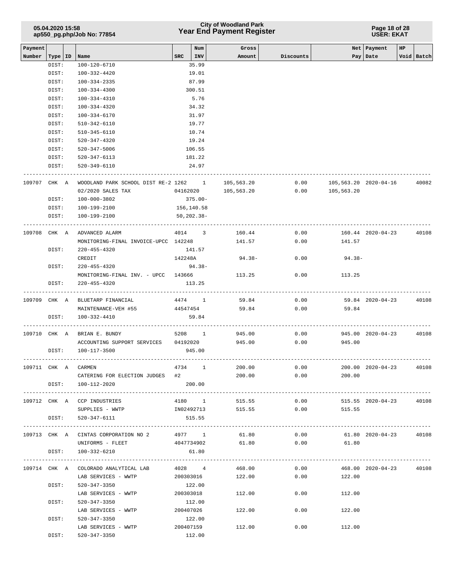# **Year End Payment Register City of Woodland Park 05.04.2020 15:58**

#### **Page 18 of 28 USER: EKAT**

| Payment      |           |                                             |              | Num            | Gross               |           |                       | Net   Payment           | HP |            |
|--------------|-----------|---------------------------------------------|--------------|----------------|---------------------|-----------|-----------------------|-------------------------|----|------------|
| Number       | Type   ID | Name                                        | $_{\tt SRC}$ | INV            | Amount              | Discounts |                       | Pay   Date              |    | Void Batch |
|              | DIST:     | 100-120-6710                                |              | 35.99          |                     |           |                       |                         |    |            |
|              | DIST:     | 100-332-4420                                |              | 19.01          |                     |           |                       |                         |    |            |
|              | DIST:     | $100 - 334 - 2335$                          |              | 87.99          |                     |           |                       |                         |    |            |
|              | DIST:     | 100-334-4300                                |              | 300.51         |                     |           |                       |                         |    |            |
|              | DIST:     | 100-334-4310                                |              | 5.76           |                     |           |                       |                         |    |            |
|              |           |                                             |              |                |                     |           |                       |                         |    |            |
|              | DIST:     | 100-334-4320                                |              | 34.32          |                     |           |                       |                         |    |            |
|              | DIST:     | 100-334-6170                                |              | 31.97          |                     |           |                       |                         |    |            |
|              | DIST:     | 510-342-6110                                |              | 19.77          |                     |           |                       |                         |    |            |
|              | DIST:     | 510-345-6110                                |              | 10.74          |                     |           |                       |                         |    |            |
|              | DIST:     | 520-347-4320                                |              | 19.24          |                     |           |                       |                         |    |            |
|              | DIST:     | 520-347-5006                                |              | 106.55         |                     |           |                       |                         |    |            |
|              | DIST:     | 520-347-6113                                |              | 181.22         |                     |           |                       |                         |    |            |
|              | DIST:     | 520-349-6110                                |              | 24.97          |                     |           |                       |                         |    |            |
| 109707 CHK A |           | WOODLAND PARK SCHOOL DIST RE-2 1262 1       |              |                | 105,563.20          | 0.00      | 105,563.20 2020-04-16 |                         |    | 40082      |
|              |           | 02/2020 SALES TAX                           |              |                | 04162020 105,563.20 | 0.00      | 105,563.20            |                         |    |            |
|              | DIST:     | 100-000-3802                                |              | $375.00 -$     |                     |           |                       |                         |    |            |
|              | DIST:     | 100-199-2100                                | 156,140.58   |                |                     |           |                       |                         |    |            |
|              | DIST:     | 100-199-2100                                |              | $50, 202.38 -$ |                     |           |                       |                         |    |            |
|              |           |                                             |              |                |                     |           |                       |                         |    |            |
| 109708 CHK A |           | ADVANCED ALARM                              | 4014 3       |                | 160.44              | 0.00      |                       | 160.44 2020-04-23       |    | 40108      |
|              |           | MONITORING-FINAL INVOICE-UPCC 142248        |              |                | 141.57              | 0.00      | 141.57                |                         |    |            |
|              | DIST:     | 220-455-4320                                |              | 141.57         |                     |           |                       |                         |    |            |
|              |           | CREDIT                                      | 142248A      |                | 94.38-              | 0.00      | 94.38-                |                         |    |            |
|              | DIST:     | 220-455-4320                                |              | $94.38 -$      |                     |           |                       |                         |    |            |
|              |           | MONITORING-FINAL INV. - UPCC 143666         |              |                | 113.25              | 0.00      | 113.25                |                         |    |            |
|              | DIST:     | $220 - 455 - 4320$                          |              | 113.25         |                     |           |                       |                         |    |            |
| 109709 CHK A |           | BLUETARP FINANCIAL                          | 4474 1       |                | 59.84               | 0.00      |                       | 59.84 2020-04-23        |    | 40108      |
|              |           | MAINTENANCE-VEH #55                         | 44547454     |                | 59.84               | 0.00      | 59.84                 |                         |    |            |
|              | DIST:     | 100-332-4410                                |              | 59.84          |                     |           |                       |                         |    |            |
|              |           |                                             |              |                |                     |           |                       |                         |    |            |
| 109710 CHK A |           | BRIAN E. BUNDY                              | 5208 1       |                | 945.00              | 0.00      |                       | 945.00 2020-04-23       |    | 40108      |
|              |           | ACCOUNTING SUPPORT SERVICES 04192020        |              |                | 945.00              |           | 0.00<br>945.00        |                         |    |            |
|              | DIST:     | 100-117-3500                                |              | 945.00         |                     |           |                       |                         |    |            |
| 109711 CHK A |           | CARMEN                                      | 4734 1       |                | 200.00              | 0.00      |                       | 200.00 2020-04-23       |    | 40108      |
|              |           | CATERING FOR ELECTION JUDGES #2             |              |                | 200.00              | 0.00      | 200.00                |                         |    |            |
|              | DIST:     | 100-112-2020                                |              | 200.00         |                     |           |                       |                         |    |            |
|              |           |                                             |              |                | 4180 1 515.55       |           |                       |                         |    | 40108      |
|              |           | 109712 CHK A CCP INDUSTRIES                 |              |                |                     | 0.00      |                       | 515.55 2020-04-23       |    |            |
|              |           | SUPPLIES - WWTP 1N02492713 515.55           |              |                |                     | 0.00      | 515.55                |                         |    |            |
|              | DIST:     | 520-347-6111                                |              | 515.55         |                     |           |                       |                         |    |            |
|              |           | 109713 CHK A CINTAS CORPORATION NO 2 4977 1 |              |                | 61.80               | 0.00      | 61.80 2020-04-23      |                         |    | 40108      |
|              |           | UNIFORMS - FLEET 4047734902 61.80           |              |                |                     |           | $0.00$ 61.80          |                         |    |            |
|              | DIST:     | 100-332-6210                                |              | 61.80          |                     |           |                       |                         |    |            |
|              |           | 109714 CHK A COLORADO ANALYTICAL LAB        | 4028 4       |                | 468.00              | 0.00      |                       | 468.00 2020-04-23 40108 |    |            |
|              |           | LAB SERVICES - WWTP                         | 200303016    |                | 122.00              | 0.00      | 122.00                |                         |    |            |
|              |           |                                             |              |                |                     |           |                       |                         |    |            |
|              | DIST:     | 520-347-3350                                | 122.00       |                |                     |           |                       |                         |    |            |
|              |           | LAB SERVICES - WWTP                         |              |                | 200303018<br>112.00 |           | 0.00<br>112.00        |                         |    |            |
|              | DIST:     | 520-347-3350                                | 112.00       |                |                     |           |                       |                         |    |            |
|              |           | LAB SERVICES - WWTP                         | 200407026    |                | 122.00              | 0.00      | 122.00                |                         |    |            |
|              | DIST:     | 520-347-3350                                |              | 122.00         |                     |           |                       |                         |    |            |
|              |           | LAB SERVICES - WWTP                         | 200407159    |                | 112.00              | 0.00      | 112.00                |                         |    |            |
|              | DIST:     | 520-347-3350                                | 112.00       |                |                     |           |                       |                         |    |            |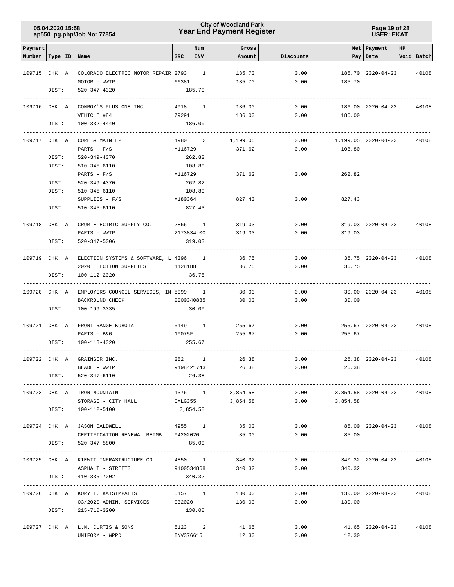### **Year End Payment Register City of Woodland Park 05.04.2020 15:58**

#### **Page 19 of 28 USER: EKAT**

| Payment                   |       |                                                          |            | Num        | Gross           |           |                            | Net Payment         | HP |            |
|---------------------------|-------|----------------------------------------------------------|------------|------------|-----------------|-----------|----------------------------|---------------------|----|------------|
| Number   Type   ID   Name |       |                                                          | SRC        | INV        | Amount          | Discounts |                            | Pay   Date          |    | Void Batch |
|                           |       |                                                          |            |            |                 |           |                            |                     |    |            |
| 109715 CHK A              |       | COLORADO ELECTRIC MOTOR REPAIR 2793 1                    |            |            | 185.70          | 0.00      |                            | 185.70 2020-04-23   |    | 40108      |
|                           |       | MOTOR - WWTP                                             | 66381      |            | 185.70          | 0.00      | 185.70                     |                     |    |            |
|                           | DIST: | 520-347-4320                                             |            | 185.70     |                 |           |                            |                     |    |            |
| 109716 CHK A              |       | CONROY'S PLUS ONE INC                                    | 4918 1     |            | 186.00          | 0.00      |                            | 186.00 2020-04-23   |    | 40108      |
|                           |       | VEHICLE #84                                              | 79291      |            | 186.00          | 0.00      | 186.00                     |                     |    |            |
|                           | DIST: | 100-332-4440                                             |            | 186.00     |                 |           |                            |                     |    |            |
|                           |       |                                                          |            |            |                 |           |                            |                     |    |            |
| 109717 CHK A              |       | CORE & MAIN LP                                           |            | 4980 3     | 1,199.05        | 0.00      |                            | 1,199.05 2020-04-23 |    | 40108      |
|                           |       | PARTS - $F/S$                                            | M116729    |            | 371.62          | 0.00      | 108.80                     |                     |    |            |
|                           | DIST: | 520-349-4370                                             |            | 262.82     |                 |           |                            |                     |    |            |
|                           | DIST: | 510-345-6110<br>PARTS - $F/S$                            | M116729    | 108.80     | 371.62          | 0.00      | 262.82                     |                     |    |            |
|                           | DIST: | 520-349-4370                                             |            | 262.82     |                 |           |                            |                     |    |            |
|                           | DIST: | 510-345-6110                                             |            | 108.80     |                 |           |                            |                     |    |            |
|                           |       | $SUPPLIES - F/S$                                         | M180364    |            | 827.43          | 0.00      | 827.43                     |                     |    |            |
|                           | DIST: | 510-345-6110                                             |            | 827.43     |                 |           |                            |                     |    |            |
|                           |       |                                                          |            |            |                 |           |                            |                     |    |            |
| 109718 CHK A              |       | CRUM ELECTRIC SUPPLY CO.                                 | 2866 1     |            | 319.03          | 0.00      |                            | 319.03 2020-04-23   |    | 40108      |
|                           |       | PARTS - WWTP                                             | 2173834-00 |            | 319.03          | 0.00      | 319.03                     |                     |    |            |
|                           | DIST: | 520-347-5006                                             |            | 319.03     |                 |           |                            |                     |    |            |
|                           |       | 109719 CHK A ELECTION SYSTEMS & SOFTWARE, L 4396 1       |            |            | 36.75           | 0.00      |                            | 36.75 2020-04-23    |    | 40108      |
|                           |       | 2020 ELECTION SUPPLIES<br>1128188                        |            |            | 36.75           | 0.00      | 36.75                      |                     |    |            |
|                           | DIST: | 100-112-2020                                             |            | 36.75      |                 |           |                            |                     |    |            |
| 109720 CHK A              |       | EMPLOYERS COUNCIL SERVICES, IN 5099 1                    |            |            | 30.00           | 0.00      |                            | 30.00 2020-04-23    |    | 40108      |
|                           |       | BACKROUND CHECK                                          | 0000340885 |            | 30.00           | 0.00      | 30.00                      |                     |    |            |
|                           | DIST: | 100-199-3335                                             |            | 30.00      |                 |           |                            |                     |    |            |
|                           |       |                                                          |            |            |                 |           |                            |                     |    |            |
| 109721 CHK A              |       | FRONT RANGE KUBOTA                                       | 5149 1     |            | 255.67          | 0.00      |                            | 255.67 2020-04-23   |    | 40108      |
|                           |       | PARTS - B&G                                              | 10075F     |            | 255.67          | 0.00      | 255.67                     |                     |    |            |
|                           | DIST: | 100-118-4320                                             |            | 255.67     |                 |           |                            |                     |    |            |
|                           |       | 109722 CHK A GRAINGER INC.                               |            | 282 1      | 26.38           | 0.00      |                            | 26.38 2020-04-23    |    | 40108      |
|                           |       | BLADE - WWTP                                             |            | 9498421743 | 26.38           | 0.00      | 26.38                      |                     |    |            |
|                           | DIST: | 520-347-6110                                             |            | 26.38      |                 |           |                            |                     |    |            |
|                           |       | 109723 CHK A IRON MOUNTAIN                               |            |            | 1376 1 3,854.58 |           | $0.00$ 3,854.58 2020-04-23 |                     |    | 40108      |
|                           |       | STORAGE - CITY HALL CMLG355 3,854.58                     |            |            |                 |           | $0.00$ 3,854.58            |                     |    |            |
|                           |       | DIST: 100-112-5100                                       | 3,854.58   |            |                 |           |                            |                     |    |            |
|                           |       |                                                          |            |            |                 |           |                            |                     |    |            |
|                           |       | 109724 CHK A JASON CALDWELL                              | 4955 1     |            | 85.00           | 0.00      |                            | 85.00 2020-04-23    |    | 40108      |
|                           |       | CERTIFICATION RENEWAL REIMB. 04202020                    |            |            | 85.00           | 0.00      | 85.00                      |                     |    |            |
|                           | DIST: | 520-347-5800                                             |            | 85.00      |                 |           |                            |                     |    |            |
|                           |       | 109725 CHK A KIEWIT INFRASTRUCTURE CO 4850 1 340.32 0.00 |            |            |                 |           |                            | 340.32 2020-04-23   |    | 40108      |
|                           |       | ASPHALT - STREETS 9100534868 340.32 0.00 340.32          |            |            |                 |           |                            |                     |    |            |
|                           |       | DIST: 410-335-7202                                       |            | 340.32     |                 |           |                            |                     |    |            |
|                           |       | 109726 CHK A KORY T. KATSIMPALIS                         | 5157 1     |            | 130.00          | 0.00      |                            | 130.00 2020-04-23   |    | 40108      |
|                           |       | 03/2020 ADMIN. SERVICES                                  | 032020     |            | 130.00          | 0.00      | 130.00                     |                     |    |            |
|                           |       | DIST: 215-710-3200                                       |            | 130.00     |                 |           |                            |                     |    |            |
|                           |       |                                                          |            |            |                 |           |                            |                     |    |            |
|                           |       | 109727 CHK A L.N. CURTIS & SONS                          |            |            | 5123 2 41.65    | 0.00      | 41.65 2020-04-23           |                     |    | 40108      |
|                           |       | UNIFORM - WPPD                                           |            |            | INV376615       | 12.30     | $0.00$ 12.30               |                     |    |            |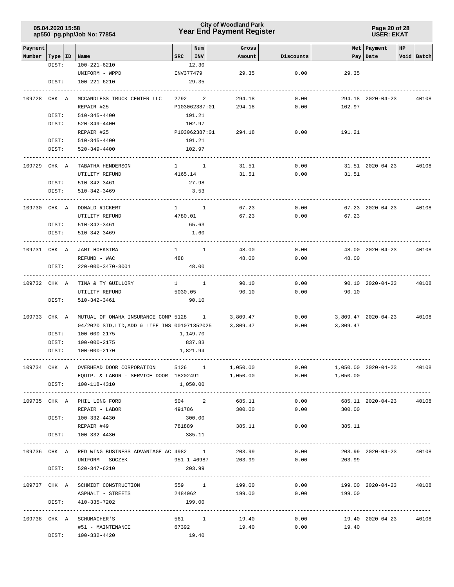### **Year End Payment Register City of Woodland Park 05.04.2020 15:58**

**Page 20 of 28 USER: EKAT**

| Payment      |           |                                                           |             | Num           |               | Gross              |           |                    | Net Payment            | HP |            |
|--------------|-----------|-----------------------------------------------------------|-------------|---------------|---------------|--------------------|-----------|--------------------|------------------------|----|------------|
| Number       | Type   ID | Name                                                      | SRC         | INV           |               | Amount             | Discounts |                    | Pay   Date             |    | Void Batch |
|              | DIST:     | 100-221-6210                                              |             | 12.30         |               |                    |           |                    |                        |    |            |
|              |           | UNIFORM - WPPD                                            |             | INV377479     |               | 29.35              | 0.00      | 29.35              |                        |    |            |
|              | DIST:     | 100-221-6210                                              |             | 29.35         |               |                    |           |                    |                        |    |            |
|              |           |                                                           |             |               |               |                    |           |                    |                        |    |            |
| 109728 CHK A |           | MCCANDLESS TRUCK CENTER LLC                               |             | 2792 2        |               | 294.18             | 0.00      |                    | 294.18 2020-04-23      |    | 40108      |
|              |           | REPAIR #25                                                |             | P103062387:01 |               | 294.18             | 0.00      | 102.97             |                        |    |            |
|              | DIST:     | 510-345-4400                                              |             | 191.21        |               |                    |           |                    |                        |    |            |
|              | DIST:     | 520-349-4400                                              |             | 102.97        |               |                    |           |                    |                        |    |            |
|              |           | REPAIR #25                                                |             |               | P103062387:01 | 294.18             | 0.00      | 191.21             |                        |    |            |
|              | DIST:     | 510-345-4400                                              |             | 191.21        |               |                    |           |                    |                        |    |            |
|              | DIST:     | 520-349-4400                                              |             | 102.97        |               |                    |           |                    |                        |    |            |
| 109729 CHK A |           | TABATHA HENDERSON                                         | $1 \quad 1$ |               |               | 31.51              | 0.00      |                    | 31.51 2020-04-23       |    | 40108      |
|              |           | UTILITY REFUND                                            |             | 4165.14       |               | 31.51              | 0.00      | 31.51              |                        |    |            |
|              | DIST:     | 510-342-3461                                              |             | 27.98         |               |                    |           |                    |                        |    |            |
|              | DIST:     | 510-342-3469                                              |             | 3.53          |               |                    |           |                    |                        |    |            |
|              |           |                                                           |             |               |               |                    |           |                    |                        |    |            |
| 109730 CHK A |           | DONALD RICKERT                                            |             | $1 \quad 1$   |               | 67.23              | 0.00      |                    | 67.23 2020-04-23       |    | 40108      |
|              |           | UTILITY REFUND                                            | 4780.01     |               |               | 67.23              | 0.00      | 67.23              |                        |    |            |
|              | DIST:     | 510-342-3461                                              |             | 65.63         |               |                    |           |                    |                        |    |            |
|              | DIST:     | 510-342-3469                                              |             | 1.60          |               |                    |           |                    |                        |    |            |
|              |           |                                                           |             |               |               |                    |           |                    |                        |    |            |
| 109731 CHK A |           | JAMI HOEKSTRA                                             |             | $1 \quad 1$   |               | 48.00              | 0.00      |                    | 48.00 2020-04-23       |    | 40108      |
|              |           | REFUND - WAC                                              | 488         |               |               | 48.00              | 0.00      | 48.00              |                        |    |            |
|              | DIST:     | 220-000-3470-3001                                         |             | 48.00         |               |                    |           |                    |                        |    |            |
|              |           |                                                           |             |               |               |                    |           |                    |                        |    |            |
| 109732 CHK A |           | TINA & TY GUILLORY                                        | $1 \quad 1$ |               |               | 90.10              | 0.00      |                    | 90.10 2020-04-23       |    | 40108      |
|              |           | UTILITY REFUND                                            | 5030.05     |               |               | 90.10              | 0.00      | 90.10              |                        |    |            |
|              | DIST:     | 510-342-3461                                              |             | 90.10         |               |                    |           |                    |                        |    |            |
|              |           |                                                           |             |               |               |                    |           |                    |                        |    |            |
| 109733 CHK A |           | MUTUAL OF OMAHA INSURANCE COMP 5128 1                     |             |               |               | 3,809.47           | 0.00      |                    | 3,809.47 2020-04-23    |    | 40108      |
|              |           | 04/2020 STD, LTD, ADD & LIFE INS 001071352025             |             |               |               | 3,809.47           | 0.00      | 3,809.47           |                        |    |            |
|              | DIST:     | 100-000-2175                                              |             | 1,149.70      |               |                    |           |                    |                        |    |            |
|              | DIST:     | 100-000-2175                                              |             | 837.83        |               |                    |           |                    |                        |    |            |
|              | DIST:     | 100-000-2170                                              |             | 1,821.94      |               |                    |           |                    |                        |    |            |
|              |           |                                                           |             |               |               |                    |           |                    |                        |    |            |
| 109734 CHK A |           | OVERHEAD DOOR CORPORATION                                 |             | 5126 1        |               | 1,050.00           | 0.00      |                    | 1,050.00 2020-04-23    |    | 40108      |
|              |           | EQUIP. & LABOR - SERVICE DOOR 18202491                    |             |               |               | 1,050.00           |           | $0.00$ 1,050.00    |                        |    |            |
|              |           | DIST: 100-118-4310                                        | 1,050.00    |               |               |                    |           |                    |                        |    |            |
|              |           |                                                           |             |               |               |                    |           |                    |                        |    |            |
|              |           | 109735 CHK A PHIL LONG FORD                               |             |               |               | 504 2 685.11       |           | 0.00               | 685.11 2020-04-23      |    | 40108      |
|              |           | REPAIR - LABOR                                            | 491786      |               |               | 300.00             |           | 0.00<br>300.00     |                        |    |            |
|              |           | DIST: 100-332-4430                                        | 300.00      |               |               |                    |           |                    |                        |    |            |
|              |           | REPAIR #49                                                | 781889      |               |               | 385.11             |           | $0.00$ 385.11      |                        |    |            |
|              | DIST:     | 100-332-4430                                              |             | 385.11        |               |                    |           |                    |                        |    |            |
|              |           |                                                           |             |               |               |                    |           |                    |                        |    |            |
|              |           | 109736 CHK A RED WING BUSINESS ADVANTAGE AC 4982 1 203.99 |             |               |               |                    |           | 0.00               | 203.99 2020-04-23      |    | 40108      |
|              |           | UNIFORM - SOCZEK                                          |             |               |               | 951-1-46987 203.99 |           | 0.00<br>203.99     |                        |    |            |
|              | DIST:     | 520-347-6210                                              |             | 203.99        |               |                    |           |                    |                        |    |            |
|              |           |                                                           |             |               |               |                    |           |                    |                        |    |            |
|              |           | 109737 CHK A SCHMIDT CONSTRUCTION                         | 559 1       |               |               | 199.00             | 0.00      |                    | 199.00 2020-04-23      |    | 40108      |
|              |           | ASPHALT - STREETS 2484062                                 |             |               |               |                    |           | 199.00 0.00 199.00 |                        |    |            |
|              | DIST:     | 410-335-7202                                              |             | 199.00        |               |                    |           |                    |                        |    |            |
|              |           |                                                           |             |               |               |                    |           |                    |                        |    |            |
|              |           | 109738 CHK A SCHUMACHER'S                                 |             |               | 561 1         | 19.40              | 0.00      |                    | 19.40 2020-04-23 40108 |    |            |
|              |           | #51 - MAINTENANCE                                         | 67392       |               |               | 19.40              | 0.00      | 19.40              |                        |    |            |
|              | DIST:     | 100-332-4420                                              |             | 19.40         |               |                    |           |                    |                        |    |            |
|              |           |                                                           |             |               |               |                    |           |                    |                        |    |            |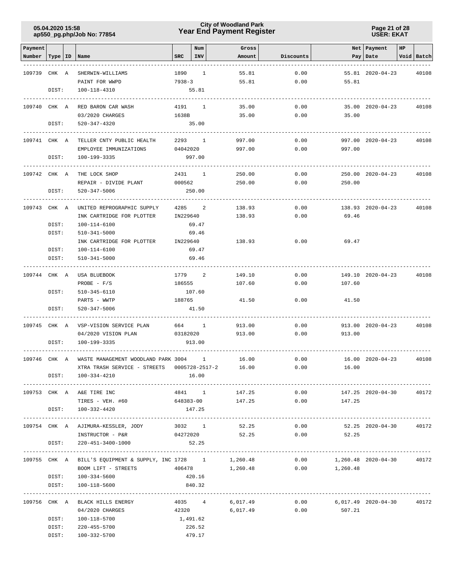### **Year End Payment Register City of Woodland Park 05.04.2020 15:58**

**Page 21 of 28 USER: EKAT**

| Payment      |           |                                                             |          | Num                  | Gross            |           |                            | Net   Payment     | HP |            |
|--------------|-----------|-------------------------------------------------------------|----------|----------------------|------------------|-----------|----------------------------|-------------------|----|------------|
| Number       | Type   ID | Name                                                        | SRC      | <b>INV</b>           | Amount           | Discounts |                            | Pay   Date        |    | Void Batch |
| 109739 CHK A |           | SHERWIN-WILLIAMS                                            | 1890     | $\mathbf{1}$         | 55.81            | 0.00      |                            | 55.81 2020-04-23  |    | 40108      |
|              |           | PAINT FOR WWPD                                              | 7938-3   |                      | 55.81            | 0.00      | 55.81                      |                   |    |            |
|              | DIST:     | 100-118-4310                                                |          | 55.81                |                  |           |                            |                   |    |            |
| 109740 CHK A |           | RED BARON CAR WASH                                          | 4191     | 1                    | 35.00            | 0.00      |                            | 35.00 2020-04-23  |    | 40108      |
|              |           | 03/2020 CHARGES                                             | 1638B    |                      | 35.00            | 0.00      | 35.00                      |                   |    |            |
|              | DIST:     | 520-347-4320                                                |          | 35.00                |                  |           |                            |                   |    |            |
| 109741 CHK A |           | TELLER CNTY PUBLIC HEALTH                                   | 2293 1   |                      | 997.00           | 0.00      |                            | 997.00 2020-04-23 |    | 40108      |
|              |           | EMPLOYEE IMMUNIZATIONS                                      | 04042020 |                      | 997.00           | 0.00      | 997.00                     |                   |    |            |
|              | DIST:     | 100-199-3335                                                |          | 997.00               |                  |           |                            |                   |    |            |
| 109742 CHK A |           | THE LOCK SHOP                                               | 2431     | 1                    | 250.00           | 0.00      |                            | 250.00 2020-04-23 |    | 40108      |
|              |           | REPAIR - DIVIDE PLANT                                       | 000562   |                      | 250.00           | 0.00      | 250.00                     |                   |    |            |
|              | DIST:     | 520-347-5006                                                |          | 250.00               |                  |           |                            |                   |    |            |
| 109743 CHK A |           | UNITED REPROGRAPHIC SUPPLY                                  | 4285     | 2                    | 138.93           | 0.00      |                            | 138.93 2020-04-23 |    | 40108      |
|              |           | INK CARTRIDGE FOR PLOTTER                                   | IN229640 |                      | 138.93           | 0.00      | 69.46                      |                   |    |            |
|              | DIST:     | 100-114-6100                                                |          | 69.47                |                  |           |                            |                   |    |            |
|              | DIST:     | 510-341-5000                                                |          | 69.46                |                  |           |                            |                   |    |            |
|              |           | INK CARTRIDGE FOR PLOTTER                                   | IN229640 |                      | 138.93           | 0.00      | 69.47                      |                   |    |            |
|              | DIST:     | 100-114-6100                                                |          | 69.47                |                  |           |                            |                   |    |            |
|              | DIST:     | 510-341-5000                                                |          | 69.46                |                  |           |                            |                   |    |            |
| 109744 CHK A |           | USA BLUEBOOK                                                | 1779     | 2                    | 149.10           | 0.00      |                            | 149.10 2020-04-23 |    | 40108      |
|              |           | PROBE - $F/S$                                               | 186555   |                      | 107.60           | 0.00      | 107.60                     |                   |    |            |
|              | DIST:     | 510-345-6110                                                |          | 107.60               |                  |           |                            |                   |    |            |
|              |           | PARTS - WWTP                                                | 188765   |                      | 41.50            | 0.00      | 41.50                      |                   |    |            |
|              | DIST:     | 520-347-5006                                                |          | 41.50                |                  |           |                            |                   |    |            |
| 109745 CHK A |           | VSP-VISION SERVICE PLAN                                     |          | 664 1                | 913.00           | 0.00      |                            | 913.00 2020-04-23 |    | 40108      |
|              |           | 04/2020 VISION PLAN                                         | 03182020 |                      | 913.00           | 0.00      | 913.00                     |                   |    |            |
|              | DIST:     | 100-199-3335                                                |          | 913.00               |                  |           |                            |                   |    |            |
| 109746 CHK A |           | WASTE MANAGEMENT WOODLAND PARK 3004                         |          | 1                    | 16.00            | 0.00      |                            | 16.00 2020-04-23  |    | 40108      |
|              |           | XTRA TRASH SERVICE - STREETS                                |          | $0005728 - 2517 - 2$ | 16.00            | 0.00      | 16.00                      |                   |    |            |
|              | DIST:     | 100-334-4210                                                |          | 16.00                |                  |           |                            |                   |    |            |
|              |           | 109753 CHK A A&E TIRE INC                                   |          | 4841 1               | 147.25           | 0.00      |                            | 147.25 2020-04-30 |    | 40172      |
|              |           | TIRES - VEH. #60                                            |          |                      | 648383-00 147.25 |           | 0.00<br>147.25             |                   |    |            |
|              |           | DIST: 100-332-4420                                          |          | 147.25               |                  |           |                            |                   |    |            |
|              |           | 109754 CHK A AJIMURA-KESSLER, JODY                          |          | 3032 1               | 52.25            | 0.00      |                            | 52.25 2020-04-30  |    | 40172      |
|              |           | INSTRUCTOR - P&R                                            |          | 04272020             | 52.25            |           | 52.25<br>0.00              |                   |    |            |
|              | DIST:     | 220-451-3400-1000                                           |          | 52.25                |                  |           |                            |                   |    |            |
|              |           | 109755 CHK A BILL'S EQUIPMENT & SUPPLY, INC 1728 1 1,260.48 |          |                      |                  |           | $0.00$ 1,260.48 2020-04-30 |                   |    | 40172      |
|              |           | BOOM LIFT - STREETS                                         |          |                      | 406478 1,260.48  |           | $0.00$ 1,260.48            |                   |    |            |
|              |           | DIST: 100-334-5600                                          |          | 420.16               |                  |           |                            |                   |    |            |
|              | DIST:     | 100-118-5600                                                |          | 840.32               |                  |           |                            |                   |    |            |
|              |           | 109756 CHK A BLACK HILLS ENERGY                             |          | 4035 4               | 6,017.49         | 0.00      | 6,017.49 2020-04-30        |                   |    | 40172      |
|              |           | 04/2020 CHARGES                                             |          |                      | 42320 6,017.49   | 0.00      | 507.21                     |                   |    |            |
|              | DIST:     | 100-118-5700                                                | 1,491.62 |                      |                  |           |                            |                   |    |            |
|              | DIST:     | 220-455-5700                                                |          | 226.52               |                  |           |                            |                   |    |            |
|              | DIST:     | 100-332-5700                                                |          | 479.17               |                  |           |                            |                   |    |            |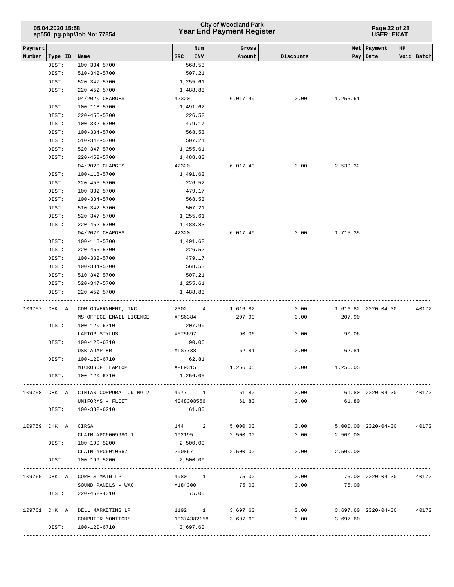|         | 05.04.2020 15:58   | ap550_pg.php/Job No: 77854           |            |                      | <b>City of Woodland Park</b><br><b>Year End Payment Register</b> | Page 22 of 28<br><b>USER: EKAT</b> |                            |                     |             |
|---------|--------------------|--------------------------------------|------------|----------------------|------------------------------------------------------------------|------------------------------------|----------------------------|---------------------|-------------|
| Payment |                    |                                      |            | Num                  | Gross                                                            |                                    | Net                        | Payment             | $_{\rm HP}$ |
| Number  | Type   ID<br>DIST: | Name<br>100-334-5700                 | <b>SRC</b> | <b>INV</b><br>568.53 | Amount                                                           | Discounts                          | Pay                        | Date                | Void Batch  |
|         | DIST:              | 510-342-5700                         |            | 507.21               |                                                                  |                                    |                            |                     |             |
|         | DIST:              | 520-347-5700                         |            | 1,255.61             |                                                                  |                                    |                            |                     |             |
|         | DIST:              | $220 - 452 - 5700$                   |            | 1,488.83             |                                                                  |                                    |                            |                     |             |
|         |                    | 04/2020 CHARGES                      | 42320      |                      | 6,017.49                                                         | 0.00                               | 1,255.61                   |                     |             |
|         | DIST:              | 100-118-5700                         |            | 1,491.62             |                                                                  |                                    |                            |                     |             |
|         | DIST:              | $220 - 455 - 5700$                   |            | 226.52               |                                                                  |                                    |                            |                     |             |
|         | DIST:              | $100 - 332 - 5700$                   |            | 479.17               |                                                                  |                                    |                            |                     |             |
|         | DIST:              | $100 - 334 - 5700$                   |            | 568.53               |                                                                  |                                    |                            |                     |             |
|         | DIST:              | 510-342-5700                         |            | 507.21               |                                                                  |                                    |                            |                     |             |
|         | DIST:              | 520-347-5700                         |            | 1,255.61             |                                                                  |                                    |                            |                     |             |
|         | DIST:              | $220 - 452 - 5700$                   |            | 1,488.83             |                                                                  |                                    |                            |                     |             |
|         |                    | 04/2020 CHARGES                      | 42320      |                      | 6,017.49                                                         | 0.00                               | 2,539.32                   |                     |             |
|         | DIST:              | 100-118-5700                         |            | 1,491.62             |                                                                  |                                    |                            |                     |             |
|         | DIST:              | 220-455-5700                         |            | 226.52               |                                                                  |                                    |                            |                     |             |
|         | DIST:              | 100-332-5700                         |            | 479.17               |                                                                  |                                    |                            |                     |             |
|         | DIST:              | $100 - 334 - 5700$                   |            | 568.53               |                                                                  |                                    |                            |                     |             |
|         | DIST:              | 510-342-5700                         |            | 507.21               |                                                                  |                                    |                            |                     |             |
|         | DIST:              | $520 - 347 - 5700$                   |            | 1,255.61             |                                                                  |                                    |                            |                     |             |
|         | DIST:              | $220 - 452 - 5700$                   |            | 1,488.83             |                                                                  |                                    |                            |                     |             |
|         |                    | 04/2020 CHARGES                      | 42320      |                      | 6,017.49                                                         | 0.00                               | 1,715.35                   |                     |             |
|         | DIST:              | 100-118-5700                         |            | 1,491.62             |                                                                  |                                    |                            |                     |             |
|         | DIST:<br>DIST:     | $220 - 455 - 5700$                   |            | 226.52               |                                                                  |                                    |                            |                     |             |
|         | DIST:              | 100-332-5700<br>$100 - 334 - 5700$   |            | 479.17<br>568.53     |                                                                  |                                    |                            |                     |             |
|         | DIST:              | 510-342-5700                         |            | 507.21               |                                                                  |                                    |                            |                     |             |
|         | DIST:              | 520-347-5700                         |            | 1,255.61             |                                                                  |                                    |                            |                     |             |
|         | DIST:              | $220 - 452 - 5700$                   |            | 1,488.83             |                                                                  |                                    |                            |                     |             |
| 109757  | CHK A              | CDW GOVERNMENT, INC.                 | 2302       | 4                    | 1,616.82                                                         | 0.00                               |                            | 1,616.82 2020-04-30 | 40172       |
|         |                    | MS OFFICE EMAIL LICENSE              | XFS6384    |                      | 207.90                                                           | 0.00                               | 207.90                     |                     |             |
|         | DIST:              | 100-120-6710                         |            | 207.90               |                                                                  |                                    |                            |                     |             |
|         |                    | LAPTOP STYLUS                        | XFT5697    |                      | 90.06                                                            | 0.00                               | 90.06                      |                     |             |
|         | DIST:              | 100-120-6710                         |            | 90.06                |                                                                  |                                    |                            |                     |             |
|         |                    | USB ADAPTER                          | XLS7738    |                      | 62.81                                                            | 0.00                               | 62.81                      |                     |             |
|         | DIST:              | 100-120-6710                         |            | 62.81                |                                                                  |                                    |                            |                     |             |
|         |                    | MICROSOFT LAPTOP XPL9315 1,256.05    |            |                      |                                                                  |                                    | $0.00$ 1,256.05            |                     |             |
|         | DIST:              | 100-120-6710                         | 1,256.05   |                      |                                                                  |                                    |                            |                     |             |
|         |                    | 109758 CHK A CINTAS CORPORATION NO 2 |            | 4977 1               | 61.80                                                            | 0.00                               |                            | 61.80 2020-04-30    | 40172       |
|         |                    | UNIFORMS - FLEET                     |            | 4048308556           | 61.80                                                            | 0.00                               | 61.80                      |                     |             |
|         | DIST:              | 100-332-6210                         |            | 61.80                |                                                                  |                                    |                            |                     |             |
|         | 109759 CHK A CIRSA |                                      |            |                      | 144 2 5,000.00                                                   |                                    | $0.00$ 5,000.00 2020-04-30 |                     | 40172       |
|         |                    | CLAIM #PC6009980-1                   |            | 192195               | 2,500.00                                                         |                                    | $0.00$ 2,500.00            |                     |             |
|         |                    | DIST: 100-199-5200                   | 2,500.00   |                      |                                                                  |                                    |                            |                     |             |
|         |                    | CLAIM #PC6010667                     |            | 200867               | 2,500.00                                                         | 0.00                               | 2,500.00                   |                     |             |
|         | DIST:              | 100-199-5200                         | 2,500.00   |                      |                                                                  |                                    |                            |                     |             |
|         |                    | 109760 CHK A CORE & MAIN LP          |            | 4980 1               | 75.00                                                            | 0.00                               |                            | 75.00 2020-04-30    | 40172       |
|         |                    | SOUND PANELS - WAC                   | M184300    |                      | 75.00                                                            | 0.00                               | 75.00                      |                     |             |
|         | DIST:              | 220-452-4310                         |            | 75.00                |                                                                  |                                    |                            |                     |             |
|         |                    | 109761 CHK A DELL MARKETING LP       |            |                      | 1192 1 3,697.60                                                  |                                    | $0.00$ 3,697.60 2020-04-30 |                     | 40172       |
|         |                    | COMPUTER MONITORS                    |            |                      | 10374382158 3,697.60                                             |                                    | $0.00$ 3,697.60            |                     |             |
|         | DIST:              | 100-120-6710                         | 3,697.60   |                      |                                                                  |                                    |                            |                     |             |
|         |                    |                                      |            |                      |                                                                  |                                    |                            |                     |             |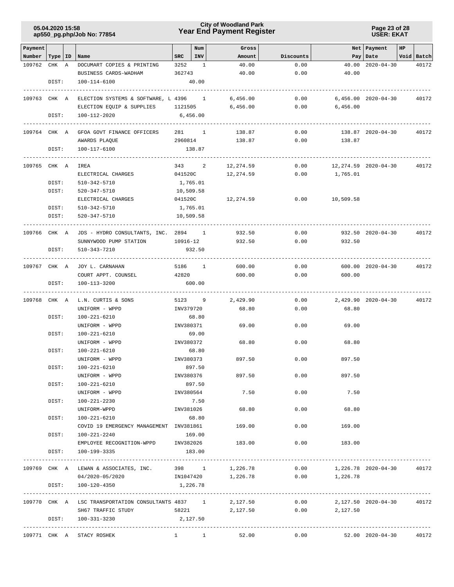### **Year End Payment Register City of Woodland Park 05.04.2020 15:58**

**Page 23 of 28 USER: EKAT**

| Payment                             |       |                                                             |             | Num                   | Gross           |                                              |                            | Net   Payment                          | HP |                     |
|-------------------------------------|-------|-------------------------------------------------------------|-------------|-----------------------|-----------------|----------------------------------------------|----------------------------|----------------------------------------|----|---------------------|
| Number   Type   ID   Name<br>109762 | CHK A | DOCUMART COPIES & PRINTING                                  | SRC<br>3252 | INV<br>$\overline{1}$ | Amount<br>40.00 | Discounts<br>0.00                            |                            | Pay   Date<br>$40.00$ $2020 - 04 - 30$ |    | Void Batch<br>40172 |
|                                     |       | BUSINESS CARDS-WADHAM                                       | 362743      |                       | 40.00           | 0.00                                         | 40.00                      |                                        |    |                     |
|                                     | DIST: | 100-114-6100                                                |             | 40.00                 |                 |                                              |                            |                                        |    |                     |
| 109763 CHK A                        |       | ELECTION SYSTEMS & SOFTWARE, L 4396 1                       |             |                       | 6,456.00        | 0.00                                         |                            | 6,456.00 2020-04-30                    |    | 40172               |
|                                     |       | ELECTION EQUIP & SUPPLIES 1121505                           |             |                       | 6,456.00        | 0.00                                         | 6,456.00                   |                                        |    |                     |
|                                     | DIST: | 100-112-2020                                                | 6,456.00    |                       |                 |                                              |                            |                                        |    |                     |
|                                     |       | 109764 CHK A GFOA GOVT FINANCE OFFICERS 281 1               |             |                       | 138.87          | 0.00                                         |                            | 138.87 2020-04-30                      |    | 40172               |
|                                     |       | AWARDS PLAQUE                                               | 2960814     |                       | 138.87          | 0.00                                         | 138.87                     |                                        |    |                     |
|                                     | DIST: | 100-117-6100                                                |             | 138.87                |                 |                                              |                            |                                        |    |                     |
| 109765 CHK A                        |       | IREA                                                        | 343 2       |                       | 12,274.59       | 0.00                                         |                            | 12,274.59 2020-04-30                   |    | 40172               |
|                                     |       | ELECTRICAL CHARGES                                          | 041520C     |                       | 12,274.59       | 0.00                                         | 1,765.01                   |                                        |    |                     |
|                                     | DIST: | 510-342-5710                                                |             | 1,765.01              |                 |                                              |                            |                                        |    |                     |
|                                     | DIST: | 520-347-5710                                                | 10,509.58   |                       |                 |                                              |                            |                                        |    |                     |
|                                     |       | ELECTRICAL CHARGES                                          | 041520C     |                       | 12,274.59       | 0.00                                         | 10,509.58                  |                                        |    |                     |
|                                     | DIST: | 510-342-5710                                                | 1,765.01    |                       |                 |                                              |                            |                                        |    |                     |
|                                     | DIST: | 520-347-5710                                                | 10,509.58   |                       |                 |                                              |                            |                                        |    |                     |
| 109766 CHK A                        |       | JDS - HYDRO CONSULTANTS, INC. 2894 1                        |             |                       | 932.50          | 0.00                                         |                            | 932.50 2020-04-30                      |    | 40172               |
|                                     |       | SUNNYWOOD PUMP STATION                                      | 10916-12    |                       | 932.50          | 0.00                                         | 932.50                     |                                        |    |                     |
|                                     | DIST: | 510-343-7210                                                |             | 932.50                |                 |                                              |                            |                                        |    |                     |
|                                     |       | 109767 CHK A JOY L. CARNAHAN                                | 5186 1      |                       | 600.00          | 0.00                                         |                            | 600.00 2020-04-30                      |    | 40172               |
|                                     |       | COURT APPT. COUNSEL                                         | 42820       |                       | 600.00          | 0.00                                         | 600.00                     |                                        |    |                     |
|                                     | DIST: | 100-113-3200                                                |             | 600.00                |                 |                                              |                            |                                        |    |                     |
| 109768 CHK A                        |       | L.N. CURTIS & SONS                                          | 5123 9      |                       | 2,429.90        | 0.00                                         |                            | 2,429.90 2020-04-30                    |    | 40172               |
|                                     |       | UNIFORM - WPPD                                              | INV379720   |                       | 68.80           | 0.00                                         | 68.80                      |                                        |    |                     |
|                                     | DIST: | 100-221-6210                                                |             | 68.80                 |                 |                                              |                            |                                        |    |                     |
|                                     |       | UNIFORM - WPPD                                              | INV380371   |                       | 69.00           | 0.00                                         | 69.00                      |                                        |    |                     |
|                                     | DIST: | 100-221-6210                                                |             | 69.00                 |                 |                                              |                            |                                        |    |                     |
|                                     |       | UNIFORM - WPPD                                              | INV380372   |                       | 68.80           | 0.00                                         | 68.80                      |                                        |    |                     |
|                                     | DIST: | 100-221-6210                                                |             | 68.80                 |                 |                                              |                            |                                        |    |                     |
|                                     | DIST: | UNIFORM - WPPD<br>100-221-6210                              | INV380373   | 897.50                | 897.50          | 0.00                                         | 897.50                     |                                        |    |                     |
|                                     |       | UNIFORM - WPPD                                              | INV380376   |                       | 897.50          | 0.00                                         | 897.50                     |                                        |    |                     |
|                                     | DIST: | 100-221-6210                                                |             | 897.50                |                 |                                              |                            |                                        |    |                     |
|                                     |       | UNIFORM - WPPD                                              | INV380564   |                       | 7.50            | 0.00                                         | 7.50                       |                                        |    |                     |
|                                     | DIST: | 100-221-2230                                                |             | 7.50                  |                 |                                              |                            |                                        |    |                     |
|                                     |       | UNIFORM-WPPD                                                | INV381026   |                       | 68.80           | 0.00                                         | 68.80                      |                                        |    |                     |
|                                     | DIST: | 100-221-6210                                                |             | 68.80                 |                 |                                              |                            |                                        |    |                     |
|                                     |       | COVID 19 EMERGENCY MANAGEMENT INV381861                     |             |                       | 169.00          | 0.00                                         | 169.00                     |                                        |    |                     |
|                                     | DIST: | 100-221-2240                                                |             | 169.00                |                 |                                              |                            |                                        |    |                     |
|                                     |       | EMPLOYEE RECOGNITION-WPPD INV382026                         |             |                       | 183.00          | 0.00                                         | 183.00                     |                                        |    |                     |
|                                     | DIST: | 100-199-3335                                                |             | 183.00                |                 |                                              |                            |                                        |    |                     |
|                                     |       | 109769 CHK A LEWAN & ASSOCIATES, INC. 398 1 1,226.78        |             |                       |                 | 0.00                                         | 1,226.78 2020-04-30        |                                        |    | 40172               |
|                                     |       | 04/2020-05/2020                                             | IN1047420   |                       |                 | $1,226.78$ 0.00                              | 1,226.78                   |                                        |    |                     |
|                                     | DIST: | 100-120-4350                                                | 1,226.78    |                       |                 |                                              |                            |                                        |    |                     |
|                                     |       | 109770 CHK A LSC TRANSPORTATION CONSULTANTS 4837 1 2,127.50 |             |                       |                 |                                              | $0.00$ 2,127.50 2020-04-30 |                                        |    | 40172               |
|                                     |       | SH67 TRAFFIC STUDY 58221                                    |             |                       | 2,127.50        |                                              | $0.00$ 2,127.50            |                                        |    |                     |
|                                     |       | DIST: 100-331-3230                                          | 2,127.50    |                       |                 |                                              |                            |                                        |    |                     |
|                                     |       | 109771 CHK A STACY ROSHEK                                   | $1 \quad 1$ |                       | 52.00           | ------------------------------------<br>0.00 |                            | 52.00 2020-04-30                       |    | 40172               |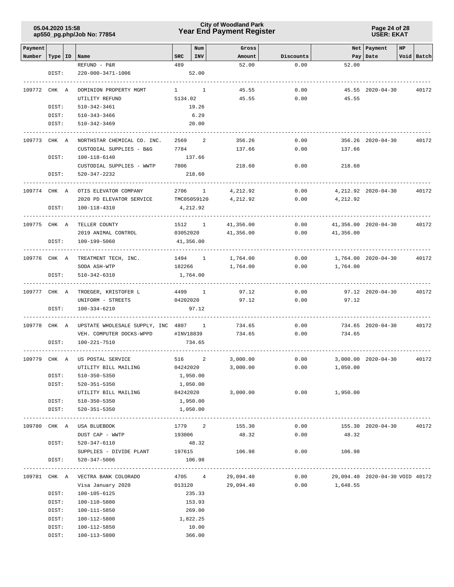### **Year End Payment Register City of Woodland Park 05.04.2020 15:58**

**Page 24 of 28 USER: EKAT**

| Payment      |           |                                              |          | Num          | Gross           |              |                                 | Net Payment                 | HP |            |
|--------------|-----------|----------------------------------------------|----------|--------------|-----------------|--------------|---------------------------------|-----------------------------|----|------------|
| Number       | Type   ID | Name                                         | SRC      | INV          | Amount          | Discounts    |                                 | Pay Date                    |    | Void Batch |
|              |           | REFUND - P&R                                 | 489      |              | 52.00           | 0.00         | 52.00                           |                             |    |            |
|              | DIST:     | 220-000-3471-1006                            |          | 52.00        |                 |              |                                 |                             |    |            |
|              |           |                                              |          |              |                 |              |                                 |                             |    |            |
| 109772 CHK A |           | DOMINION PROPERTY MGMT                       |          | $1 \quad 1$  | 45.55           | 0.00         |                                 | 45.55 2020-04-30            |    | 40172      |
|              |           | UTILITY REFUND                               | 5134.02  |              | 45.55           | 0.00         | 45.55                           |                             |    |            |
|              | DIST:     | 510-342-3461                                 |          | 19.26        |                 |              |                                 |                             |    |            |
|              | DIST:     | 510-343-3466                                 |          | 6.29         |                 |              |                                 |                             |    |            |
|              | DIST:     | 510-342-3469                                 |          | 20.00        |                 |              |                                 |                             |    |            |
| 109773 CHK A |           | NORTHSTAR CHEMICAL CO. INC.                  | 2569     | 2            | 356.26          | 0.00         |                                 | 356.26 2020-04-30           |    | 40172      |
|              |           | CUSTODIAL SUPPLIES - B&G                     | 7784     |              | 137.66          | 0.00         | 137.66                          |                             |    |            |
|              | DIST:     | 100-118-6140                                 |          | 137.66       |                 |              |                                 |                             |    |            |
|              |           | CUSTODIAL SUPPLIES - WWTP                    | 7806     |              | 218.60          | 0.00         | 218.60                          |                             |    |            |
|              | DIST:     | 520-347-2232                                 |          | 218.60       |                 |              |                                 |                             |    |            |
|              |           |                                              |          |              |                 |              |                                 |                             |    |            |
| 109774 CHK A |           | OTIS ELEVATOR COMPANY                        | 2706     | $\mathbf{1}$ | 4,212.92        | 0.00         |                                 | 4, 212.92 2020-04-30        |    | 40172      |
|              |           | 2020 PD ELEVATOR SERVICE                     |          | TMC05059120  | 4,212.92        | 0.00         | 4,212.92                        |                             |    |            |
|              | DIST:     | 100-118-4310                                 |          | 4,212.92     |                 |              |                                 |                             |    |            |
|              |           |                                              |          | 1512 1       |                 |              |                                 |                             |    |            |
| 109775 CHK A |           | TELLER COUNTY<br>2019 ANIMAL CONTROL         | 03052020 |              | 41,356.00       | 0.00<br>0.00 | 41,356.00                       | 41,356.00 2020-04-30        |    | 40172      |
|              | DIST:     | 100-199-5060                                 |          | 41,356.00    | 41,356.00       |              |                                 |                             |    |            |
|              |           |                                              |          |              |                 |              |                                 |                             |    |            |
| 109776 CHK A |           | TREATMENT TECH, INC.                         |          | 1494 1       | 1,764.00        | 0.00         |                                 | 1,764.00 2020-04-30         |    | 40172      |
|              |           | SODA ASH-WTP                                 | 182266   |              | 1,764.00        | 0.00         | 1,764.00                        |                             |    |            |
|              | DIST:     | 510-342-6310                                 |          | 1,764.00     |                 |              |                                 |                             |    |            |
|              |           |                                              |          |              |                 |              |                                 |                             |    |            |
| 109777 CHK A |           | TROEGER, KRISTOFER L                         |          | 4499 1       | 97.12           | 0.00         |                                 | 97.12 2020-04-30            |    | 40172      |
|              |           | UNIFORM - STREETS                            |          | 04202020     | 97.12           | 0.00         | 97.12                           |                             |    |            |
|              | DIST:     | $100 - 334 - 6210$                           |          | 97.12        |                 |              |                                 |                             |    |            |
| 109778 CHK A |           | UPSTATE WHOLESALE SUPPLY, INC 4807 1         |          |              | 734.65          | 0.00         |                                 | 734.65 2020-04-30           |    | 40172      |
|              |           | VEH. COMPUTER DOCKS-WPPD                     |          | #INV18839    | 734.65          | 0.00         | 734.65                          |                             |    |            |
|              | DIST:     | 100-221-7510                                 |          | 734.65       |                 |              |                                 |                             |    |            |
|              |           |                                              |          |              |                 |              |                                 |                             |    |            |
| 109779 CHK A |           | US POSTAL SERVICE                            | 516      | 2            | 3,000.00        | 0.00         |                                 | $3,000.00$ $2020 - 04 - 30$ |    | 40172      |
|              |           | UTILITY BILL MAILING                         | 04242020 |              | 3,000.00        | 0.00         | 1,050.00                        |                             |    |            |
|              | DIST:     | 510-350-5350                                 |          | 1,950.00     |                 |              |                                 |                             |    |            |
|              | DIST:     | 520-351-5350                                 |          | 1,050.00     |                 |              |                                 |                             |    |            |
|              |           | UTILITY BILL MAILING                         |          | 04242020     | 3,000.00        | 0.00         | 1,950.00                        |                             |    |            |
|              | DIST:     | 510-350-5350                                 |          | 1,950.00     |                 |              |                                 |                             |    |            |
|              | DIST:     | 520-351-5350                                 |          | 1,050.00     |                 |              |                                 |                             |    |            |
|              |           |                                              |          |              |                 |              |                                 |                             |    |            |
|              |           | 109780 CHK A USA BLUEBOOK<br>DUST CAP - WWTP | 193006   | 1779 2       | 155.30<br>48.32 | 0.00<br>0.00 | 48.32                           | 155.30 2020-04-30           |    | 40172      |
|              | DIST:     | 520-347-6110                                 |          | 48.32        |                 |              |                                 |                             |    |            |
|              |           | SUPPLIES - DIVIDE PLANT 197615               |          |              | 106.98          |              | 0.00<br>106.98                  |                             |    |            |
|              | DIST:     | 520-347-5006                                 |          | 106.98       |                 |              |                                 |                             |    |            |
|              |           |                                              |          |              |                 |              |                                 |                             |    |            |
|              |           | 109781 CHK A VECTRA BANK COLORADO            |          | 4705 4       | 29,094.40       | 0.00         | 29,094.40 2020-04-30 VOID 40172 |                             |    |            |
|              |           | Visa January 2020                            |          | 013120       | 29,094.40       | 0.00         | 1,648.55                        |                             |    |            |
|              | DIST:     | 100-105-6125                                 |          | 235.33       |                 |              |                                 |                             |    |            |
|              | DIST:     | 100-110-5800                                 |          | 153.93       |                 |              |                                 |                             |    |            |
|              | DIST:     | 100-111-5850                                 |          | 269.00       |                 |              |                                 |                             |    |            |
|              | DIST:     | 100-112-5800                                 |          | 1,822.25     |                 |              |                                 |                             |    |            |
|              | DIST:     | 100-112-5850                                 |          | 10.00        |                 |              |                                 |                             |    |            |
|              | DIST:     | 100-113-5800                                 |          | 366.00       |                 |              |                                 |                             |    |            |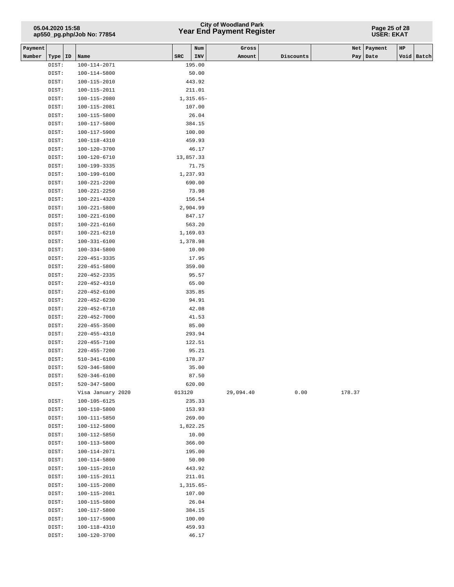# **Year End Payment Register City of Woodland Park 05.04.2020 15:58**

#### **Page 25 of 28 USER: EKAT**

| Payment |                |                                          |           | Num            | Gross     |           |        | Net   Payment | $_{\rm HP}$ |            |
|---------|----------------|------------------------------------------|-----------|----------------|-----------|-----------|--------|---------------|-------------|------------|
| Number  | Type   ID      | Name                                     | SRC       | INV            | Amount    | Discounts |        | Pay   Date    |             | Void Batch |
|         | DIST:          | 100-114-2071                             |           | 195.00         |           |           |        |               |             |            |
|         | DIST:          | 100-114-5800                             |           | 50.00          |           |           |        |               |             |            |
|         | DIST:          | 100-115-2010                             |           | 443.92         |           |           |        |               |             |            |
|         | DIST:          | 100-115-2011                             |           | 211.01         |           |           |        |               |             |            |
|         | DIST:          | 100-115-2080                             |           | $1,315.65-$    |           |           |        |               |             |            |
|         | DIST:          | 100-115-2081                             |           | 107.00         |           |           |        |               |             |            |
|         | DIST:          | 100-115-5800                             |           | 26.04          |           |           |        |               |             |            |
|         | DIST:          | 100-117-5800                             |           | 384.15         |           |           |        |               |             |            |
|         | DIST:          | 100-117-5900                             |           | 100.00         |           |           |        |               |             |            |
|         | DIST:          | 100-118-4310                             |           | 459.93         |           |           |        |               |             |            |
|         | DIST:          | 100-120-3700                             |           | 46.17          |           |           |        |               |             |            |
|         | DIST:          | 100-120-6710                             | 13,857.33 |                |           |           |        |               |             |            |
|         | DIST:          | 100-199-3335                             |           | 71.75          |           |           |        |               |             |            |
|         | DIST:          | 100-199-6100                             |           | 1,237.93       |           |           |        |               |             |            |
|         | DIST:          | 100-221-2200                             |           | 690.00         |           |           |        |               |             |            |
|         | DIST:          | $100 - 221 - 2250$                       |           | 73.98          |           |           |        |               |             |            |
|         | DIST:          | $100 - 221 - 4320$                       |           | 156.54         |           |           |        |               |             |            |
|         | DIST:          | 100-221-5800                             |           | 2,904.99       |           |           |        |               |             |            |
|         | DIST:          | 100-221-6100                             |           | 847.17         |           |           |        |               |             |            |
|         | DIST:          | $100 - 221 - 6160$                       |           | 563.20         |           |           |        |               |             |            |
|         | DIST:          | 100-221-6210                             |           | 1,169.03       |           |           |        |               |             |            |
|         | DIST:          | $100 - 331 - 6100$                       |           | 1,378.98       |           |           |        |               |             |            |
|         | DIST:          | $100 - 334 - 5800$                       |           | 10.00          |           |           |        |               |             |            |
|         | DIST:          | $220 - 451 - 3335$                       |           | 17.95          |           |           |        |               |             |            |
|         | DIST:          | $220 - 451 - 5800$                       |           | 359.00         |           |           |        |               |             |            |
|         | DIST:          | $220 - 452 - 2335$                       |           | 95.57          |           |           |        |               |             |            |
|         | DIST:          | $220 - 452 - 4310$                       |           | 65.00          |           |           |        |               |             |            |
|         | DIST:          | $220 - 452 - 6100$                       |           | 335.85         |           |           |        |               |             |            |
|         | DIST:          | $220 - 452 - 6230$                       |           | 94.91          |           |           |        |               |             |            |
|         | DIST:          | $220 - 452 - 6710$<br>$220 - 452 - 7000$ |           | 42.08<br>41.53 |           |           |        |               |             |            |
|         | DIST:<br>DIST: | $220 - 455 - 3500$                       |           | 85.00          |           |           |        |               |             |            |
|         | DIST:          | $220 - 455 - 4310$                       |           | 293.94         |           |           |        |               |             |            |
|         | DIST:          | $220 - 455 - 7100$                       |           | 122.51         |           |           |        |               |             |            |
|         | DIST:          | $220 - 455 - 7200$                       |           | 95.21          |           |           |        |               |             |            |
|         | DIST:          | 510-341-6100                             |           | 178.37         |           |           |        |               |             |            |
|         | DIST:          | $520 - 346 - 5800$                       |           | 35.00          |           |           |        |               |             |            |
|         | DIST:          | $520 - 346 - 6100$                       |           | 87.50          |           |           |        |               |             |            |
|         | DIST:          | 520-347-5800                             |           | 620.00         |           |           |        |               |             |            |
|         |                | Visa January 2020                        | 013120    |                | 29,094.40 | 0.00      | 178.37 |               |             |            |
|         | DIST:          | 100-105-6125                             |           | 235.33         |           |           |        |               |             |            |
|         | DIST:          | 100-110-5800                             |           | 153.93         |           |           |        |               |             |            |
|         | DIST:          | 100-111-5850                             |           | 269.00         |           |           |        |               |             |            |
|         | DIST:          | 100-112-5800                             |           | 1,822.25       |           |           |        |               |             |            |
|         | DIST:          | 100-112-5850                             |           | 10.00          |           |           |        |               |             |            |
|         | DIST:          | 100-113-5800                             |           | 366.00         |           |           |        |               |             |            |
|         | DIST:          | 100-114-2071                             |           | 195.00         |           |           |        |               |             |            |
|         | DIST:          | 100-114-5800                             |           | 50.00          |           |           |        |               |             |            |
|         | DIST:          | 100-115-2010                             |           | 443.92         |           |           |        |               |             |            |
|         | DIST:          | 100-115-2011                             |           | 211.01         |           |           |        |               |             |            |
|         | DIST:          | 100-115-2080                             |           | $1,315.65-$    |           |           |        |               |             |            |
|         | DIST:          | 100-115-2081                             |           | 107.00         |           |           |        |               |             |            |
|         | DIST:          | 100-115-5800                             |           | 26.04          |           |           |        |               |             |            |
|         | DIST:          | 100-117-5800                             |           | 384.15         |           |           |        |               |             |            |
|         | DIST:          | 100-117-5900                             |           | 100.00         |           |           |        |               |             |            |
|         | DIST:          | 100-118-4310                             |           | 459.93         |           |           |        |               |             |            |
|         | DIST:          | 100-120-3700                             |           | 46.17          |           |           |        |               |             |            |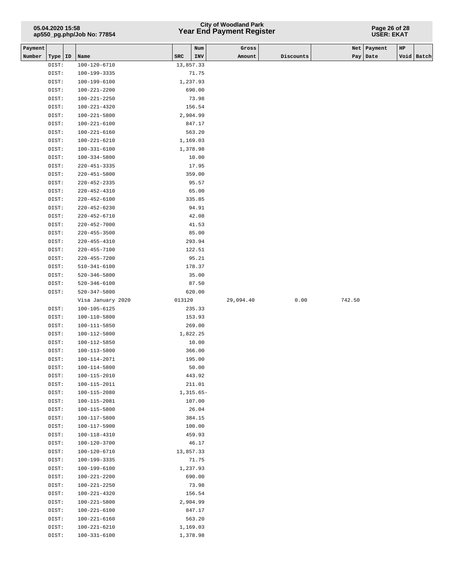# **Year End Payment Register City of Woodland Park 05.04.2020 15:58**

#### **Page 26 of 28 USER: EKAT**

| Payment |           |                    |           | Num         | Gross     |           | Net    | Payment  | $_{\rm HP}$ |            |
|---------|-----------|--------------------|-----------|-------------|-----------|-----------|--------|----------|-------------|------------|
| Number  | Type   ID | Name               | SRC       | INV         | Amount    | Discounts |        | Pay Date |             | Void Batch |
|         | DIST:     | 100-120-6710       | 13,857.33 |             |           |           |        |          |             |            |
|         | DIST:     | 100-199-3335       |           | 71.75       |           |           |        |          |             |            |
|         | DIST:     | 100-199-6100       |           | 1,237.93    |           |           |        |          |             |            |
|         | DIST:     | 100-221-2200       |           | 690.00      |           |           |        |          |             |            |
|         | DIST:     | 100-221-2250       |           | 73.98       |           |           |        |          |             |            |
|         | DIST:     | 100-221-4320       |           | 156.54      |           |           |        |          |             |            |
|         | DIST:     | 100-221-5800       |           | 2,904.99    |           |           |        |          |             |            |
|         | DIST:     | $100 - 221 - 6100$ |           | 847.17      |           |           |        |          |             |            |
|         | DIST:     | 100-221-6160       |           | 563.20      |           |           |        |          |             |            |
|         | DIST:     | 100-221-6210       |           | 1,169.03    |           |           |        |          |             |            |
|         | DIST:     | 100-331-6100       |           | 1,378.98    |           |           |        |          |             |            |
|         | DIST:     | 100-334-5800       |           | 10.00       |           |           |        |          |             |            |
|         | DIST:     | 220-451-3335       |           | 17.95       |           |           |        |          |             |            |
|         | DIST:     | 220-451-5800       |           | 359.00      |           |           |        |          |             |            |
|         | DIST:     | 220-452-2335       |           | 95.57       |           |           |        |          |             |            |
|         | DIST:     | 220-452-4310       |           | 65.00       |           |           |        |          |             |            |
|         | DIST:     | 220-452-6100       |           | 335.85      |           |           |        |          |             |            |
|         | DIST:     | $220 - 452 - 6230$ |           | 94.91       |           |           |        |          |             |            |
|         | DIST:     | 220-452-6710       |           | 42.08       |           |           |        |          |             |            |
|         | DIST:     | $220 - 452 - 7000$ |           | 41.53       |           |           |        |          |             |            |
|         | DIST:     | $220 - 455 - 3500$ |           | 85.00       |           |           |        |          |             |            |
|         | DIST:     | 220-455-4310       |           | 293.94      |           |           |        |          |             |            |
|         | DIST:     | 220-455-7100       |           | 122.51      |           |           |        |          |             |            |
|         | DIST:     | 220-455-7200       |           | 95.21       |           |           |        |          |             |            |
|         | DIST:     | $510 - 341 - 6100$ |           | 178.37      |           |           |        |          |             |            |
|         | DIST:     | 520-346-5800       |           | 35.00       |           |           |        |          |             |            |
|         | DIST:     | 520-346-6100       |           | 87.50       |           |           |        |          |             |            |
|         | DIST:     | 520-347-5800       |           | 620.00      |           |           |        |          |             |            |
|         |           | Visa January 2020  | 013120    |             | 29,094.40 | 0.00      | 742.50 |          |             |            |
|         | DIST:     | 100-105-6125       |           | 235.33      |           |           |        |          |             |            |
|         | DIST:     | 100-110-5800       |           | 153.93      |           |           |        |          |             |            |
|         | DIST:     | 100-111-5850       |           | 269.00      |           |           |        |          |             |            |
|         | DIST:     | 100-112-5800       |           | 1,822.25    |           |           |        |          |             |            |
|         | DIST:     | 100-112-5850       |           | 10.00       |           |           |        |          |             |            |
|         | DIST:     | 100-113-5800       |           | 366.00      |           |           |        |          |             |            |
|         | DIST:     | 100-114-2071       |           | 195.00      |           |           |        |          |             |            |
|         | DIST:     | 100-114-5800       |           | 50.00       |           |           |        |          |             |            |
|         | DIST:     | 100-115-2010       |           | 443.92      |           |           |        |          |             |            |
|         | DIST:     | 100-115-2011       |           | 211.01      |           |           |        |          |             |            |
|         | DIST:     | 100-115-2080       |           | $1,315.65-$ |           |           |        |          |             |            |
|         | DIST:     | 100-115-2081       |           | 107.00      |           |           |        |          |             |            |
|         | DIST:     | 100-115-5800       |           | 26.04       |           |           |        |          |             |            |
|         | DIST:     | 100-117-5800       |           | 384.15      |           |           |        |          |             |            |
|         | DIST:     | 100-117-5900       |           | 100.00      |           |           |        |          |             |            |
|         | DIST:     | 100-118-4310       |           | 459.93      |           |           |        |          |             |            |
|         | DIST:     | 100-120-3700       |           | 46.17       |           |           |        |          |             |            |
|         | DIST:     | 100-120-6710       | 13,857.33 |             |           |           |        |          |             |            |
|         | DIST:     | 100-199-3335       |           | 71.75       |           |           |        |          |             |            |
|         | DIST:     | 100-199-6100       |           | 1,237.93    |           |           |        |          |             |            |
|         | DIST:     | 100-221-2200       |           | 690.00      |           |           |        |          |             |            |
|         | DIST:     | 100-221-2250       |           | 73.98       |           |           |        |          |             |            |
|         | DIST:     | 100-221-4320       |           | 156.54      |           |           |        |          |             |            |
|         | DIST:     | 100-221-5800       |           | 2,904.99    |           |           |        |          |             |            |
|         | DIST:     | 100-221-6100       |           | 847.17      |           |           |        |          |             |            |
|         | DIST:     | 100-221-6160       |           | 563.20      |           |           |        |          |             |            |
|         | DIST:     | 100-221-6210       |           | 1,169.03    |           |           |        |          |             |            |
|         | DIST:     | 100-331-6100       | 1,378.98  |             |           |           |        |          |             |            |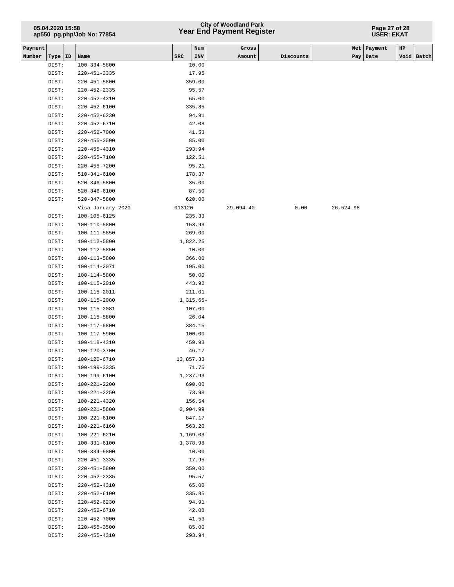# **Year End Payment Register City of Woodland Park 05.04.2020 15:58**

#### **Page 27 of 28 USER: EKAT**

| Payment |                |                              |           | Num                 | Gross     |           |           | Net   Payment | HP |            |
|---------|----------------|------------------------------|-----------|---------------------|-----------|-----------|-----------|---------------|----|------------|
| Number  | Type   ID      | Name                         | SRC       | INV                 | Amount    | Discounts |           | Pay   Date    |    | Void Batch |
|         | DIST:          | $100 - 334 - 5800$           |           | 10.00               |           |           |           |               |    |            |
|         | DIST:          | 220-451-3335                 |           | 17.95               |           |           |           |               |    |            |
|         | DIST:          | 220-451-5800                 |           | 359.00              |           |           |           |               |    |            |
|         | DIST:          | 220-452-2335                 |           | 95.57               |           |           |           |               |    |            |
|         | DIST:          | $220 - 452 - 4310$           |           | 65.00               |           |           |           |               |    |            |
|         | DIST:          | 220-452-6100                 |           | 335.85              |           |           |           |               |    |            |
|         | DIST:          | 220-452-6230                 |           | 94.91               |           |           |           |               |    |            |
|         | DIST:          | $220 - 452 - 6710$           |           | 42.08               |           |           |           |               |    |            |
|         | DIST:          | $220 - 452 - 7000$           |           | 41.53               |           |           |           |               |    |            |
|         | DIST:          | $220 - 455 - 3500$           |           | 85.00               |           |           |           |               |    |            |
|         | DIST:          | $220 - 455 - 4310$           |           | 293.94              |           |           |           |               |    |            |
|         | DIST:          | $220 - 455 - 7100$           |           | 122.51              |           |           |           |               |    |            |
|         | DIST:          | 220-455-7200                 |           | 95.21               |           |           |           |               |    |            |
|         | DIST:          | $510 - 341 - 6100$           |           | 178.37              |           |           |           |               |    |            |
|         | DIST:          | 520-346-5800                 |           | 35.00               |           |           |           |               |    |            |
|         | DIST:          | 520-346-6100                 |           | 87.50               |           |           |           |               |    |            |
|         | DIST:          | $520 - 347 - 5800$           |           | 620.00              |           |           |           |               |    |            |
|         |                | Visa January 2020            | 013120    |                     | 29,094.40 | 0.00      | 26,524.98 |               |    |            |
|         | DIST:          | 100-105-6125                 |           | 235.33              |           |           |           |               |    |            |
|         | DIST:          | 100-110-5800                 |           | 153.93              |           |           |           |               |    |            |
|         | DIST:          | 100-111-5850                 |           | 269.00              |           |           |           |               |    |            |
|         | DIST:          | 100-112-5800                 |           | 1,822.25            |           |           |           |               |    |            |
|         | DIST:          | 100-112-5850                 |           | 10.00               |           |           |           |               |    |            |
|         | DIST:          | 100-113-5800                 |           | 366.00              |           |           |           |               |    |            |
|         | DIST:          | 100-114-2071                 |           | 195.00              |           |           |           |               |    |            |
|         | DIST:          | 100-114-5800                 |           | 50.00               |           |           |           |               |    |            |
|         | DIST:          | 100-115-2010                 |           | 443.92              |           |           |           |               |    |            |
|         | DIST:          | 100-115-2011                 |           | 211.01              |           |           |           |               |    |            |
|         | DIST:          | 100-115-2080                 |           | 1,315.65-<br>107.00 |           |           |           |               |    |            |
|         | DIST:<br>DIST: | 100-115-2081<br>100-115-5800 |           | 26.04               |           |           |           |               |    |            |
|         | DIST:          | 100-117-5800                 |           | 384.15              |           |           |           |               |    |            |
|         | DIST:          | 100-117-5900                 |           | 100.00              |           |           |           |               |    |            |
|         | DIST:          | 100-118-4310                 |           | 459.93              |           |           |           |               |    |            |
|         | DIST:          | 100-120-3700                 |           | 46.17               |           |           |           |               |    |            |
|         | DIST:          | 100-120-6710                 | 13,857.33 |                     |           |           |           |               |    |            |
|         | DIST:          | 100-199-3335                 |           | 71.75               |           |           |           |               |    |            |
|         | DIST:          | 100-199-6100                 |           | 1,237.93            |           |           |           |               |    |            |
|         | DIST:          | 100-221-2200                 |           | 690.00              |           |           |           |               |    |            |
|         | DIST:          | 100-221-2250                 |           | 73.98               |           |           |           |               |    |            |
|         | DIST:          | 100-221-4320                 |           | 156.54              |           |           |           |               |    |            |
|         | DIST:          | $100 - 221 - 5800$           |           | 2,904.99            |           |           |           |               |    |            |
|         | DIST:          | 100-221-6100                 |           | 847.17              |           |           |           |               |    |            |
|         | DIST:          | 100-221-6160                 |           | 563.20              |           |           |           |               |    |            |
|         | DIST:          | $100 - 221 - 6210$           |           | 1,169.03            |           |           |           |               |    |            |
|         | DIST:          | $100 - 331 - 6100$           |           | 1,378.98            |           |           |           |               |    |            |
|         | DIST:          | 100-334-5800                 |           | 10.00               |           |           |           |               |    |            |
|         | DIST:          | 220-451-3335                 |           | 17.95               |           |           |           |               |    |            |
|         | DIST:          | 220-451-5800                 |           | 359.00              |           |           |           |               |    |            |
|         | DIST:          | 220-452-2335                 |           | 95.57               |           |           |           |               |    |            |
|         | DIST:          | 220-452-4310                 |           | 65.00               |           |           |           |               |    |            |
|         | DIST:          | $220 - 452 - 6100$           |           | 335.85              |           |           |           |               |    |            |
|         | DIST:          | $220 - 452 - 6230$           |           | 94.91               |           |           |           |               |    |            |
|         | DIST:          | $220 - 452 - 6710$           |           | 42.08               |           |           |           |               |    |            |
|         | DIST:          | $220 - 452 - 7000$           |           | 41.53               |           |           |           |               |    |            |
|         | DIST:          | $220 - 455 - 3500$           |           | 85.00               |           |           |           |               |    |            |
|         | DIST:          | $220 - 455 - 4310$           |           | 293.94              |           |           |           |               |    |            |